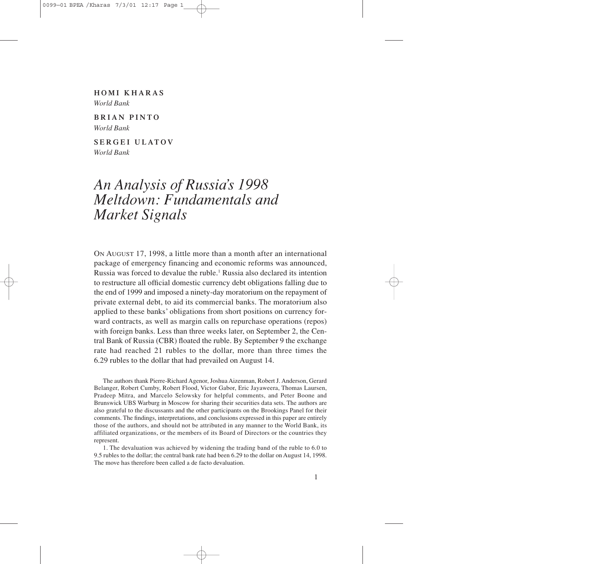**HOMI KHARAS** *World Bank*

**BRIAN PINTO** *World Bank*

**SERGEI ULATOV** *World Bank*

# *An Analysis of Russia's 1998 Meltdown: Fundamentals and Market Signals*

ON AUGUST 17, 1998, a little more than a month after an international package of emergency financing and economic reforms was announced, Russia was forced to devalue the ruble.<sup>1</sup> Russia also declared its intention to restructure all official domestic currency debt obligations falling due to the end of 1999 and imposed a ninety-day moratorium on the repayment of private external debt, to aid its commercial banks. The moratorium also applied to these banks' obligations from short positions on currency forward contracts, as well as margin calls on repurchase operations (repos) with foreign banks. Less than three weeks later, on September 2, the Central Bank of Russia (CBR) floated the ruble. By September 9 the exchange rate had reached 21 rubles to the dollar, more than three times the 6.29 rubles to the dollar that had prevailed on August 14.

The authors thank Pierre-Richard Agenor, Joshua Aizenman, Robert J. Anderson, Gerard Belanger, Robert Cumby, Robert Flood, Victor Gabor, Eric Jayaweera, Thomas Laursen, Pradeep Mitra, and Marcelo Selowsky for helpful comments, and Peter Boone and Brunswick UBS Warburg in Moscow for sharing their securities data sets. The authors are also grateful to the discussants and the other participants on the Brookings Panel for their comments. The findings, interpretations, and conclusions expressed in this paper are entirely those of the authors, and should not be attributed in any manner to the World Bank, its affiliated organizations, or the members of its Board of Directors or the countries they represent.

1. The devaluation was achieved by widening the trading band of the ruble to 6.0 to 9.5 rubles to the dollar; the central bank rate had been 6.29 to the dollar on August 14, 1998. The move has therefore been called a de facto devaluation.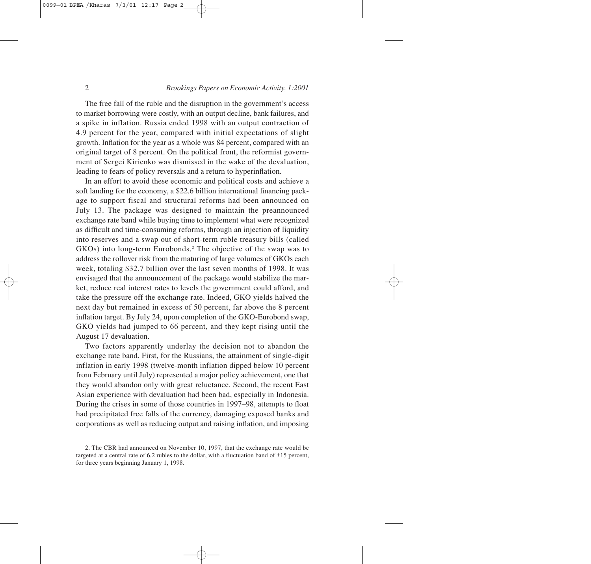The free fall of the ruble and the disruption in the government's access to market borrowing were costly, with an output decline, bank failures, and a spike in inflation. Russia ended 1998 with an output contraction of 4.9 percent for the year, compared with initial expectations of slight growth. Inflation for the year as a whole was 84 percent, compared with an original target of 8 percent. On the political front, the reformist government of Sergei Kirienko was dismissed in the wake of the devaluation, leading to fears of policy reversals and a return to hyperinflation.

In an effort to avoid these economic and political costs and achieve a soft landing for the economy, a \$22.6 billion international financing package to support fiscal and structural reforms had been announced on July 13. The package was designed to maintain the preannounced exchange rate band while buying time to implement what were recognized as difficult and time-consuming reforms, through an injection of liquidity into reserves and a swap out of short-term ruble treasury bills (called GKOs) into long-term Eurobonds.2 The objective of the swap was to address the rollover risk from the maturing of large volumes of GKOs each week, totaling \$32.7 billion over the last seven months of 1998. It was envisaged that the announcement of the package would stabilize the market, reduce real interest rates to levels the government could afford, and take the pressure off the exchange rate. Indeed, GKO yields halved the next day but remained in excess of 50 percent, far above the 8 percent inflation target. By July 24, upon completion of the GKO-Eurobond swap, GKO yields had jumped to 66 percent, and they kept rising until the August 17 devaluation.

Two factors apparently underlay the decision not to abandon the exchange rate band. First, for the Russians, the attainment of single-digit inflation in early 1998 (twelve-month inflation dipped below 10 percent from February until July) represented a major policy achievement, one that they would abandon only with great reluctance. Second, the recent East Asian experience with devaluation had been bad, especially in Indonesia. During the crises in some of those countries in 1997–98, attempts to float had precipitated free falls of the currency, damaging exposed banks and corporations as well as reducing output and raising inflation, and imposing

<sup>2.</sup> The CBR had announced on November 10, 1997, that the exchange rate would be targeted at a central rate of 6.2 rubles to the dollar, with a fluctuation band of  $\pm 15$  percent, for three years beginning January 1, 1998.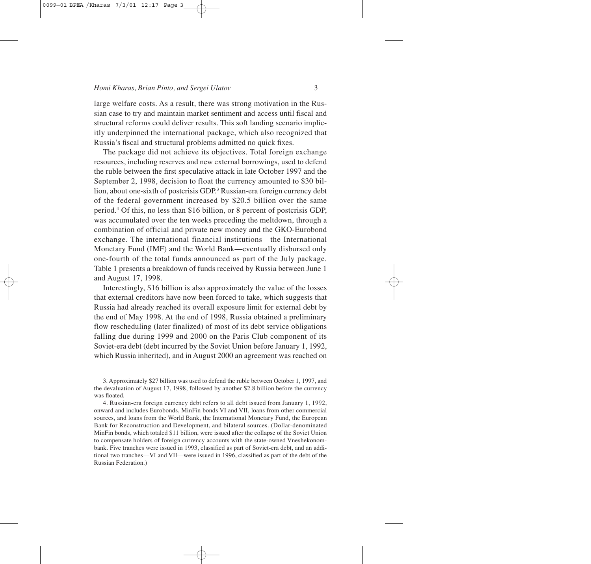large welfare costs. As a result, there was strong motivation in the Russian case to try and maintain market sentiment and access until fiscal and structural reforms could deliver results. This soft landing scenario implicitly underpinned the international package, which also recognized that Russia's fiscal and structural problems admitted no quick fixes.

The package did not achieve its objectives. Total foreign exchange resources, including reserves and new external borrowings, used to defend the ruble between the first speculative attack in late October 1997 and the September 2, 1998, decision to float the currency amounted to \$30 billion, about one-sixth of postcrisis GDP.<sup>3</sup> Russian-era foreign currency debt of the federal government increased by \$20.5 billion over the same period.4 Of this, no less than \$16 billion, or 8 percent of postcrisis GDP, was accumulated over the ten weeks preceding the meltdown, through a combination of official and private new money and the GKO-Eurobond exchange. The international financial institutions—the International Monetary Fund (IMF) and the World Bank—eventually disbursed only one-fourth of the total funds announced as part of the July package. Table 1 presents a breakdown of funds received by Russia between June 1 and August 17, 1998.

Interestingly, \$16 billion is also approximately the value of the losses that external creditors have now been forced to take, which suggests that Russia had already reached its overall exposure limit for external debt by the end of May 1998. At the end of 1998, Russia obtained a preliminary flow rescheduling (later finalized) of most of its debt service obligations falling due during 1999 and 2000 on the Paris Club component of its Soviet-era debt (debt incurred by the Soviet Union before January 1, 1992, which Russia inherited), and in August 2000 an agreement was reached on

3. Approximately \$27 billion was used to defend the ruble between October 1, 1997, and the devaluation of August 17, 1998, followed by another \$2.8 billion before the currency was floated.

4. Russian-era foreign currency debt refers to all debt issued from January 1, 1992, onward and includes Eurobonds, MinFin bonds VI and VII, loans from other commercial sources, and loans from the World Bank, the International Monetary Fund, the European Bank for Reconstruction and Development, and bilateral sources. (Dollar-denominated MinFin bonds, which totaled \$11 billion, were issued after the collapse of the Soviet Union to compensate holders of foreign currency accounts with the state-owned Vneshekonombank. Five tranches were issued in 1993, classified as part of Soviet-era debt, and an additional two tranches—VI and VII—were issued in 1996, classified as part of the debt of the Russian Federation.)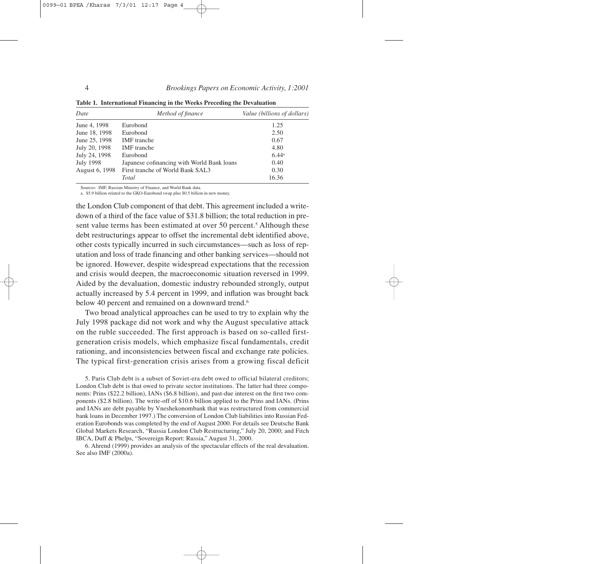| Date           | Method of finance                          | Value (billions of dollars) |
|----------------|--------------------------------------------|-----------------------------|
| June 4, 1998   | Eurobond                                   | 1.25                        |
| June 18, 1998  | Eurobond                                   | 2.50                        |
| June 25, 1998  | <b>IMF</b> tranche                         | 0.67                        |
| July 20, 1998  | <b>IMF</b> tranche                         | 4.80                        |
| July 24, 1998  | Eurobond                                   | $6.44^{\rm a}$              |
| July 1998      | Japanese cofinancing with World Bank loans | 0.40                        |
| August 6, 1998 | First tranche of World Bank SAL3           | 0.30                        |
|                | Total                                      | 16.36                       |

**Table 1. International Financing in the Weeks Preceding the Devaluation**

Sources: IMF, Russian Ministry of Finance, and World Bank data.

a. \$5.9 billion related to the GKO-Eurobond swap plus \$0.5 billion in new money.

the London Club component of that debt. This agreement included a writedown of a third of the face value of \$31.8 billion; the total reduction in present value terms has been estimated at over 50 percent.<sup>5</sup> Although these debt restructurings appear to offset the incremental debt identified above, other costs typically incurred in such circumstances—such as loss of reputation and loss of trade financing and other banking services—should not be ignored. However, despite widespread expectations that the recession and crisis would deepen, the macroeconomic situation reversed in 1999. Aided by the devaluation, domestic industry rebounded strongly, output actually increased by 5.4 percent in 1999, and inflation was brought back below 40 percent and remained on a downward trend.<sup>6</sup>

Two broad analytical approaches can be used to try to explain why the July 1998 package did not work and why the August speculative attack on the ruble succeeded. The first approach is based on so-called firstgeneration crisis models, which emphasize fiscal fundamentals, credit rationing, and inconsistencies between fiscal and exchange rate policies. The typical first-generation crisis arises from a growing fiscal deficit

5. Paris Club debt is a subset of Soviet-era debt owed to official bilateral creditors; London Club debt is that owed to private sector institutions. The latter had three components: Prins (\$22.2 billion), IANs (\$6.8 billion), and past-due interest on the first two components (\$2.8 billion). The write-off of \$10.6 billion applied to the Prins and IANs. (Prins and IANs are debt payable by Vneshekonombank that was restructured from commercial bank loans in December 1997.) The conversion of London Club liabilities into Russian Federation Eurobonds was completed by the end of August 2000. For details see Deutsche Bank Global Markets Research, "Russia London Club Restructuring," July 20, 2000; and Fitch IBCA, Duff & Phelps, "Sovereign Report: Russia," August 31, 2000.

6. Ahrend (1999) provides an analysis of the spectacular effects of the real devaluation. See also IMF (2000a).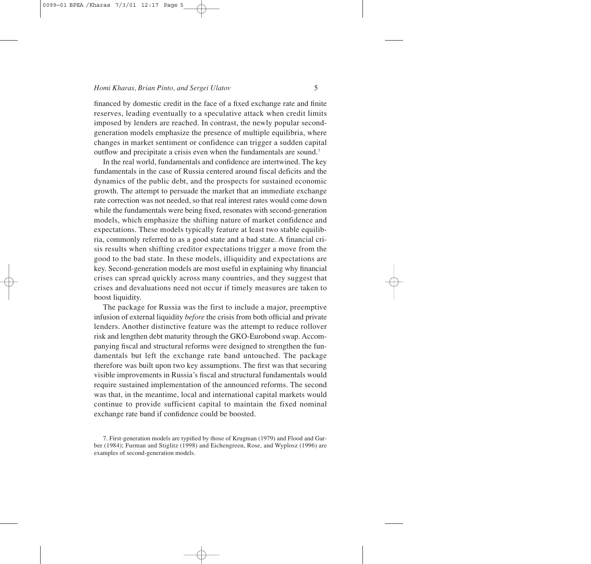financed by domestic credit in the face of a fixed exchange rate and finite reserves, leading eventually to a speculative attack when credit limits imposed by lenders are reached. In contrast, the newly popular secondgeneration models emphasize the presence of multiple equilibria, where changes in market sentiment or confidence can trigger a sudden capital outflow and precipitate a crisis even when the fundamentals are sound.7

In the real world, fundamentals and confidence are intertwined. The key fundamentals in the case of Russia centered around fiscal deficits and the dynamics of the public debt, and the prospects for sustained economic growth. The attempt to persuade the market that an immediate exchange rate correction was not needed, so that real interest rates would come down while the fundamentals were being fixed, resonates with second-generation models, which emphasize the shifting nature of market confidence and expectations. These models typically feature at least two stable equilibria, commonly referred to as a good state and a bad state. A financial crisis results when shifting creditor expectations trigger a move from the good to the bad state. In these models, illiquidity and expectations are key. Second-generation models are most useful in explaining why financial crises can spread quickly across many countries, and they suggest that crises and devaluations need not occur if timely measures are taken to boost liquidity.

The package for Russia was the first to include a major, preemptive infusion of external liquidity *before* the crisis from both official and private lenders. Another distinctive feature was the attempt to reduce rollover risk and lengthen debt maturity through the GKO-Eurobond swap. Accompanying fiscal and structural reforms were designed to strengthen the fundamentals but left the exchange rate band untouched. The package therefore was built upon two key assumptions. The first was that securing visible improvements in Russia's fiscal and structural fundamentals would require sustained implementation of the announced reforms. The second was that, in the meantime, local and international capital markets would continue to provide sufficient capital to maintain the fixed nominal exchange rate band if confidence could be boosted.

7. First-generation models are typified by those of Krugman (1979) and Flood and Garber (1984); Furman and Stiglitz (1998) and Eichengreen, Rose, and Wyplosz (1996) are examples of second-generation models.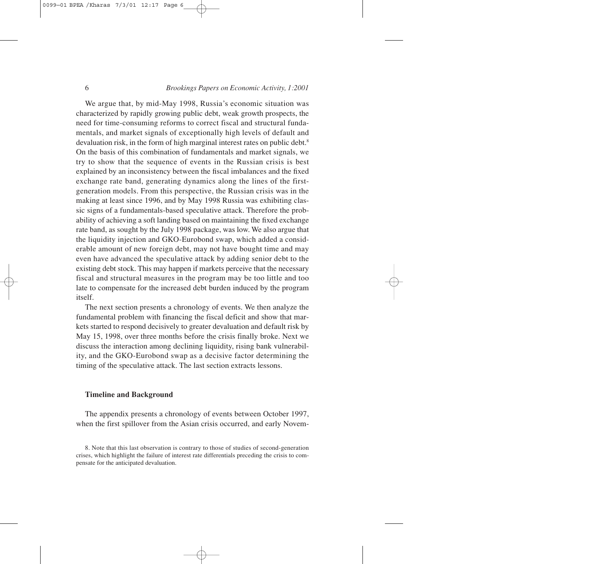We argue that, by mid-May 1998, Russia's economic situation was characterized by rapidly growing public debt, weak growth prospects, the need for time-consuming reforms to correct fiscal and structural fundamentals, and market signals of exceptionally high levels of default and devaluation risk, in the form of high marginal interest rates on public debt.<sup>8</sup> On the basis of this combination of fundamentals and market signals, we try to show that the sequence of events in the Russian crisis is best explained by an inconsistency between the fiscal imbalances and the fixed exchange rate band, generating dynamics along the lines of the firstgeneration models. From this perspective, the Russian crisis was in the making at least since 1996, and by May 1998 Russia was exhibiting classic signs of a fundamentals-based speculative attack. Therefore the probability of achieving a soft landing based on maintaining the fixed exchange rate band, as sought by the July 1998 package, was low. We also argue that the liquidity injection and GKO-Eurobond swap, which added a considerable amount of new foreign debt, may not have bought time and may even have advanced the speculative attack by adding senior debt to the existing debt stock. This may happen if markets perceive that the necessary fiscal and structural measures in the program may be too little and too late to compensate for the increased debt burden induced by the program itself.

The next section presents a chronology of events. We then analyze the fundamental problem with financing the fiscal deficit and show that markets started to respond decisively to greater devaluation and default risk by May 15, 1998, over three months before the crisis finally broke. Next we discuss the interaction among declining liquidity, rising bank vulnerability, and the GKO-Eurobond swap as a decisive factor determining the timing of the speculative attack. The last section extracts lessons.

#### **Timeline and Background**

The appendix presents a chronology of events between October 1997, when the first spillover from the Asian crisis occurred, and early Novem-

<sup>8.</sup> Note that this last observation is contrary to those of studies of second-generation crises, which highlight the failure of interest rate differentials preceding the crisis to compensate for the anticipated devaluation.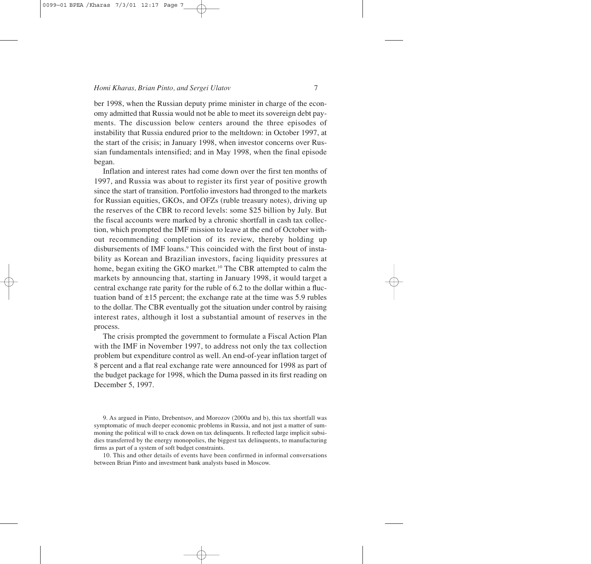ber 1998, when the Russian deputy prime minister in charge of the economy admitted that Russia would not be able to meet its sovereign debt payments. The discussion below centers around the three episodes of instability that Russia endured prior to the meltdown: in October 1997, at the start of the crisis; in January 1998, when investor concerns over Russian fundamentals intensified; and in May 1998, when the final episode began.

Inflation and interest rates had come down over the first ten months of 1997, and Russia was about to register its first year of positive growth since the start of transition. Portfolio investors had thronged to the markets for Russian equities, GKOs, and OFZs (ruble treasury notes), driving up the reserves of the CBR to record levels: some \$25 billion by July. But the fiscal accounts were marked by a chronic shortfall in cash tax collection, which prompted the IMF mission to leave at the end of October without recommending completion of its review, thereby holding up disbursements of IMF loans.<sup>9</sup> This coincided with the first bout of instability as Korean and Brazilian investors, facing liquidity pressures at home, began exiting the GKO market.<sup>10</sup> The CBR attempted to calm the markets by announcing that, starting in January 1998, it would target a central exchange rate parity for the ruble of 6.2 to the dollar within a fluctuation band of  $\pm 15$  percent; the exchange rate at the time was 5.9 rubles to the dollar. The CBR eventually got the situation under control by raising interest rates, although it lost a substantial amount of reserves in the process.

The crisis prompted the government to formulate a Fiscal Action Plan with the IMF in November 1997, to address not only the tax collection problem but expenditure control as well. An end-of-year inflation target of 8 percent and a flat real exchange rate were announced for 1998 as part of the budget package for 1998, which the Duma passed in its first reading on December 5, 1997.

9. As argued in Pinto, Drebentsov, and Morozov (2000a and b), this tax shortfall was symptomatic of much deeper economic problems in Russia, and not just a matter of summoning the political will to crack down on tax delinquents. It reflected large implicit subsidies transferred by the energy monopolies, the biggest tax delinquents, to manufacturing firms as part of a system of soft budget constraints.

10. This and other details of events have been confirmed in informal conversations between Brian Pinto and investment bank analysts based in Moscow.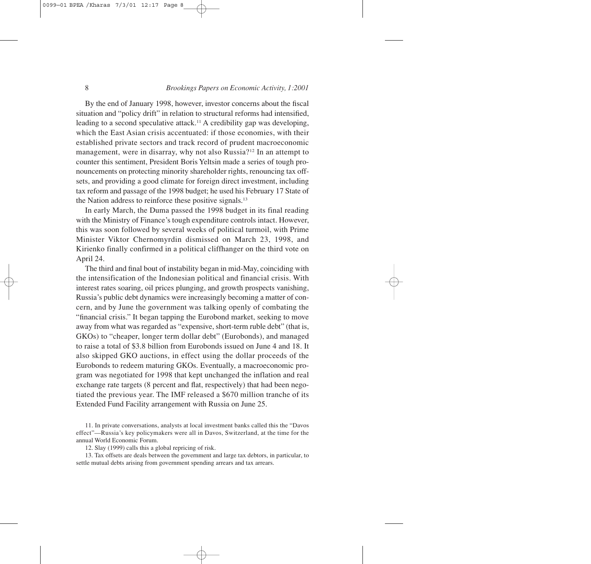By the end of January 1998, however, investor concerns about the fiscal situation and "policy drift" in relation to structural reforms had intensified, leading to a second speculative attack.<sup>11</sup> A credibility gap was developing, which the East Asian crisis accentuated: if those economies, with their established private sectors and track record of prudent macroeconomic management, were in disarray, why not also Russia?12 In an attempt to counter this sentiment, President Boris Yeltsin made a series of tough pronouncements on protecting minority shareholder rights, renouncing tax offsets, and providing a good climate for foreign direct investment, including tax reform and passage of the 1998 budget; he used his February 17 State of the Nation address to reinforce these positive signals.<sup>13</sup>

In early March, the Duma passed the 1998 budget in its final reading with the Ministry of Finance's tough expenditure controls intact. However, this was soon followed by several weeks of political turmoil, with Prime Minister Viktor Chernomyrdin dismissed on March 23, 1998, and Kirienko finally confirmed in a political cliffhanger on the third vote on April 24.

The third and final bout of instability began in mid-May, coinciding with the intensification of the Indonesian political and financial crisis. With interest rates soaring, oil prices plunging, and growth prospects vanishing, Russia's public debt dynamics were increasingly becoming a matter of concern, and by June the government was talking openly of combating the "financial crisis." It began tapping the Eurobond market, seeking to move away from what was regarded as "expensive, short-term ruble debt" (that is, GKOs) to "cheaper, longer term dollar debt" (Eurobonds), and managed to raise a total of \$3.8 billion from Eurobonds issued on June 4 and 18. It also skipped GKO auctions, in effect using the dollar proceeds of the Eurobonds to redeem maturing GKOs. Eventually, a macroeconomic program was negotiated for 1998 that kept unchanged the inflation and real exchange rate targets (8 percent and flat, respectively) that had been negotiated the previous year. The IMF released a \$670 million tranche of its Extended Fund Facility arrangement with Russia on June 25.

12. Slay (1999) calls this a global repricing of risk.

13. Tax offsets are deals between the government and large tax debtors, in particular, to settle mutual debts arising from government spending arrears and tax arrears.

<sup>11.</sup> In private conversations, analysts at local investment banks called this the "Davos effect"—Russia's key policymakers were all in Davos, Switzerland, at the time for the annual World Economic Forum.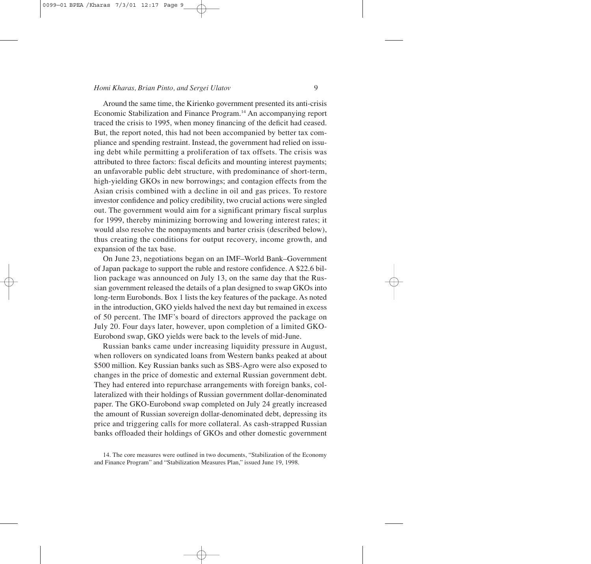Around the same time, the Kirienko government presented its anti-crisis Economic Stabilization and Finance Program.<sup>14</sup> An accompanying report traced the crisis to 1995, when money financing of the deficit had ceased. But, the report noted, this had not been accompanied by better tax compliance and spending restraint. Instead, the government had relied on issuing debt while permitting a proliferation of tax offsets. The crisis was attributed to three factors: fiscal deficits and mounting interest payments; an unfavorable public debt structure, with predominance of short-term, high-yielding GKOs in new borrowings; and contagion effects from the Asian crisis combined with a decline in oil and gas prices. To restore investor confidence and policy credibility, two crucial actions were singled out. The government would aim for a significant primary fiscal surplus for 1999, thereby minimizing borrowing and lowering interest rates; it would also resolve the nonpayments and barter crisis (described below), thus creating the conditions for output recovery, income growth, and expansion of the tax base.

On June 23, negotiations began on an IMF–World Bank–Government of Japan package to support the ruble and restore confidence. A \$22.6 billion package was announced on July 13, on the same day that the Russian government released the details of a plan designed to swap GKOs into long-term Eurobonds. Box 1 lists the key features of the package. As noted in the introduction, GKO yields halved the next day but remained in excess of 50 percent. The IMF's board of directors approved the package on July 20. Four days later, however, upon completion of a limited GKO-Eurobond swap, GKO yields were back to the levels of mid-June.

Russian banks came under increasing liquidity pressure in August, when rollovers on syndicated loans from Western banks peaked at about \$500 million. Key Russian banks such as SBS-Agro were also exposed to changes in the price of domestic and external Russian government debt. They had entered into repurchase arrangements with foreign banks, collateralized with their holdings of Russian government dollar-denominated paper. The GKO-Eurobond swap completed on July 24 greatly increased the amount of Russian sovereign dollar-denominated debt, depressing its price and triggering calls for more collateral. As cash-strapped Russian banks offloaded their holdings of GKOs and other domestic government

<sup>14.</sup> The core measures were outlined in two documents, "Stabilization of the Economy and Finance Program" and "Stabilization Measures Plan," issued June 19, 1998.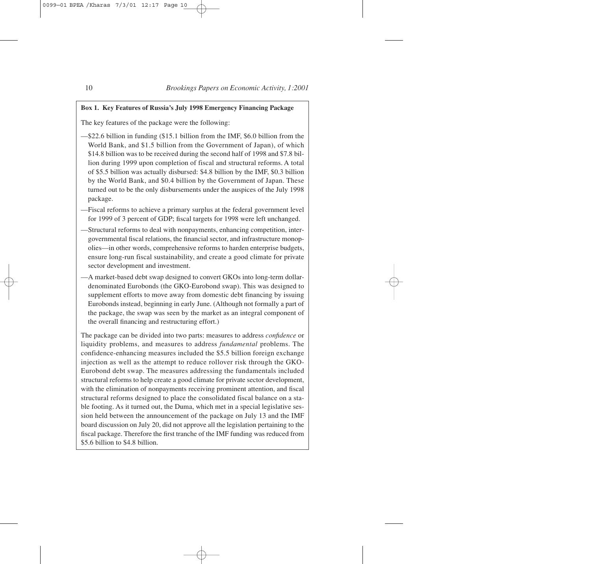#### **Box 1. Key Features of Russia's July 1998 Emergency Financing Package**

The key features of the package were the following:

- —\$22.6 billion in funding (\$15.1 billion from the IMF, \$6.0 billion from the World Bank, and \$1.5 billion from the Government of Japan), of which \$14.8 billion was to be received during the second half of 1998 and \$7.8 billion during 1999 upon completion of fiscal and structural reforms. A total of \$5.5 billion was actually disbursed: \$4.8 billion by the IMF, \$0.3 billion by the World Bank, and \$0.4 billion by the Government of Japan. These turned out to be the only disbursements under the auspices of the July 1998 package.
- —Fiscal reforms to achieve a primary surplus at the federal government level for 1999 of 3 percent of GDP; fiscal targets for 1998 were left unchanged.
- —Structural reforms to deal with nonpayments, enhancing competition, intergovernmental fiscal relations, the financial sector, and infrastructure monopolies—in other words, comprehensive reforms to harden enterprise budgets, ensure long-run fiscal sustainability, and create a good climate for private sector development and investment.
- —A market-based debt swap designed to convert GKOs into long-term dollardenominated Eurobonds (the GKO-Eurobond swap). This was designed to supplement efforts to move away from domestic debt financing by issuing Eurobonds instead, beginning in early June. (Although not formally a part of the package, the swap was seen by the market as an integral component of the overall financing and restructuring effort.)

The package can be divided into two parts: measures to address *confidence* or liquidity problems, and measures to address *fundamental* problems. The confidence-enhancing measures included the \$5.5 billion foreign exchange injection as well as the attempt to reduce rollover risk through the GKO-Eurobond debt swap. The measures addressing the fundamentals included structural reforms to help create a good climate for private sector development, with the elimination of nonpayments receiving prominent attention, and fiscal structural reforms designed to place the consolidated fiscal balance on a stable footing. As it turned out, the Duma, which met in a special legislative session held between the announcement of the package on July 13 and the IMF board discussion on July 20, did not approve all the legislation pertaining to the fiscal package. Therefore the first tranche of the IMF funding was reduced from \$5.6 billion to \$4.8 billion.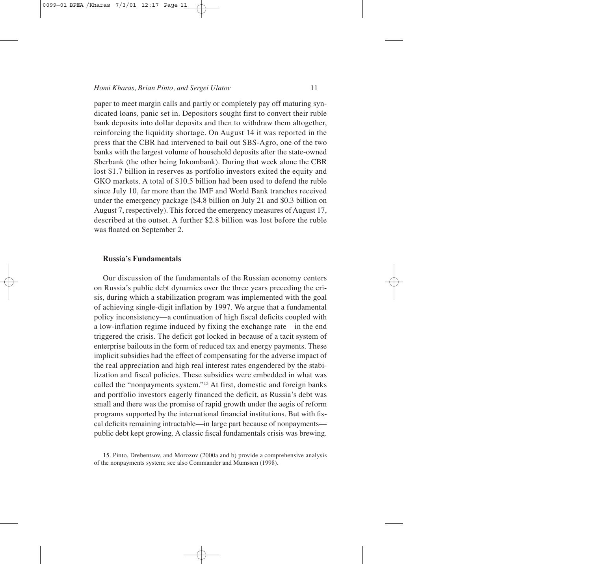paper to meet margin calls and partly or completely pay off maturing syndicated loans, panic set in. Depositors sought first to convert their ruble bank deposits into dollar deposits and then to withdraw them altogether, reinforcing the liquidity shortage. On August 14 it was reported in the press that the CBR had intervened to bail out SBS-Agro, one of the two banks with the largest volume of household deposits after the state-owned Sberbank (the other being Inkombank). During that week alone the CBR lost \$1.7 billion in reserves as portfolio investors exited the equity and GKO markets. A total of \$10.5 billion had been used to defend the ruble since July 10, far more than the IMF and World Bank tranches received under the emergency package (\$4.8 billion on July 21 and \$0.3 billion on August 7, respectively). This forced the emergency measures of August 17, described at the outset. A further \$2.8 billion was lost before the ruble was floated on September 2.

## **Russia's Fundamentals**

Our discussion of the fundamentals of the Russian economy centers on Russia's public debt dynamics over the three years preceding the crisis, during which a stabilization program was implemented with the goal of achieving single-digit inflation by 1997. We argue that a fundamental policy inconsistency—a continuation of high fiscal deficits coupled with a low-inflation regime induced by fixing the exchange rate—in the end triggered the crisis. The deficit got locked in because of a tacit system of enterprise bailouts in the form of reduced tax and energy payments. These implicit subsidies had the effect of compensating for the adverse impact of the real appreciation and high real interest rates engendered by the stabilization and fiscal policies. These subsidies were embedded in what was called the "nonpayments system."15 At first, domestic and foreign banks and portfolio investors eagerly financed the deficit, as Russia's debt was small and there was the promise of rapid growth under the aegis of reform programs supported by the international financial institutions. But with fiscal deficits remaining intractable—in large part because of nonpayments public debt kept growing. A classic fiscal fundamentals crisis was brewing.

<sup>15.</sup> Pinto, Drebentsov, and Morozov (2000a and b) provide a comprehensive analysis of the nonpayments system; see also Commander and Mumssen (1998).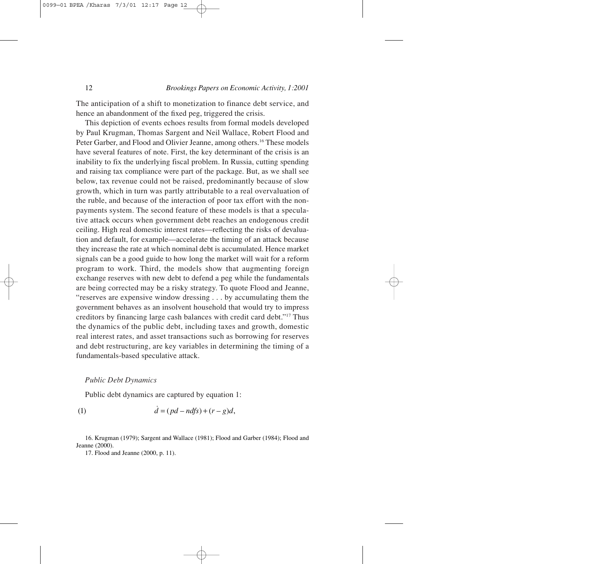The anticipation of a shift to monetization to finance debt service, and hence an abandonment of the fixed peg, triggered the crisis.

This depiction of events echoes results from formal models developed by Paul Krugman, Thomas Sargent and Neil Wallace, Robert Flood and Peter Garber, and Flood and Olivier Jeanne, among others.<sup>16</sup> These models have several features of note. First, the key determinant of the crisis is an inability to fix the underlying fiscal problem. In Russia, cutting spending and raising tax compliance were part of the package. But, as we shall see below, tax revenue could not be raised, predominantly because of slow growth, which in turn was partly attributable to a real overvaluation of the ruble, and because of the interaction of poor tax effort with the nonpayments system. The second feature of these models is that a speculative attack occurs when government debt reaches an endogenous credit ceiling. High real domestic interest rates—reflecting the risks of devaluation and default, for example—accelerate the timing of an attack because they increase the rate at which nominal debt is accumulated. Hence market signals can be a good guide to how long the market will wait for a reform program to work. Third, the models show that augmenting foreign exchange reserves with new debt to defend a peg while the fundamentals are being corrected may be a risky strategy. To quote Flood and Jeanne, "reserves are expensive window dressing . . . by accumulating them the government behaves as an insolvent household that would try to impress creditors by financing large cash balances with credit card debt."17 Thus the dynamics of the public debt, including taxes and growth, domestic real interest rates, and asset transactions such as borrowing for reserves and debt restructuring, are key variables in determining the timing of a fundamentals-based speculative attack.

#### *Public Debt Dynamics*

Public debt dynamics are captured by equation 1:

(1) 
$$
\dot{d} = (pd - ndfs) + (r - g)d,
$$

16. Krugman (1979); Sargent and Wallace (1981); Flood and Garber (1984); Flood and Jeanne (2000).

17. Flood and Jeanne (2000, p. 11).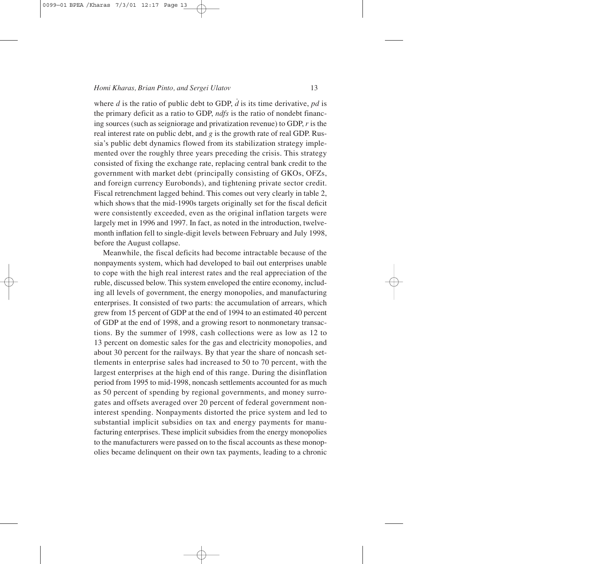where *d* is the ratio of public debt to GDP,  $\dot{d}$  is its time derivative, pd is the primary deficit as a ratio to GDP, *ndfs* is the ratio of nondebt financing sources (such as seigniorage and privatization revenue) to GDP, *r* is the real interest rate on public debt, and *g* is the growth rate of real GDP. Russia's public debt dynamics flowed from its stabilization strategy implemented over the roughly three years preceding the crisis. This strategy consisted of fixing the exchange rate, replacing central bank credit to the government with market debt (principally consisting of GKOs, OFZs, and foreign currency Eurobonds), and tightening private sector credit. Fiscal retrenchment lagged behind. This comes out very clearly in table 2, which shows that the mid-1990s targets originally set for the fiscal deficit were consistently exceeded, even as the original inflation targets were largely met in 1996 and 1997. In fact, as noted in the introduction, twelvemonth inflation fell to single-digit levels between February and July 1998, before the August collapse.

Meanwhile, the fiscal deficits had become intractable because of the nonpayments system, which had developed to bail out enterprises unable to cope with the high real interest rates and the real appreciation of the ruble, discussed below. This system enveloped the entire economy, including all levels of government, the energy monopolies, and manufacturing enterprises. It consisted of two parts: the accumulation of arrears, which grew from 15 percent of GDP at the end of 1994 to an estimated 40 percent of GDP at the end of 1998, and a growing resort to nonmonetary transactions. By the summer of 1998, cash collections were as low as 12 to 13 percent on domestic sales for the gas and electricity monopolies, and about 30 percent for the railways. By that year the share of noncash settlements in enterprise sales had increased to 50 to 70 percent, with the largest enterprises at the high end of this range. During the disinflation period from 1995 to mid-1998, noncash settlements accounted for as much as 50 percent of spending by regional governments, and money surrogates and offsets averaged over 20 percent of federal government noninterest spending. Nonpayments distorted the price system and led to substantial implicit subsidies on tax and energy payments for manufacturing enterprises. These implicit subsidies from the energy monopolies to the manufacturers were passed on to the fiscal accounts as these monopolies became delinquent on their own tax payments, leading to a chronic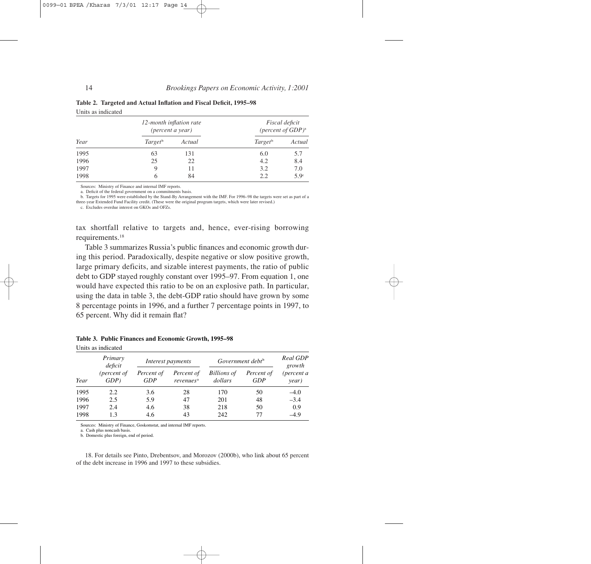| Year | 12-month inflation rate<br>(percent a year) |        | Fiscal deficit<br>(percent of $GDP$ ) <sup>a</sup> |                  |
|------|---------------------------------------------|--------|----------------------------------------------------|------------------|
|      | Target <sup>b</sup>                         | Actual | Target <sup>b</sup>                                | Actual           |
| 1995 | 63                                          | 131    | 6.0                                                | 5.7              |
| 1996 | 25                                          | 22     | 4.2                                                | 8.4              |
| 1997 | 9                                           | 11     | 3.2                                                | 7.0              |
| 1998 | 6                                           | 84     | 2.2                                                | 5.9 <sup>c</sup> |

|                    | Table 2. Targeted and Actual Inflation and Fiscal Deficit, 1995–98 |  |  |  |
|--------------------|--------------------------------------------------------------------|--|--|--|
| Units as indicated |                                                                    |  |  |  |

Sources: Ministry of Finance and internal IMF reports.

a. Deficit of the federal government on a commitments basis.

b. Targets for 1995 were established by the Stand-By Arrangement with the IMF. For 1996–98 the targets were set as part of a three-year Extended Fund Facility credit. (These were the original program targets, which were later revised.)

c. Excludes overdue interest on GKOs and OFZs.

tax shortfall relative to targets and, hence, ever-rising borrowing requirements.18

Table 3 summarizes Russia's public finances and economic growth during this period. Paradoxically, despite negative or slow positive growth, large primary deficits, and sizable interest payments, the ratio of public debt to GDP stayed roughly constant over 1995–97. From equation 1, one would have expected this ratio to be on an explosive path. In particular, using the data in table 3, the debt-GDP ratio should have grown by some 8 percentage points in 1996, and a further 7 percentage points in 1997, to 65 percent. Why did it remain flat?

| Real GDP<br>growth  |
|---------------------|
| (percent a<br>year) |
| $-4.0$              |
| $-3.4$              |
| 0.9                 |
| $-4.9$              |
|                     |

**Table 3. Public Finances and Economic Growth, 1995–98**

Sources: Ministry of Finance, Goskomstat, and internal IMF reports.

a. Cash plus noncash basis.

Units as indicated

b. Domestic plus foreign, end of period.

18. For details see Pinto, Drebentsov, and Morozov (2000b), who link about 65 percent of the debt increase in 1996 and 1997 to these subsidies.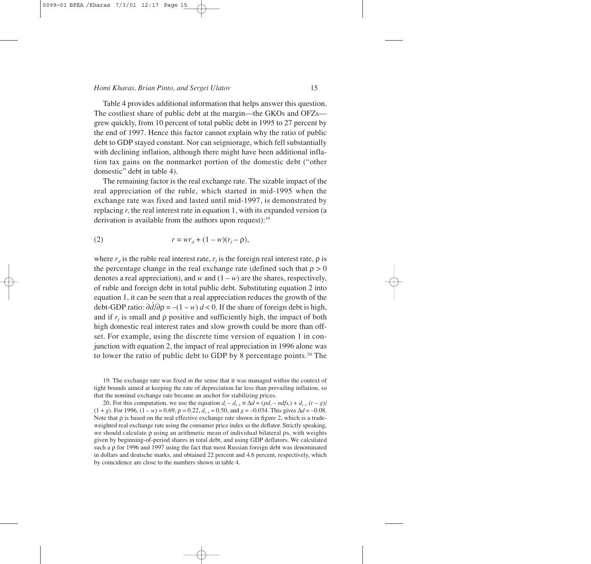Table 4 provides additional information that helps answer this question. The costliest share of public debt at the margin—the GKOs and OFZs grew quickly, from 10 percent of total public debt in 1995 to 27 percent by the end of 1997. Hence this factor cannot explain why the ratio of public debt to GDP stayed constant. Nor can seigniorage, which fell substantially with declining inflation, although there might have been additional inflation tax gains on the nonmarket portion of the domestic debt ("other domestic" debt in table 4).

The remaining factor is the real exchange rate. The sizable impact of the real appreciation of the ruble, which started in mid-1995 when the exchange rate was fixed and lasted until mid-1997, is demonstrated by replacing *r,* the real interest rate in equation 1, with its expanded version (a derivation is available from the authors upon request): $19$ 

(2) 
$$
r = wr_d + (1 - w)(r_f - \rho),
$$

where  $r_d$  is the ruble real interest rate,  $r_f$  is the foreign real interest rate,  $\rho$  is the percentage change in the real exchange rate (defined such that  $\rho > 0$ denotes a real appreciation), and  $w$  and  $(1 - w)$  are the shares, respectively, of ruble and foreign debt in total public debt. Substituting equation 2 into equation 1, it can be seen that a real appreciation reduces the growth of the debt-GDP ratio:  $\frac{\partial d}{\partial \rho} = -(1 - w) d < 0$ . If the share of foreign debt is high, and if  $r_f$  is small and  $\rho$  positive and sufficiently high, the impact of both high domestic real interest rates and slow growth could be more than offset. For example, using the discrete time version of equation 1 in conjunction with equation 2, the impact of real appreciation in 1996 alone was to lower the ratio of public debt to GDP by 8 percentage points.20 The

19. The exchange rate was fixed in the sense that it was managed within the context of tight bounds aimed at keeping the rate of depreciation far less than prevailing inflation, so that the nominal exchange rate became an anchor for stabilizing prices.

20. For this computation, we use the equation  $d_t - d_{t-1} \equiv \Delta d = (pd_t - ndfs_t) + d_{t-1} (r - g)$  $(1 + g)$ . For 1996,  $(1 - w) = 0.69$ ,  $ρ = 0.22$ ,  $d<sub>1−1</sub> = 0.50$ , and  $g = -0.034$ . This gives ∆*d* = -0.08. Note that  $\rho$  is based on the real effective exchange rate shown in figure 2, which is a tradeweighted real exchange rate using the consumer price index as the deflator. Strictly speaking, we should calculate ρ using an arithmetic mean of individual bilateral ρs, with weights given by beginning-of-period shares in total debt, and using GDP deflators. We calculated such a ρ for 1996 and 1997 using the fact that most Russian foreign debt was denominated in dollars and deutsche marks, and obtained 22 percent and 4.6 percent, respectively, which by coincidence are close to the numbers shown in table 4.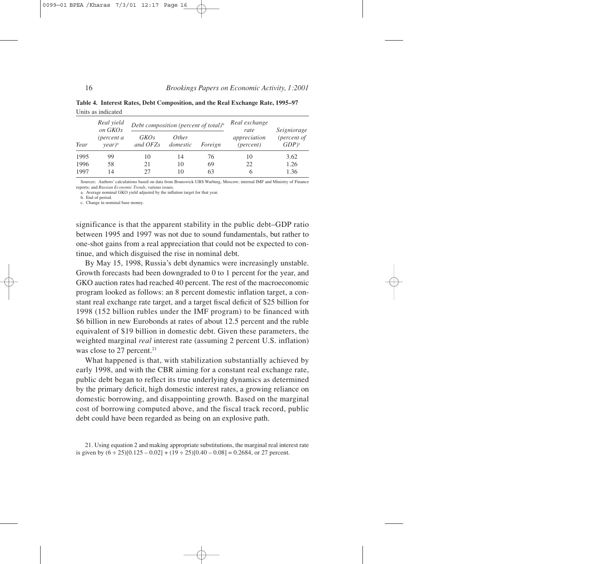| Real yield<br>on GKOs |                                    | Debt composition (percent of total) <sup>b</sup> |                          |         | Real exchange<br>rate              | Seigniorage                       |
|-----------------------|------------------------------------|--------------------------------------------------|--------------------------|---------|------------------------------------|-----------------------------------|
| Year                  | (percent a<br>$vear)$ <sup>a</sup> | GKO <sub>s</sub><br>and OFZs                     | <i>Other</i><br>domestic | Foreign | appreciation<br>( <i>percent</i> ) | (percent of<br>$GDP$ <sup>c</sup> |
| 1995                  | 99                                 | 10                                               | 14                       | 76      | 10                                 | 3.62                              |
| 1996                  | 58                                 | 21                                               | 10                       | 69      | 22                                 | 1.26                              |
| 1997                  | 14                                 | 27                                               | 10                       | 63      | <sub>(</sub>                       | 1.36                              |

**Table 4. Interest Rates, Debt Composition, and the Real Exchange Rate, 1995–97** Units as indicated

Sources: Authors' calculations based on data from Brunswick UBS Warburg, Moscow; internal IMF and Ministry of Finance reports; and *Russian Economic Trends,* various issues.

a. Average nominal GKO yield adjusted by the inflation target for that year.

b. End of period.

c. Change in nominal base money.

significance is that the apparent stability in the public debt–GDP ratio between 1995 and 1997 was not due to sound fundamentals, but rather to one-shot gains from a real appreciation that could not be expected to continue, and which disguised the rise in nominal debt.

By May 15, 1998, Russia's debt dynamics were increasingly unstable. Growth forecasts had been downgraded to 0 to 1 percent for the year, and GKO auction rates had reached 40 percent. The rest of the macroeconomic program looked as follows: an 8 percent domestic inflation target, a constant real exchange rate target, and a target fiscal deficit of \$25 billion for 1998 (152 billion rubles under the IMF program) to be financed with \$6 billion in new Eurobonds at rates of about 12.5 percent and the ruble equivalent of \$19 billion in domestic debt. Given these parameters, the weighted marginal *real* interest rate (assuming 2 percent U.S. inflation) was close to 27 percent.<sup>21</sup>

What happened is that, with stabilization substantially achieved by early 1998, and with the CBR aiming for a constant real exchange rate, public debt began to reflect its true underlying dynamics as determined by the primary deficit, high domestic interest rates, a growing reliance on domestic borrowing, and disappointing growth. Based on the marginal cost of borrowing computed above, and the fiscal track record, public debt could have been regarded as being on an explosive path.

21. Using equation 2 and making appropriate substitutions, the marginal real interest rate is given by  $(6 \div 25)[0.125 - 0.02] + (19 \div 25)[0.40 - 0.08] = 0.2684$ , or 27 percent.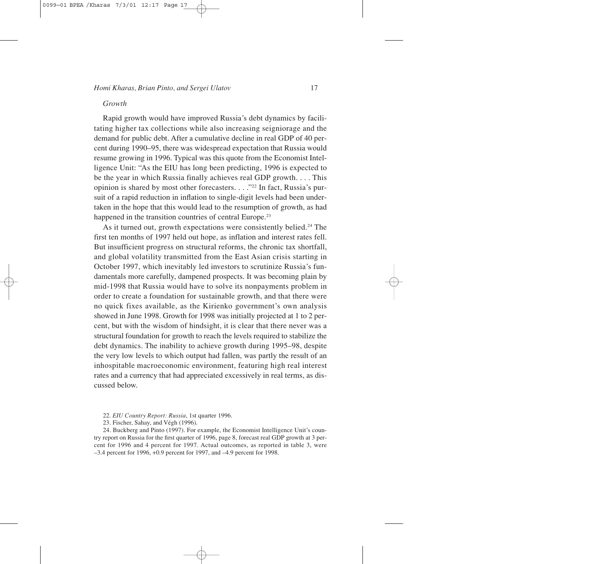#### *Growth*

Rapid growth would have improved Russia's debt dynamics by facilitating higher tax collections while also increasing seigniorage and the demand for public debt. After a cumulative decline in real GDP of 40 percent during 1990–95, there was widespread expectation that Russia would resume growing in 1996. Typical was this quote from the Economist Intelligence Unit: "As the EIU has long been predicting, 1996 is expected to be the year in which Russia finally achieves real GDP growth. . . . This opinion is shared by most other forecasters. . . . "<sup>22</sup> In fact, Russia's pursuit of a rapid reduction in inflation to single-digit levels had been undertaken in the hope that this would lead to the resumption of growth, as had happened in the transition countries of central Europe.<sup>23</sup>

As it turned out, growth expectations were consistently belied.<sup>24</sup> The first ten months of 1997 held out hope, as inflation and interest rates fell. But insufficient progress on structural reforms, the chronic tax shortfall, and global volatility transmitted from the East Asian crisis starting in October 1997, which inevitably led investors to scrutinize Russia's fundamentals more carefully, dampened prospects. It was becoming plain by mid-1998 that Russia would have to solve its nonpayments problem in order to create a foundation for sustainable growth, and that there were no quick fixes available, as the Kirienko government's own analysis showed in June 1998. Growth for 1998 was initially projected at 1 to 2 percent, but with the wisdom of hindsight, it is clear that there never was a structural foundation for growth to reach the levels required to stabilize the debt dynamics. The inability to achieve growth during 1995–98, despite the very low levels to which output had fallen, was partly the result of an inhospitable macroeconomic environment, featuring high real interest rates and a currency that had appreciated excessively in real terms, as discussed below.

<sup>22.</sup> *EIU Country Report: Russia*, 1st quarter 1996.

<sup>23.</sup> Fischer, Sahay, and Végh (1996).

<sup>24.</sup> Buckberg and Pinto (1997). For example, the Economist Intelligence Unit's country report on Russia for the first quarter of 1996, page 8, forecast real GDP growth at 3 percent for 1996 and 4 percent for 1997. Actual outcomes, as reported in table 3, were –3.4 percent for 1996, +0.9 percent for 1997, and –4.9 percent for 1998.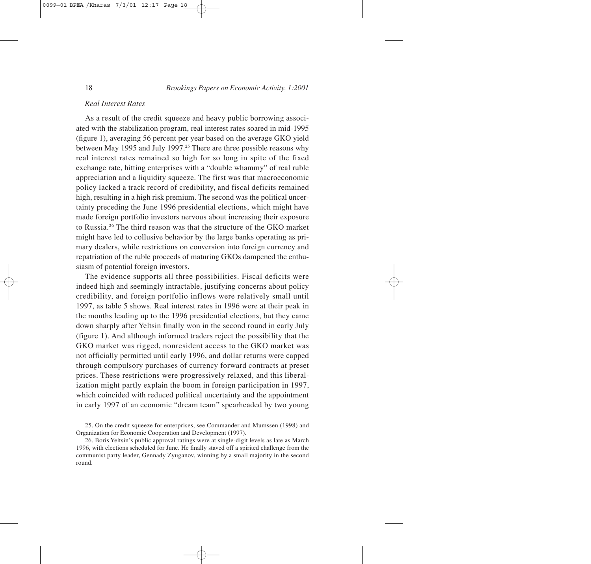## *Real Interest Rates*

As a result of the credit squeeze and heavy public borrowing associated with the stabilization program, real interest rates soared in mid-1995 (figure 1), averaging 56 percent per year based on the average GKO yield between May 1995 and July 1997.<sup>25</sup> There are three possible reasons why real interest rates remained so high for so long in spite of the fixed exchange rate, hitting enterprises with a "double whammy" of real ruble appreciation and a liquidity squeeze. The first was that macroeconomic policy lacked a track record of credibility, and fiscal deficits remained high, resulting in a high risk premium. The second was the political uncertainty preceding the June 1996 presidential elections, which might have made foreign portfolio investors nervous about increasing their exposure to Russia.26 The third reason was that the structure of the GKO market might have led to collusive behavior by the large banks operating as primary dealers, while restrictions on conversion into foreign currency and repatriation of the ruble proceeds of maturing GKOs dampened the enthusiasm of potential foreign investors.

The evidence supports all three possibilities. Fiscal deficits were indeed high and seemingly intractable, justifying concerns about policy credibility, and foreign portfolio inflows were relatively small until 1997, as table 5 shows. Real interest rates in 1996 were at their peak in the months leading up to the 1996 presidential elections, but they came down sharply after Yeltsin finally won in the second round in early July (figure 1). And although informed traders reject the possibility that the GKO market was rigged, nonresident access to the GKO market was not officially permitted until early 1996, and dollar returns were capped through compulsory purchases of currency forward contracts at preset prices. These restrictions were progressively relaxed, and this liberalization might partly explain the boom in foreign participation in 1997, which coincided with reduced political uncertainty and the appointment in early 1997 of an economic "dream team" spearheaded by two young

<sup>25.</sup> On the credit squeeze for enterprises, see Commander and Mumssen (1998) and Organization for Economic Cooperation and Development (1997).

<sup>26.</sup> Boris Yeltsin's public approval ratings were at single-digit levels as late as March 1996, with elections scheduled for June. He finally staved off a spirited challenge from the communist party leader, Gennady Zyuganov, winning by a small majority in the second round.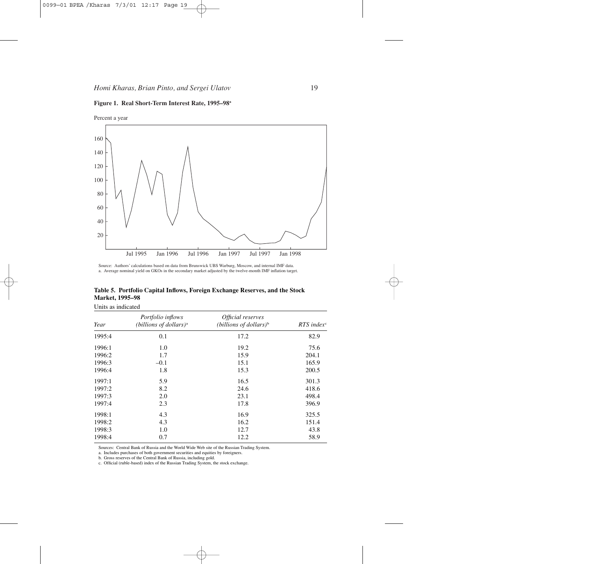

**Figure 1. Real Short-Term Interest Rate, 1995–98a**

Source: Authors' calculations based on data from Brunswick UBS Warburg, Moscow, and internal IMF data. a. Average nominal yield on GKOs in the secondary market adjusted by the twelve-month IMF inflation target.

#### **Table 5. Portfolio Capital Inflows, Foreign Exchange Reserves, and the Stock Market, 1995–98**

Units as indicated

| Year   | Portfolio inflows<br>(billions of dollars) <sup>a</sup> | Official reserves<br>(billions of dollars) <sup>b</sup> | RTS index $\epsilon$ |
|--------|---------------------------------------------------------|---------------------------------------------------------|----------------------|
| 1995:4 | 0.1                                                     | 17.2                                                    | 82.9                 |
| 1996:1 | 1.0                                                     | 19.2                                                    | 75.6                 |
| 1996:2 | 1.7                                                     | 15.9                                                    | 204.1                |
| 1996:3 | $-0.1$                                                  | 15.1                                                    | 165.9                |
| 1996:4 | 1.8                                                     | 15.3                                                    | 200.5                |
| 1997:1 | 5.9                                                     | 16.5                                                    | 301.3                |
| 1997:2 | 8.2                                                     | 24.6                                                    | 418.6                |
| 1997:3 | 2.0                                                     | 23.1                                                    | 498.4                |
| 1997:4 | 2.3                                                     | 17.8                                                    | 396.9                |
| 1998:1 | 4.3                                                     | 16.9                                                    | 325.5                |
| 1998:2 | 4.3                                                     | 16.2                                                    | 151.4                |
| 1998:3 | 1.0                                                     | 12.7                                                    | 43.8                 |
| 1998:4 | 0.7                                                     | 12.2                                                    | 58.9                 |

Sources: Central Bank of Russia and the World Wide Web site of the Russian Trading System.

a. Includes purchases of both government securities and equities by foreigners.

b. Gross reserves of the Central Bank of Russia, including gold.

c. Official (ruble-based) index of the Russian Trading System, the stock exchange.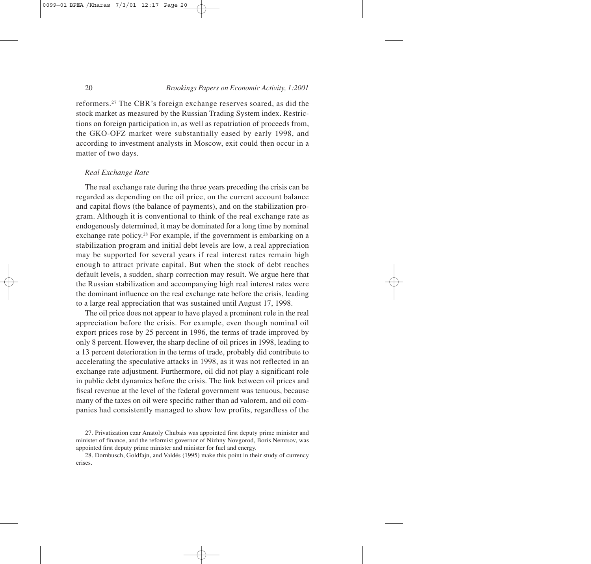reformers.27 The CBR's foreign exchange reserves soared, as did the stock market as measured by the Russian Trading System index. Restrictions on foreign participation in, as well as repatriation of proceeds from, the GKO-OFZ market were substantially eased by early 1998, and according to investment analysts in Moscow, exit could then occur in a matter of two days.

#### *Real Exchange Rate*

The real exchange rate during the three years preceding the crisis can be regarded as depending on the oil price, on the current account balance and capital flows (the balance of payments), and on the stabilization program. Although it is conventional to think of the real exchange rate as endogenously determined, it may be dominated for a long time by nominal exchange rate policy.<sup>28</sup> For example, if the government is embarking on a stabilization program and initial debt levels are low, a real appreciation may be supported for several years if real interest rates remain high enough to attract private capital. But when the stock of debt reaches default levels, a sudden, sharp correction may result. We argue here that the Russian stabilization and accompanying high real interest rates were the dominant influence on the real exchange rate before the crisis, leading to a large real appreciation that was sustained until August 17, 1998.

The oil price does not appear to have played a prominent role in the real appreciation before the crisis. For example, even though nominal oil export prices rose by 25 percent in 1996, the terms of trade improved by only 8 percent. However, the sharp decline of oil prices in 1998, leading to a 13 percent deterioration in the terms of trade, probably did contribute to accelerating the speculative attacks in 1998, as it was not reflected in an exchange rate adjustment. Furthermore, oil did not play a significant role in public debt dynamics before the crisis. The link between oil prices and fiscal revenue at the level of the federal government was tenuous, because many of the taxes on oil were specific rather than ad valorem, and oil companies had consistently managed to show low profits, regardless of the

28. Dornbusch, Goldfajn, and Valdés (1995) make this point in their study of currency crises.

<sup>27.</sup> Privatization czar Anatoly Chubais was appointed first deputy prime minister and minister of finance, and the reformist governor of Nizhny Novgorod, Boris Nemtsov, was appointed first deputy prime minister and minister for fuel and energy.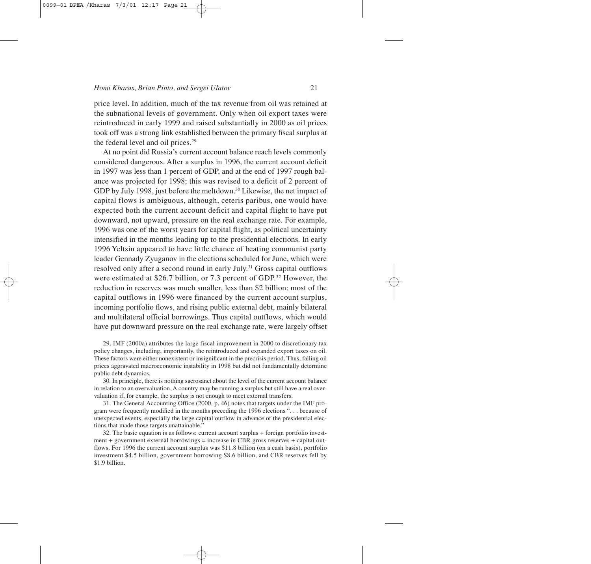price level. In addition, much of the tax revenue from oil was retained at the subnational levels of government. Only when oil export taxes were reintroduced in early 1999 and raised substantially in 2000 as oil prices took off was a strong link established between the primary fiscal surplus at the federal level and oil prices.<sup>29</sup>

At no point did Russia's current account balance reach levels commonly considered dangerous. After a surplus in 1996, the current account deficit in 1997 was less than 1 percent of GDP, and at the end of 1997 rough balance was projected for 1998; this was revised to a deficit of 2 percent of GDP by July 1998, just before the meltdown.<sup>30</sup> Likewise, the net impact of capital flows is ambiguous, although, ceteris paribus, one would have expected both the current account deficit and capital flight to have put downward, not upward, pressure on the real exchange rate. For example, 1996 was one of the worst years for capital flight, as political uncertainty intensified in the months leading up to the presidential elections. In early 1996 Yeltsin appeared to have little chance of beating communist party leader Gennady Zyuganov in the elections scheduled for June, which were resolved only after a second round in early July.<sup>31</sup> Gross capital outflows were estimated at \$26.7 billion, or 7.3 percent of GDP.<sup>32</sup> However, the reduction in reserves was much smaller, less than \$2 billion: most of the capital outflows in 1996 were financed by the current account surplus, incoming portfolio flows, and rising public external debt, mainly bilateral and multilateral official borrowings. Thus capital outflows, which would have put downward pressure on the real exchange rate, were largely offset

29. IMF (2000a) attributes the large fiscal improvement in 2000 to discretionary tax policy changes, including, importantly, the reintroduced and expanded export taxes on oil. These factors were either nonexistent or insignificant in the precrisis period. Thus, falling oil prices aggravated macroeconomic instability in 1998 but did not fundamentally determine public debt dynamics.

30. In principle, there is nothing sacrosanct about the level of the current account balance in relation to an overvaluation. A country may be running a surplus but still have a real overvaluation if, for example, the surplus is not enough to meet external transfers.

31. The General Accounting Office (2000, p. 46) notes that targets under the IMF program were frequently modified in the months preceding the 1996 elections ". . . because of unexpected events, especially the large capital outflow in advance of the presidential elections that made those targets unattainable."

32. The basic equation is as follows: current account surplus + foreign portfolio investment + government external borrowings = increase in CBR gross reserves + capital outflows. For 1996 the current account surplus was \$11.8 billion (on a cash basis), portfolio investment \$4.5 billion, government borrowing \$8.6 billion, and CBR reserves fell by \$1.9 billion.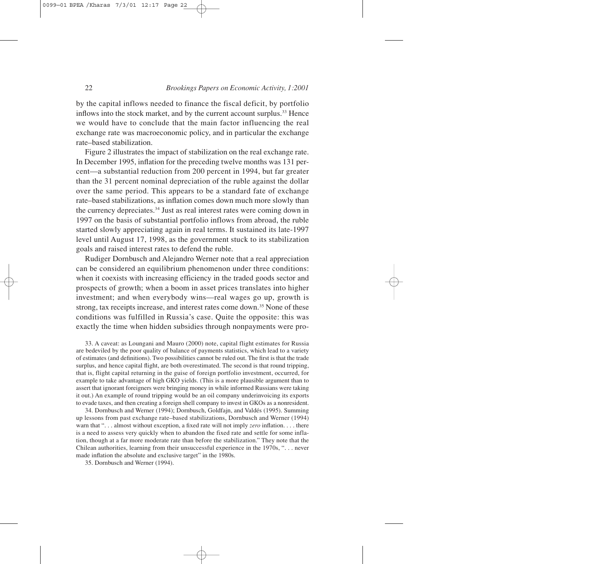by the capital inflows needed to finance the fiscal deficit, by portfolio inflows into the stock market, and by the current account surplus.<sup>33</sup> Hence we would have to conclude that the main factor influencing the real exchange rate was macroeconomic policy, and in particular the exchange rate–based stabilization.

Figure 2 illustrates the impact of stabilization on the real exchange rate. In December 1995, inflation for the preceding twelve months was 131 percent—a substantial reduction from 200 percent in 1994, but far greater than the 31 percent nominal depreciation of the ruble against the dollar over the same period. This appears to be a standard fate of exchange rate–based stabilizations, as inflation comes down much more slowly than the currency depreciates.34 Just as real interest rates were coming down in 1997 on the basis of substantial portfolio inflows from abroad, the ruble started slowly appreciating again in real terms. It sustained its late-1997 level until August 17, 1998, as the government stuck to its stabilization goals and raised interest rates to defend the ruble.

Rudiger Dornbusch and Alejandro Werner note that a real appreciation can be considered an equilibrium phenomenon under three conditions: when it coexists with increasing efficiency in the traded goods sector and prospects of growth; when a boom in asset prices translates into higher investment; and when everybody wins—real wages go up, growth is strong, tax receipts increase, and interest rates come down.<sup>35</sup> None of these conditions was fulfilled in Russia's case. Quite the opposite: this was exactly the time when hidden subsidies through nonpayments were pro-

33. A caveat: as Loungani and Mauro (2000) note, capital flight estimates for Russia are bedeviled by the poor quality of balance of payments statistics, which lead to a variety of estimates (and definitions). Two possibilities cannot be ruled out. The first is that the trade surplus, and hence capital flight, are both overestimated. The second is that round tripping, that is, flight capital returning in the guise of foreign portfolio investment, occurred, for example to take advantage of high GKO yields. (This is a more plausible argument than to assert that ignorant foreigners were bringing money in while informed Russians were taking it out.) An example of round tripping would be an oil company underinvoicing its exports to evade taxes, and then creating a foreign shell company to invest in GKOs as a nonresident.

34. Dornbusch and Werner (1994); Dornbusch, Goldfajn, and Valdés (1995). Summing up lessons from past exchange rate–based stabilizations, Dornbusch and Werner (1994) warn that ". . . almost without exception, a fixed rate will not imply *zero* inflation. . . . there is a need to assess very quickly when to abandon the fixed rate and settle for some inflation, though at a far more moderate rate than before the stabilization." They note that the Chilean authorities, learning from their unsuccessful experience in the 1970s, ". . . never made inflation the absolute and exclusive target" in the 1980s.

35. Dornbusch and Werner (1994).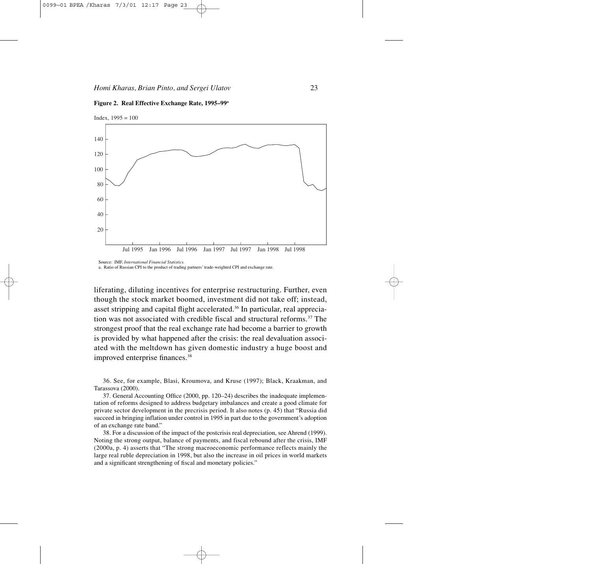

**Figure 2. Real Effective Exchange Rate, 1995–99a**

liferating, diluting incentives for enterprise restructuring. Further, even though the stock market boomed, investment did not take off; instead, asset stripping and capital flight accelerated.36 In particular, real appreciation was not associated with credible fiscal and structural reforms.<sup>37</sup> The strongest proof that the real exchange rate had become a barrier to growth is provided by what happened after the crisis: the real devaluation associated with the meltdown has given domestic industry a huge boost and improved enterprise finances.<sup>38</sup>

36. See, for example, Blasi, Kroumova, and Kruse (1997); Black, Kraakman, and Tarassova (2000).

37. General Accounting Office (2000, pp. 120–24) describes the inadequate implementation of reforms designed to address budgetary imbalances and create a good climate for private sector development in the precrisis period. It also notes (p. 45) that "Russia did succeed in bringing inflation under control in 1995 in part due to the government's adoption of an exchange rate band."

38. For a discussion of the impact of the postcrisis real depreciation, see Ahrend (1999). Noting the strong output, balance of payments, and fiscal rebound after the crisis, IMF (2000a, p. 4) asserts that "The strong macroeconomic performance reflects mainly the large real ruble depreciation in 1998, but also the increase in oil prices in world markets and a significant strengthening of fiscal and monetary policies."

Source: IMF, *International Financial Statistics.* a. Ratio of Russian CPI to the product of trading partners' trade-weighted CPI and exchange rate.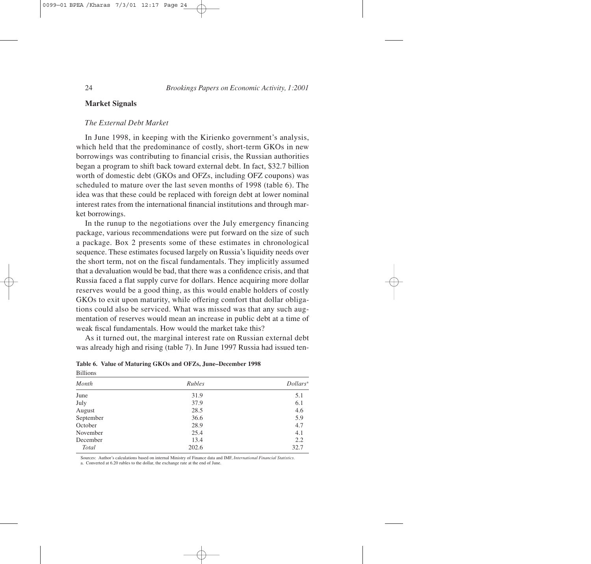#### **Market Signals**

## *The External Debt Market*

In June 1998, in keeping with the Kirienko government's analysis, which held that the predominance of costly, short-term GKOs in new borrowings was contributing to financial crisis, the Russian authorities began a program to shift back toward external debt. In fact, \$32.7 billion worth of domestic debt (GKOs and OFZs, including OFZ coupons) was scheduled to mature over the last seven months of 1998 (table 6). The idea was that these could be replaced with foreign debt at lower nominal interest rates from the international financial institutions and through market borrowings.

In the runup to the negotiations over the July emergency financing package, various recommendations were put forward on the size of such a package. Box 2 presents some of these estimates in chronological sequence. These estimates focused largely on Russia's liquidity needs over the short term, not on the fiscal fundamentals. They implicitly assumed that a devaluation would be bad, that there was a confidence crisis, and that Russia faced a flat supply curve for dollars. Hence acquiring more dollar reserves would be a good thing, as this would enable holders of costly GKOs to exit upon maturity, while offering comfort that dollar obligations could also be serviced. What was missed was that any such augmentation of reserves would mean an increase in public debt at a time of weak fiscal fundamentals. How would the market take this?

As it turned out, the marginal interest rate on Russian external debt was already high and rising (table 7). In June 1997 Russia had issued ten-

| $\sim$       |        |                      |
|--------------|--------|----------------------|
| Month        | Rubles | Dollars <sup>a</sup> |
| June         | 31.9   | 5.1                  |
| July         | 37.9   | 6.1                  |
| August       | 28.5   | 4.6                  |
| September    | 36.6   | 5.9                  |
| October      | 28.9   | 4.7                  |
| November     | 25.4   | 4.1                  |
| December     | 13.4   | 2.2                  |
| <b>Total</b> | 202.6  | 32.7                 |
|              |        |                      |

**Table 6. Value of Maturing GKOs and OFZs, June–December 1998** Billions

Sources: Author's calculations based on internal Ministry of Finance data and IMF, *International Financial Statistics.*

a. Converted at 6.20 rubles to the dollar, the exchange rate at the end of June.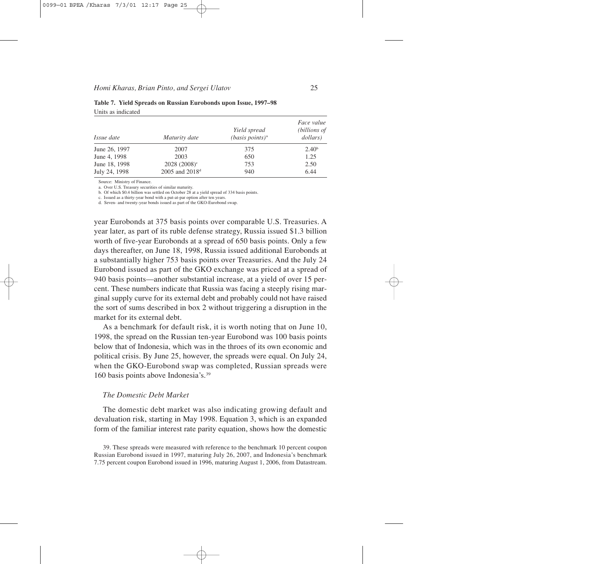| <i>Issue date</i> | Maturity date              | Yield spread<br>$(basis points)^a$ | <i>Face value</i><br>(billions of<br>dollars) |
|-------------------|----------------------------|------------------------------------|-----------------------------------------------|
| June 26, 1997     | 2007                       | 375                                | 2.40 <sup>b</sup>                             |
| June 4, 1998      | 2003                       | 650                                | 1.25                                          |
| June 18, 1998     | $2028(2008)^c$             | 753                                | 2.50                                          |
| July 24, 1998     | 2005 and 2018 <sup>d</sup> | 940                                | 6.44                                          |

| Table 7. Yield Spreads on Russian Eurobonds upon Issue, 1997–98 |  |  |
|-----------------------------------------------------------------|--|--|
| Units as indicated                                              |  |  |

Source: Ministry of Finance.

a. Over U.S. Treasury securities of similar maturity.

b. Of which \$0.4 billion was settled on October 28 at a yield spread of 334 basis points.

c. Issued as a thirty-year bond with a put-at-par option after ten years.

d. Seven- and twenty-year bonds issued as part of the GKO-Eurobond swap.

year Eurobonds at 375 basis points over comparable U.S. Treasuries. A year later, as part of its ruble defense strategy, Russia issued \$1.3 billion worth of five-year Eurobonds at a spread of 650 basis points. Only a few days thereafter, on June 18, 1998, Russia issued additional Eurobonds at a substantially higher 753 basis points over Treasuries. And the July 24 Eurobond issued as part of the GKO exchange was priced at a spread of 940 basis points—another substantial increase, at a yield of over 15 percent. These numbers indicate that Russia was facing a steeply rising marginal supply curve for its external debt and probably could not have raised the sort of sums described in box 2 without triggering a disruption in the market for its external debt.

As a benchmark for default risk, it is worth noting that on June 10, 1998, the spread on the Russian ten-year Eurobond was 100 basis points below that of Indonesia, which was in the throes of its own economic and political crisis. By June 25, however, the spreads were equal. On July 24, when the GKO-Eurobond swap was completed, Russian spreads were 160 basis points above Indonesia's.39

### *The Domestic Debt Market*

The domestic debt market was also indicating growing default and devaluation risk, starting in May 1998. Equation 3, which is an expanded form of the familiar interest rate parity equation, shows how the domestic

<sup>39.</sup> These spreads were measured with reference to the benchmark 10 percent coupon Russian Eurobond issued in 1997, maturing July 26, 2007, and Indonesia's benchmark 7.75 percent coupon Eurobond issued in 1996, maturing August 1, 2006, from Datastream.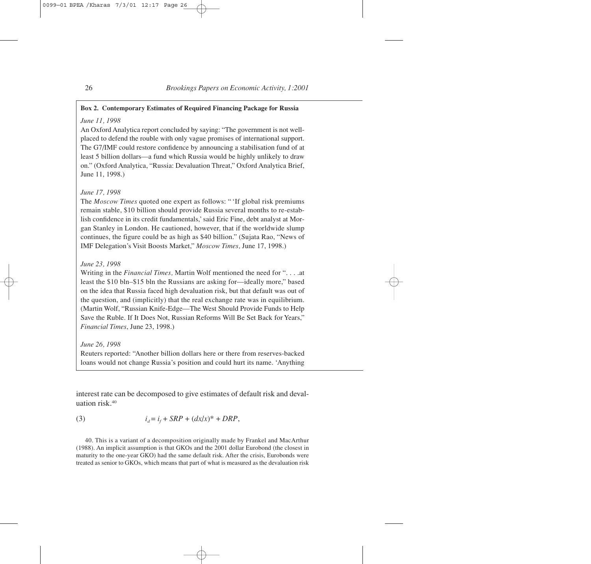## **Box 2. Contemporary Estimates of Required Financing Package for Russia**

#### *June 11, 1998*

An Oxford Analytica report concluded by saying: "The government is not wellplaced to defend the rouble with only vague promises of international support. The G7/IMF could restore confidence by announcing a stabilisation fund of at least 5 billion dollars—a fund which Russia would be highly unlikely to draw on." (Oxford Analytica, "Russia: Devaluation Threat," Oxford Analytica Brief, June 11, 1998.)

#### *June 17, 1998*

The *Moscow Times* quoted one expert as follows: " 'If global risk premiums remain stable, \$10 billion should provide Russia several months to re-establish confidence in its credit fundamentals,'said Eric Fine, debt analyst at Morgan Stanley in London. He cautioned, however, that if the worldwide slump continues, the figure could be as high as \$40 billion." (Sujata Rao, "News of IMF Delegation's Visit Boosts Market," *Moscow Times,* June 17, 1998.)

## *June 23, 1998*

Writing in the *Financial Times,* Martin Wolf mentioned the need for ". . . .at least the \$10 bln–\$15 bln the Russians are asking for—ideally more," based on the idea that Russia faced high devaluation risk, but that default was out of the question, and (implicitly) that the real exchange rate was in equilibrium. (Martin Wolf, "Russian Knife-Edge—The West Should Provide Funds to Help Save the Ruble. If It Does Not, Russian Reforms Will Be Set Back for Years," *Financial Times*, June 23, 1998.)

#### *June 26, 1998*

Reuters reported: "Another billion dollars here or there from reserves-backed loans would not change Russia's position and could hurt its name. 'Anything

interest rate can be decomposed to give estimates of default risk and devaluation risk.40

(3) 
$$
i_d = i_f + SRP + (dx/x)^* + DRP,
$$

40. This is a variant of a decomposition originally made by Frankel and MacArthur (1988). An implicit assumption is that GKOs and the 2001 dollar Eurobond (the closest in maturity to the one-year GKO) had the same default risk. After the crisis, Eurobonds were treated as senior to GKOs, which means that part of what is measured as the devaluation risk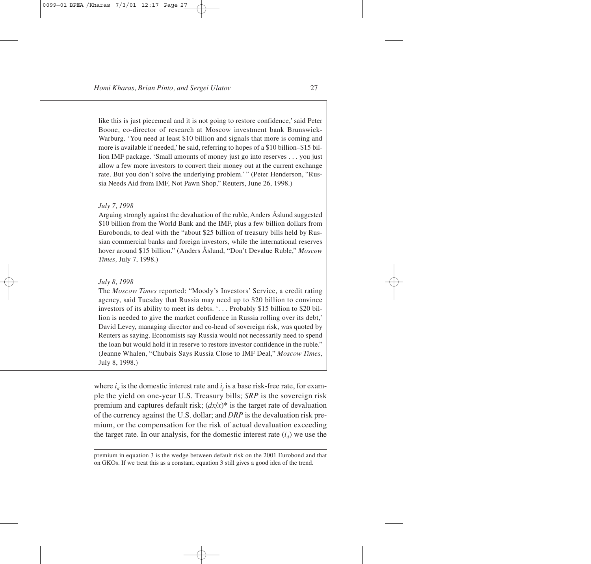like this is just piecemeal and it is not going to restore confidence,' said Peter Boone, co-director of research at Moscow investment bank Brunswick-Warburg. 'You need at least \$10 billion and signals that more is coming and more is available if needed,' he said, referring to hopes of a \$10 billion–\$15 billion IMF package. 'Small amounts of money just go into reserves . . . you just allow a few more investors to convert their money out at the current exchange rate. But you don't solve the underlying problem.'" (Peter Henderson, "Russia Needs Aid from IMF, Not Pawn Shop," Reuters, June 26, 1998.)

#### *July 7, 1998*

Arguing strongly against the devaluation of the ruble, Anders Åslund suggested \$10 billion from the World Bank and the IMF, plus a few billion dollars from Eurobonds, to deal with the "about \$25 billion of treasury bills held by Russian commercial banks and foreign investors, while the international reserves hover around \$15 billion." (Anders Åslund, "Don't Devalue Ruble," *Moscow Times,* July 7, 1998.)

## *July 8, 1998*

The *Moscow Times* reported: "Moody's Investors' Service, a credit rating agency, said Tuesday that Russia may need up to \$20 billion to convince investors of its ability to meet its debts. '. . . Probably \$15 billion to \$20 billion is needed to give the market confidence in Russia rolling over its debt,' David Levey, managing director and co-head of sovereign risk, was quoted by Reuters as saying. Economists say Russia would not necessarily need to spend the loan but would hold it in reserve to restore investor confidence in the ruble." (Jeanne Whalen, "Chubais Says Russia Close to IMF Deal," *Moscow Times,* July 8, 1998.)

where  $i_d$  is the domestic interest rate and  $i_f$  is a base risk-free rate, for example the yield on one-year U.S. Treasury bills; *SRP* is the sovereign risk premium and captures default risk;  $(dx/x)^*$  is the target rate of devaluation of the currency against the U.S. dollar; and *DRP* is the devaluation risk premium, or the compensation for the risk of actual devaluation exceeding the target rate. In our analysis, for the domestic interest rate  $(i_d)$  we use the

premium in equation 3 is the wedge between default risk on the 2001 Eurobond and that on GKOs. If we treat this as a constant, equation 3 still gives a good idea of the trend.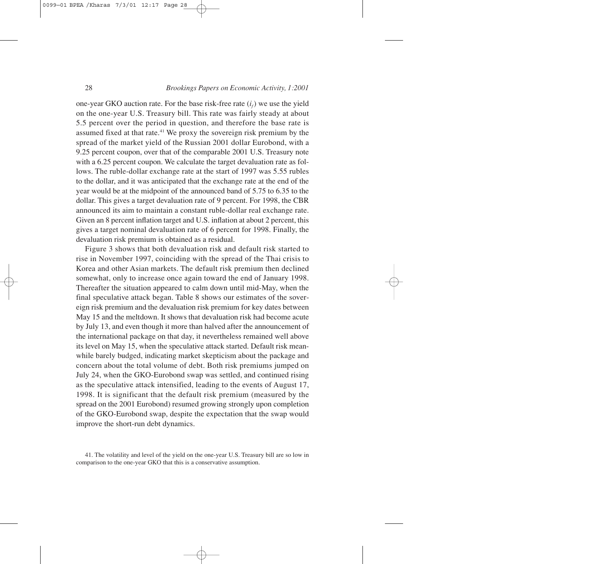one-year GKO auction rate. For the base risk-free rate  $(i_f)$  we use the yield on the one-year U.S. Treasury bill. This rate was fairly steady at about 5.5 percent over the period in question, and therefore the base rate is assumed fixed at that rate.41 We proxy the sovereign risk premium by the spread of the market yield of the Russian 2001 dollar Eurobond, with a 9.25 percent coupon, over that of the comparable 2001 U.S. Treasury note with a 6.25 percent coupon. We calculate the target devaluation rate as follows. The ruble-dollar exchange rate at the start of 1997 was 5.55 rubles to the dollar, and it was anticipated that the exchange rate at the end of the year would be at the midpoint of the announced band of 5.75 to 6.35 to the dollar. This gives a target devaluation rate of 9 percent. For 1998, the CBR announced its aim to maintain a constant ruble-dollar real exchange rate. Given an 8 percent inflation target and U.S. inflation at about 2 percent, this gives a target nominal devaluation rate of 6 percent for 1998. Finally, the devaluation risk premium is obtained as a residual.

Figure 3 shows that both devaluation risk and default risk started to rise in November 1997, coinciding with the spread of the Thai crisis to Korea and other Asian markets. The default risk premium then declined somewhat, only to increase once again toward the end of January 1998. Thereafter the situation appeared to calm down until mid-May, when the final speculative attack began. Table 8 shows our estimates of the sovereign risk premium and the devaluation risk premium for key dates between May 15 and the meltdown. It shows that devaluation risk had become acute by July 13, and even though it more than halved after the announcement of the international package on that day, it nevertheless remained well above its level on May 15, when the speculative attack started. Default risk meanwhile barely budged, indicating market skepticism about the package and concern about the total volume of debt. Both risk premiums jumped on July 24, when the GKO-Eurobond swap was settled, and continued rising as the speculative attack intensified, leading to the events of August 17, 1998. It is significant that the default risk premium (measured by the spread on the 2001 Eurobond) resumed growing strongly upon completion of the GKO-Eurobond swap, despite the expectation that the swap would improve the short-run debt dynamics.

41. The volatility and level of the yield on the one-year U.S. Treasury bill are so low in comparison to the one-year GKO that this is a conservative assumption.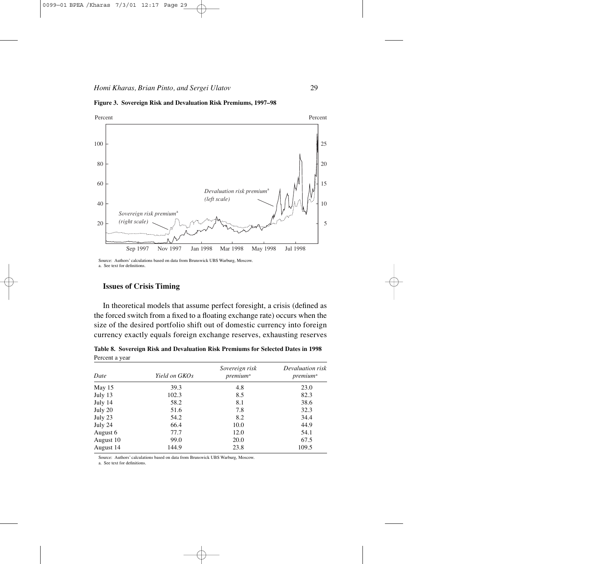

**Figure 3. Sovereign Risk and Devaluation Risk Premiums, 1997–98**

Source: Authors' calculations based on data from Brunswick UBS Warburg, Moscow. a. See text for definitions.

## **Issues of Crisis Timing**

In theoretical models that assume perfect foresight, a crisis (defined as the forced switch from a fixed to a floating exchange rate) occurs when the size of the desired portfolio shift out of domestic currency into foreign currency exactly equals foreign exchange reserves, exhausting reserves

| Date      | Yield on GKOs | Sovereign risk<br>premium <sup>a</sup> | Devaluation risk<br>premium <sup>a</sup> |
|-----------|---------------|----------------------------------------|------------------------------------------|
| May 15    | 39.3          | 4.8                                    | 23.0                                     |
| July 13   | 102.3         | 8.5                                    | 82.3                                     |
| July 14   | 58.2          | 8.1                                    | 38.6                                     |
| July 20   | 51.6          | 7.8                                    | 32.3                                     |
| July 23   | 54.2          | 8.2                                    | 34.4                                     |
| July 24   | 66.4          | 10.0                                   | 44.9                                     |
| August 6  | 77.7          | 12.0                                   | 54.1                                     |
| August 10 | 99.0          | 20.0                                   | 67.5                                     |
| August 14 | 144.9         | 23.8                                   | 109.5                                    |

**Table 8. Sovereign Risk and Devaluation Risk Premiums for Selected Dates in 1998** Percent a year

Source: Authors' calculations based on data from Brunswick UBS Warburg, Moscow.

a. See text for definitions.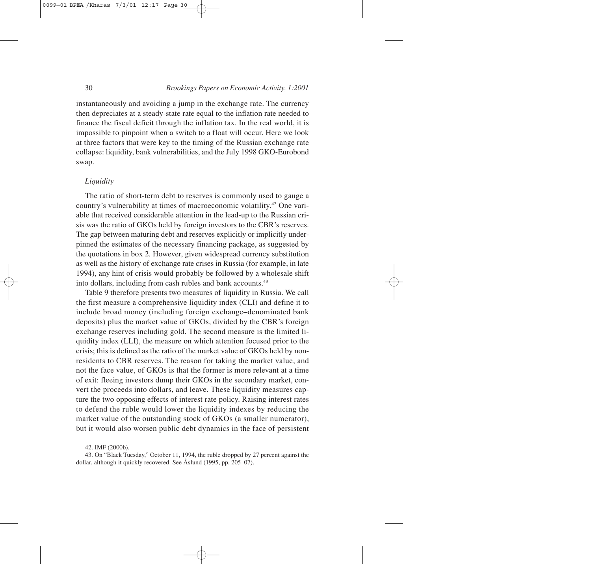instantaneously and avoiding a jump in the exchange rate. The currency then depreciates at a steady-state rate equal to the inflation rate needed to finance the fiscal deficit through the inflation tax. In the real world, it is impossible to pinpoint when a switch to a float will occur. Here we look at three factors that were key to the timing of the Russian exchange rate collapse: liquidity, bank vulnerabilities, and the July 1998 GKO-Eurobond swap.

#### *Liquidity*

The ratio of short-term debt to reserves is commonly used to gauge a country's vulnerability at times of macroeconomic volatility.42 One variable that received considerable attention in the lead-up to the Russian crisis was the ratio of GKOs held by foreign investors to the CBR's reserves. The gap between maturing debt and reserves explicitly or implicitly underpinned the estimates of the necessary financing package, as suggested by the quotations in box 2. However, given widespread currency substitution as well as the history of exchange rate crises in Russia (for example, in late 1994), any hint of crisis would probably be followed by a wholesale shift into dollars, including from cash rubles and bank accounts.<sup>43</sup>

Table 9 therefore presents two measures of liquidity in Russia. We call the first measure a comprehensive liquidity index (CLI) and define it to include broad money (including foreign exchange–denominated bank deposits) plus the market value of GKOs, divided by the CBR's foreign exchange reserves including gold. The second measure is the limited liquidity index (LLI), the measure on which attention focused prior to the crisis; this is defined as the ratio of the market value of GKOs held by nonresidents to CBR reserves. The reason for taking the market value, and not the face value, of GKOs is that the former is more relevant at a time of exit: fleeing investors dump their GKOs in the secondary market, convert the proceeds into dollars, and leave. These liquidity measures capture the two opposing effects of interest rate policy. Raising interest rates to defend the ruble would lower the liquidity indexes by reducing the market value of the outstanding stock of GKOs (a smaller numerator), but it would also worsen public debt dynamics in the face of persistent

42. IMF (2000b).

43. On "Black Tuesday," October 11, 1994, the ruble dropped by 27 percent against the dollar, although it quickly recovered. See Åslund (1995, pp. 205–07).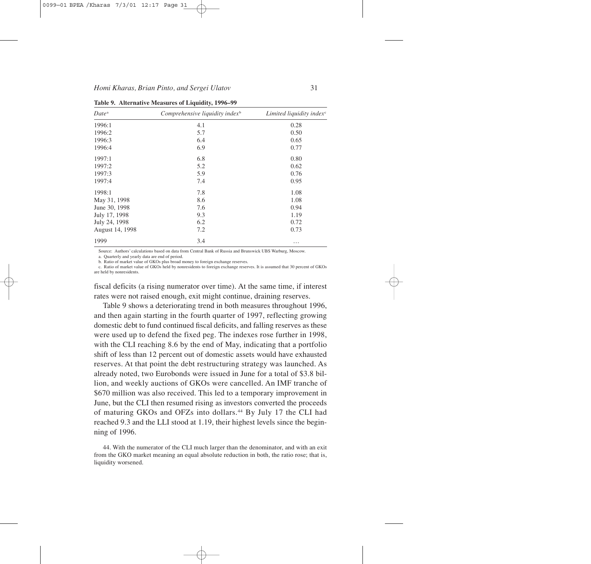| $Date^a$        | Comprehensive liquidity index <sup>b</sup> | Limited liquidity index <sup>c</sup> |
|-----------------|--------------------------------------------|--------------------------------------|
| 1996:1          | 4.1                                        | 0.28                                 |
| 1996:2          | 5.7                                        | 0.50                                 |
| 1996:3          | 6.4                                        | 0.65                                 |
| 1996:4          | 6.9                                        | 0.77                                 |
| 1997:1          | 6.8                                        | 0.80                                 |
| 1997:2          | 5.2                                        | 0.62                                 |
| 1997:3          | 5.9                                        | 0.76                                 |
| 1997:4          | 7.4                                        | 0.95                                 |
| 1998:1          | 7.8                                        | 1.08                                 |
| May 31, 1998    | 8.6                                        | 1.08                                 |
| June 30, 1998   | 7.6                                        | 0.94                                 |
| July 17, 1998   | 9.3                                        | 1.19                                 |
| July 24, 1998   | 6.2                                        | 0.72                                 |
| August 14, 1998 | 7.2                                        | 0.73                                 |
| 1999            | 3.4                                        | .                                    |

**Table 9. Alternative Measures of Liquidity, 1996–99**

Source: Authors' calculations based on data from Central Bank of Russia and Brunswick UBS Warburg, Moscow.

a. Quarterly and yearly data are end of period.

b. Ratio of market value of GKOs plus broad money to foreign exchange reserves.

c. Ratio of market value of GKOs held by nonresidents to foreign exchange reserves. It is assumed that 30 percent of GKOs are held by nonresidents.

fiscal deficits (a rising numerator over time). At the same time, if interest rates were not raised enough, exit might continue, draining reserves.

Table 9 shows a deteriorating trend in both measures throughout 1996, and then again starting in the fourth quarter of 1997, reflecting growing domestic debt to fund continued fiscal deficits, and falling reserves as these were used up to defend the fixed peg. The indexes rose further in 1998, with the CLI reaching 8.6 by the end of May, indicating that a portfolio shift of less than 12 percent out of domestic assets would have exhausted reserves. At that point the debt restructuring strategy was launched. As already noted, two Eurobonds were issued in June for a total of \$3.8 billion, and weekly auctions of GKOs were cancelled. An IMF tranche of \$670 million was also received. This led to a temporary improvement in June, but the CLI then resumed rising as investors converted the proceeds of maturing GKOs and OFZs into dollars.<sup>44</sup> By July 17 the CLI had reached 9.3 and the LLI stood at 1.19, their highest levels since the beginning of 1996.

44. With the numerator of the CLI much larger than the denominator, and with an exit from the GKO market meaning an equal absolute reduction in both, the ratio rose; that is, liquidity worsened.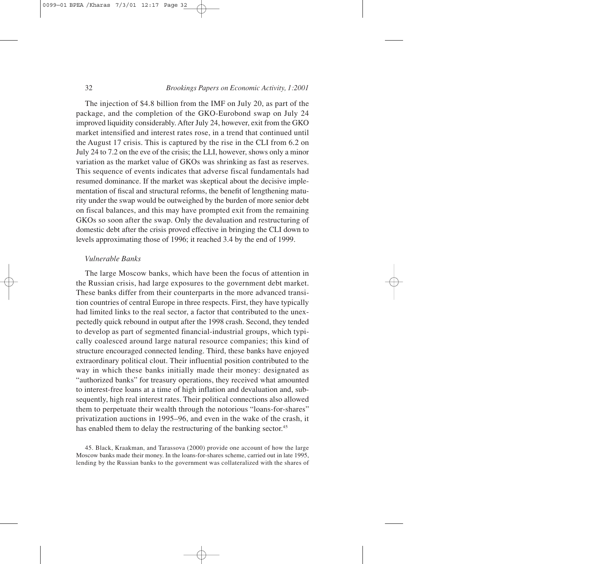The injection of \$4.8 billion from the IMF on July 20, as part of the package, and the completion of the GKO-Eurobond swap on July 24 improved liquidity considerably. After July 24, however, exit from the GKO market intensified and interest rates rose, in a trend that continued until the August 17 crisis. This is captured by the rise in the CLI from 6.2 on July 24 to 7.2 on the eve of the crisis; the LLI, however, shows only a minor variation as the market value of GKOs was shrinking as fast as reserves. This sequence of events indicates that adverse fiscal fundamentals had resumed dominance. If the market was skeptical about the decisive implementation of fiscal and structural reforms, the benefit of lengthening maturity under the swap would be outweighed by the burden of more senior debt on fiscal balances, and this may have prompted exit from the remaining GKOs so soon after the swap. Only the devaluation and restructuring of domestic debt after the crisis proved effective in bringing the CLI down to levels approximating those of 1996; it reached 3.4 by the end of 1999.

### *Vulnerable Banks*

The large Moscow banks, which have been the focus of attention in the Russian crisis, had large exposures to the government debt market. These banks differ from their counterparts in the more advanced transition countries of central Europe in three respects. First, they have typically had limited links to the real sector, a factor that contributed to the unexpectedly quick rebound in output after the 1998 crash. Second, they tended to develop as part of segmented financial-industrial groups, which typically coalesced around large natural resource companies; this kind of structure encouraged connected lending. Third, these banks have enjoyed extraordinary political clout. Their influential position contributed to the way in which these banks initially made their money: designated as "authorized banks" for treasury operations, they received what amounted to interest-free loans at a time of high inflation and devaluation and, subsequently, high real interest rates. Their political connections also allowed them to perpetuate their wealth through the notorious "loans-for-shares" privatization auctions in 1995–96, and even in the wake of the crash, it has enabled them to delay the restructuring of the banking sector.<sup>45</sup>

<sup>45.</sup> Black, Kraakman, and Tarassova (2000) provide one account of how the large Moscow banks made their money. In the loans-for-shares scheme, carried out in late 1995, lending by the Russian banks to the government was collateralized with the shares of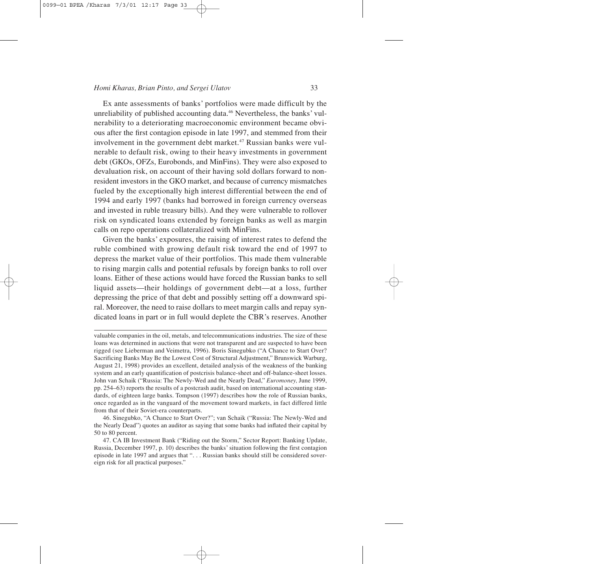Ex ante assessments of banks' portfolios were made difficult by the unreliability of published accounting data.<sup>46</sup> Nevertheless, the banks' vulnerability to a deteriorating macroeconomic environment became obvious after the first contagion episode in late 1997, and stemmed from their involvement in the government debt market.<sup>47</sup> Russian banks were vulnerable to default risk, owing to their heavy investments in government debt (GKOs, OFZs, Eurobonds, and MinFins). They were also exposed to devaluation risk, on account of their having sold dollars forward to nonresident investors in the GKO market, and because of currency mismatches fueled by the exceptionally high interest differential between the end of 1994 and early 1997 (banks had borrowed in foreign currency overseas and invested in ruble treasury bills). And they were vulnerable to rollover risk on syndicated loans extended by foreign banks as well as margin calls on repo operations collateralized with MinFins.

Given the banks' exposures, the raising of interest rates to defend the ruble combined with growing default risk toward the end of 1997 to depress the market value of their portfolios. This made them vulnerable to rising margin calls and potential refusals by foreign banks to roll over loans. Either of these actions would have forced the Russian banks to sell liquid assets—their holdings of government debt—at a loss, further depressing the price of that debt and possibly setting off a downward spiral. Moreover, the need to raise dollars to meet margin calls and repay syndicated loans in part or in full would deplete the CBR's reserves. Another

valuable companies in the oil, metals, and telecommunications industries. The size of these loans was determined in auctions that were not transparent and are suspected to have been rigged (see Lieberman and Veimetra, 1996). Boris Sinegubko ("A Chance to Start Over? Sacrificing Banks May Be the Lowest Cost of Structural Adjustment," Brunswick Warburg, August 21, 1998) provides an excellent, detailed analysis of the weakness of the banking system and an early quantification of postcrisis balance-sheet and off-balance-sheet losses. John van Schaik ("Russia: The Newly-Wed and the Nearly Dead," *Euromoney,* June 1999, pp. 254–63) reports the results of a postcrash audit, based on international accounting standards, of eighteen large banks. Tompson (1997) describes how the role of Russian banks, once regarded as in the vanguard of the movement toward markets, in fact differed little from that of their Soviet-era counterparts.

<sup>46.</sup> Sinegubko, "A Chance to Start Over?"; van Schaik ("Russia: The Newly-Wed and the Nearly Dead") quotes an auditor as saying that some banks had inflated their capital by 50 to 80 percent.

<sup>47.</sup> CA IB Investment Bank ("Riding out the Storm," Sector Report: Banking Update, Russia, December 1997, p. 10) describes the banks' situation following the first contagion episode in late 1997 and argues that ". . . Russian banks should still be considered sovereign risk for all practical purposes."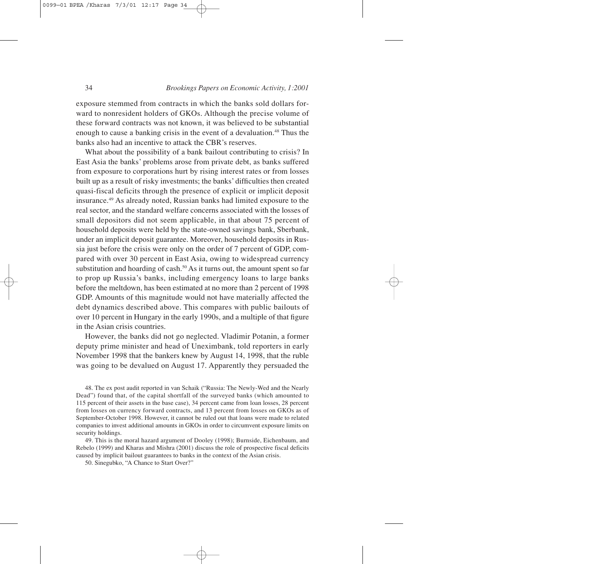exposure stemmed from contracts in which the banks sold dollars forward to nonresident holders of GKOs. Although the precise volume of these forward contracts was not known, it was believed to be substantial enough to cause a banking crisis in the event of a devaluation.<sup>48</sup> Thus the banks also had an incentive to attack the CBR's reserves.

What about the possibility of a bank bailout contributing to crisis? In East Asia the banks' problems arose from private debt, as banks suffered from exposure to corporations hurt by rising interest rates or from losses built up as a result of risky investments; the banks' difficulties then created quasi-fiscal deficits through the presence of explicit or implicit deposit insurance.49 As already noted, Russian banks had limited exposure to the real sector, and the standard welfare concerns associated with the losses of small depositors did not seem applicable, in that about 75 percent of household deposits were held by the state-owned savings bank, Sberbank, under an implicit deposit guarantee. Moreover, household deposits in Russia just before the crisis were only on the order of 7 percent of GDP, compared with over 30 percent in East Asia, owing to widespread currency substitution and hoarding of cash.<sup>50</sup> As it turns out, the amount spent so far to prop up Russia's banks, including emergency loans to large banks before the meltdown, has been estimated at no more than 2 percent of 1998 GDP. Amounts of this magnitude would not have materially affected the debt dynamics described above. This compares with public bailouts of over 10 percent in Hungary in the early 1990s, and a multiple of that figure in the Asian crisis countries.

However, the banks did not go neglected. Vladimir Potanin, a former deputy prime minister and head of Uneximbank, told reporters in early November 1998 that the bankers knew by August 14, 1998, that the ruble was going to be devalued on August 17. Apparently they persuaded the

48. The ex post audit reported in van Schaik ("Russia: The Newly-Wed and the Nearly Dead") found that, of the capital shortfall of the surveyed banks (which amounted to 115 percent of their assets in the base case), 34 percent came from loan losses, 28 percent from losses on currency forward contracts, and 13 percent from losses on GKOs as of September-October 1998. However, it cannot be ruled out that loans were made to related companies to invest additional amounts in GKOs in order to circumvent exposure limits on security holdings.

49. This is the moral hazard argument of Dooley (1998); Burnside, Eichenbaum, and Rebelo (1999) and Kharas and Mishra (2001) discuss the role of prospective fiscal deficits caused by implicit bailout guarantees to banks in the context of the Asian crisis.

50. Sinegubko, "A Chance to Start Over?"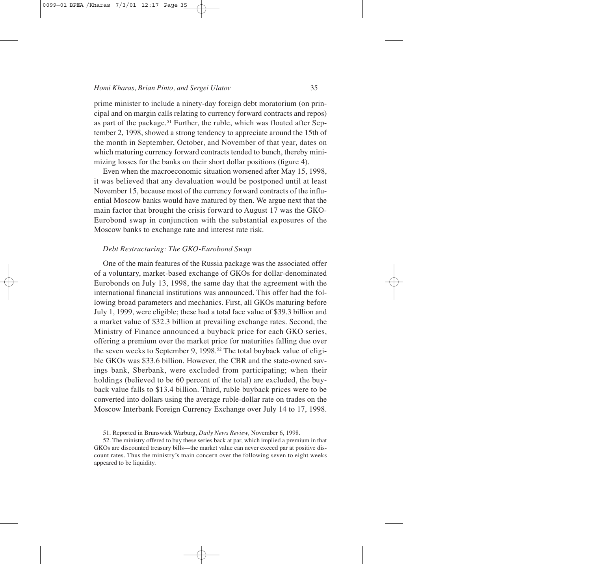prime minister to include a ninety-day foreign debt moratorium (on principal and on margin calls relating to currency forward contracts and repos) as part of the package.<sup>51</sup> Further, the ruble, which was floated after September 2, 1998, showed a strong tendency to appreciate around the 15th of the month in September, October, and November of that year, dates on which maturing currency forward contracts tended to bunch, thereby minimizing losses for the banks on their short dollar positions (figure 4).

Even when the macroeconomic situation worsened after May 15, 1998, it was believed that any devaluation would be postponed until at least November 15, because most of the currency forward contracts of the influential Moscow banks would have matured by then. We argue next that the main factor that brought the crisis forward to August 17 was the GKO-Eurobond swap in conjunction with the substantial exposures of the Moscow banks to exchange rate and interest rate risk.

## *Debt Restructuring: The GKO-Eurobond Swap*

One of the main features of the Russia package was the associated offer of a voluntary, market-based exchange of GKOs for dollar-denominated Eurobonds on July 13, 1998, the same day that the agreement with the international financial institutions was announced. This offer had the following broad parameters and mechanics. First, all GKOs maturing before July 1, 1999, were eligible; these had a total face value of \$39.3 billion and a market value of \$32.3 billion at prevailing exchange rates. Second, the Ministry of Finance announced a buyback price for each GKO series, offering a premium over the market price for maturities falling due over the seven weeks to September 9, 1998.<sup>52</sup> The total buyback value of eligible GKOs was \$33.6 billion. However, the CBR and the state-owned savings bank, Sberbank, were excluded from participating; when their holdings (believed to be 60 percent of the total) are excluded, the buyback value falls to \$13.4 billion. Third, ruble buyback prices were to be converted into dollars using the average ruble-dollar rate on trades on the Moscow Interbank Foreign Currency Exchange over July 14 to 17, 1998.

52. The ministry offered to buy these series back at par, which implied a premium in that GKOs are discounted treasury bills—the market value can never exceed par at positive discount rates. Thus the ministry's main concern over the following seven to eight weeks appeared to be liquidity.

<sup>51.</sup> Reported in Brunswick Warburg, *Daily News Review,* November 6, 1998.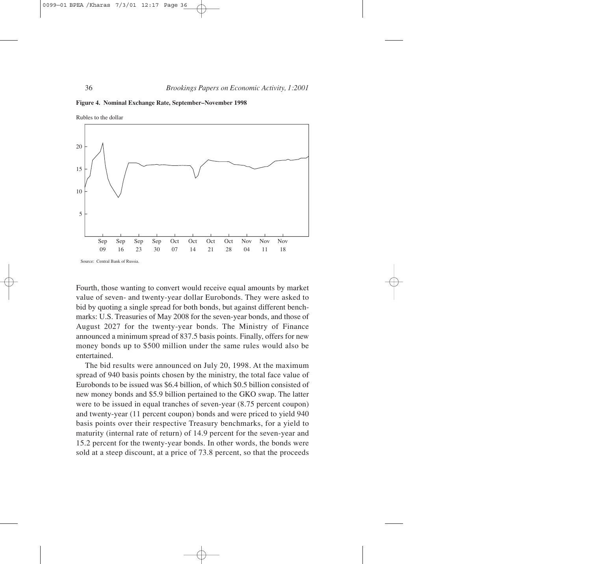

**Figure 4. Nominal Exchange Rate, September–November 1998**

Fourth, those wanting to convert would receive equal amounts by market value of seven- and twenty-year dollar Eurobonds. They were asked to bid by quoting a single spread for both bonds, but against different benchmarks: U.S. Treasuries of May 2008 for the seven-year bonds, and those of August 2027 for the twenty-year bonds. The Ministry of Finance announced a minimum spread of 837.5 basis points. Finally, offers for new money bonds up to \$500 million under the same rules would also be entertained.

The bid results were announced on July 20, 1998. At the maximum spread of 940 basis points chosen by the ministry, the total face value of Eurobonds to be issued was \$6.4 billion, of which \$0.5 billion consisted of new money bonds and \$5.9 billion pertained to the GKO swap. The latter were to be issued in equal tranches of seven-year (8.75 percent coupon) and twenty-year (11 percent coupon) bonds and were priced to yield 940 basis points over their respective Treasury benchmarks, for a yield to maturity (internal rate of return) of 14.9 percent for the seven-year and 15.2 percent for the twenty-year bonds. In other words, the bonds were sold at a steep discount, at a price of 73.8 percent, so that the proceeds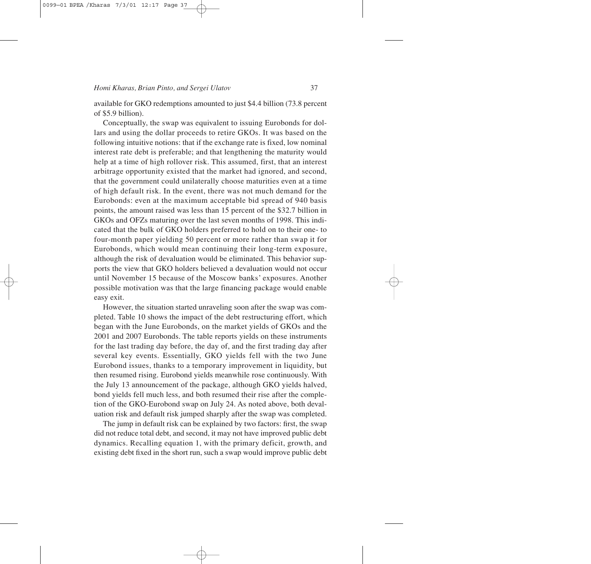available for GKO redemptions amounted to just \$4.4 billion (73.8 percent of \$5.9 billion).

Conceptually, the swap was equivalent to issuing Eurobonds for dollars and using the dollar proceeds to retire GKOs. It was based on the following intuitive notions: that if the exchange rate is fixed, low nominal interest rate debt is preferable; and that lengthening the maturity would help at a time of high rollover risk. This assumed, first, that an interest arbitrage opportunity existed that the market had ignored, and second, that the government could unilaterally choose maturities even at a time of high default risk. In the event, there was not much demand for the Eurobonds: even at the maximum acceptable bid spread of 940 basis points, the amount raised was less than 15 percent of the \$32.7 billion in GKOs and OFZs maturing over the last seven months of 1998. This indicated that the bulk of GKO holders preferred to hold on to their one- to four-month paper yielding 50 percent or more rather than swap it for Eurobonds, which would mean continuing their long-term exposure, although the risk of devaluation would be eliminated. This behavior supports the view that GKO holders believed a devaluation would not occur until November 15 because of the Moscow banks' exposures. Another possible motivation was that the large financing package would enable easy exit.

However, the situation started unraveling soon after the swap was completed. Table 10 shows the impact of the debt restructuring effort, which began with the June Eurobonds, on the market yields of GKOs and the 2001 and 2007 Eurobonds. The table reports yields on these instruments for the last trading day before, the day of, and the first trading day after several key events. Essentially, GKO yields fell with the two June Eurobond issues, thanks to a temporary improvement in liquidity, but then resumed rising. Eurobond yields meanwhile rose continuously. With the July 13 announcement of the package, although GKO yields halved, bond yields fell much less, and both resumed their rise after the completion of the GKO-Eurobond swap on July 24. As noted above, both devaluation risk and default risk jumped sharply after the swap was completed.

The jump in default risk can be explained by two factors: first, the swap did not reduce total debt, and second, it may not have improved public debt dynamics. Recalling equation 1, with the primary deficit, growth, and existing debt fixed in the short run, such a swap would improve public debt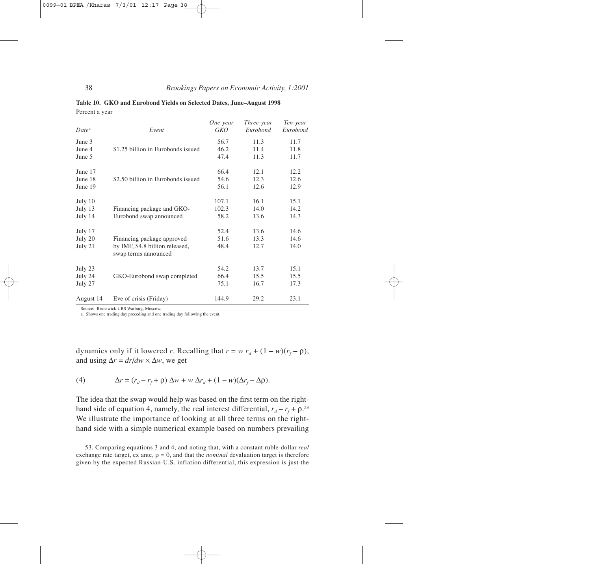| $Date^a$  | Event                                                   | One-year<br>GKO | Three-year<br>Eurobond | Ten-year<br>Eurobond |
|-----------|---------------------------------------------------------|-----------------|------------------------|----------------------|
| June 3    |                                                         | 56.7            | 11.3                   | 11.7                 |
| June 4    | \$1.25 billion in Eurobonds issued                      | 46.2            | 11.4                   | 11.8                 |
| June 5    |                                                         | 47.4            | 11.3                   | 11.7                 |
| June 17   |                                                         | 66.4            | 12.1                   | 12.2                 |
| June 18   | \$2.50 billion in Eurobonds issued                      | 54.6            | 12.3                   | 12.6                 |
| June 19   |                                                         | 56.1            | 12.6                   | 12.9                 |
| July 10   |                                                         | 107.1           | 16.1                   | 15.1                 |
| July 13   | Financing package and GKO-                              | 102.3           | 14.0                   | 14.2                 |
| July 14   | Eurobond swap announced                                 | 58.2            | 13.6                   | 14.3                 |
| July 17   |                                                         | 52.4            | 13.6                   | 14.6                 |
| July 20   | Financing package approved                              | 51.6            | 13.3                   | 14.6                 |
| July 21   | by IMF, \$4.8 billion released,<br>swap terms announced | 48.4            | 12.7                   | 14.0                 |
| July 23   |                                                         | 54.2            | 13.7                   | 15.1                 |
| July 24   | GKO-Eurobond swap completed                             | 66.4            | 15.5                   | 15.5                 |
| July 27   |                                                         | 75.1            | 16.7                   | 17.3                 |
| August 14 | Eve of crisis (Friday)                                  | 144.9           | 29.2                   | 23.1                 |

**Table 10. GKO and Eurobond Yields on Selected Dates, June–August 1998** Percent a year

Source: Brunswick UBS Warburg, Moscow.

a. Shows one trading day preceding and one trading day following the event.

dynamics only if it lowered *r*. Recalling that  $r = w r_d + (1 - w)(r_f - \rho)$ , and using  $\Delta r = dr/dw \times \Delta w$ , we get

(4) 
$$
\Delta r = (r_d - r_f + \rho) \Delta w + w \Delta r_d + (1 - w)(\Delta r_f - \Delta \rho).
$$

The idea that the swap would help was based on the first term on the righthand side of equation 4, namely, the real interest differential,  $r_d - r_f + \rho^{.53}$ We illustrate the importance of looking at all three terms on the righthand side with a simple numerical example based on numbers prevailing

<sup>53.</sup> Comparing equations 3 and 4, and noting that, with a constant ruble-dollar *real* exchange rate target, ex ante,  $\rho = 0$ , and that the *nominal* devaluation target is therefore given by the expected Russian-U.S. inflation differential, this expression is just the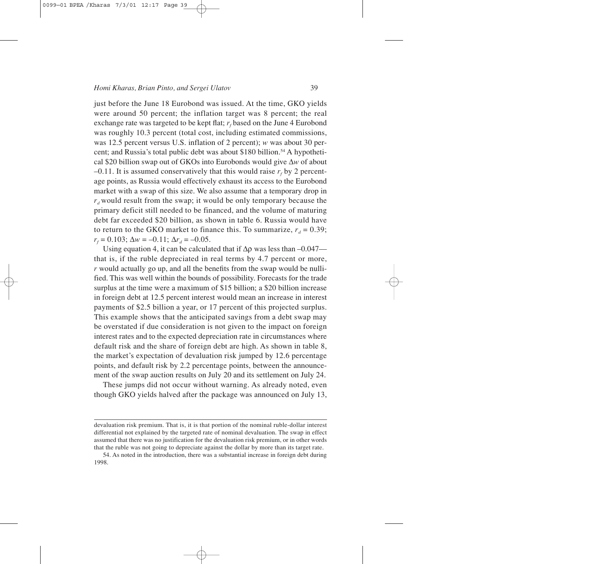just before the June 18 Eurobond was issued. At the time, GKO yields were around 50 percent; the inflation target was 8 percent; the real exchange rate was targeted to be kept flat;  $r_f$  based on the June 4 Eurobond was roughly 10.3 percent (total cost, including estimated commissions, was 12.5 percent versus U.S. inflation of 2 percent); *w* was about 30 percent; and Russia's total public debt was about \$180 billion.<sup>54</sup> A hypothetical \$20 billion swap out of GKOs into Eurobonds would give ∆*w* of about  $-0.11$ . It is assumed conservatively that this would raise  $r_f$  by 2 percentage points, as Russia would effectively exhaust its access to the Eurobond market with a swap of this size. We also assume that a temporary drop in  $r<sub>d</sub>$  would result from the swap; it would be only temporary because the primary deficit still needed to be financed, and the volume of maturing debt far exceeded \$20 billion, as shown in table 6. Russia would have to return to the GKO market to finance this. To summarize,  $r_d = 0.39$ ;  $r_f = 0.103$ ;  $\Delta w = -0.11$ ;  $\Delta r_d = -0.05$ .

Using equation 4, it can be calculated that if  $\Delta \rho$  was less than –0.047 that is, if the ruble depreciated in real terms by 4.7 percent or more, *r* would actually go up, and all the benefits from the swap would be nullified. This was well within the bounds of possibility. Forecasts for the trade surplus at the time were a maximum of \$15 billion; a \$20 billion increase in foreign debt at 12.5 percent interest would mean an increase in interest payments of \$2.5 billion a year, or 17 percent of this projected surplus. This example shows that the anticipated savings from a debt swap may be overstated if due consideration is not given to the impact on foreign interest rates and to the expected depreciation rate in circumstances where default risk and the share of foreign debt are high. As shown in table 8, the market's expectation of devaluation risk jumped by 12.6 percentage points, and default risk by 2.2 percentage points, between the announcement of the swap auction results on July 20 and its settlement on July 24.

These jumps did not occur without warning. As already noted, even though GKO yields halved after the package was announced on July 13,

devaluation risk premium. That is, it is that portion of the nominal ruble-dollar interest differential not explained by the targeted rate of nominal devaluation. The swap in effect assumed that there was no justification for the devaluation risk premium, or in other words that the ruble was not going to depreciate against the dollar by more than its target rate.

<sup>54.</sup> As noted in the introduction, there was a substantial increase in foreign debt during 1998.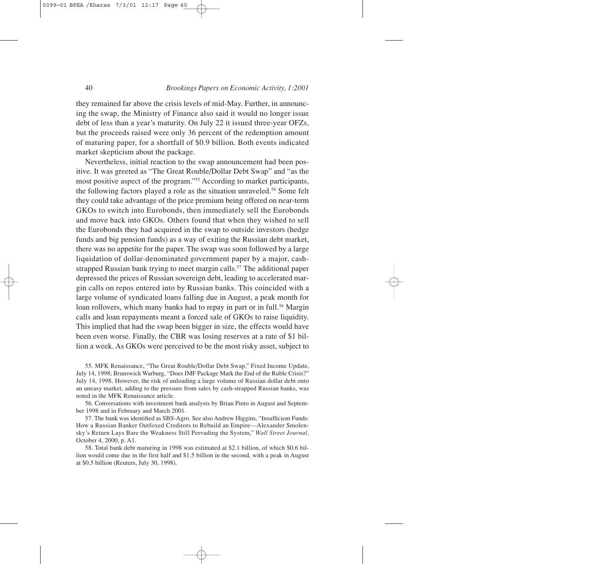they remained far above the crisis levels of mid-May. Further, in announcing the swap, the Ministry of Finance also said it would no longer issue debt of less than a year's maturity. On July 22 it issued three-year OFZs, but the proceeds raised were only 36 percent of the redemption amount of maturing paper, for a shortfall of \$0.9 billion. Both events indicated market skepticism about the package.

Nevertheless, initial reaction to the swap announcement had been positive. It was greeted as "The Great Rouble/Dollar Debt Swap" and "as the most positive aspect of the program."55 According to market participants, the following factors played a role as the situation unraveled.<sup>56</sup> Some felt they could take advantage of the price premium being offered on near-term GKOs to switch into Eurobonds, then immediately sell the Eurobonds and move back into GKOs. Others found that when they wished to sell the Eurobonds they had acquired in the swap to outside investors (hedge funds and big pension funds) as a way of exiting the Russian debt market, there was no appetite for the paper. The swap was soon followed by a large liquidation of dollar-denominated government paper by a major, cashstrapped Russian bank trying to meet margin calls.<sup>57</sup> The additional paper depressed the prices of Russian sovereign debt, leading to accelerated margin calls on repos entered into by Russian banks. This coincided with a large volume of syndicated loans falling due in August, a peak month for loan rollovers, which many banks had to repay in part or in full.<sup>58</sup> Margin calls and loan repayments meant a forced sale of GKOs to raise liquidity. This implied that had the swap been bigger in size, the effects would have been even worse. Finally, the CBR was losing reserves at a rate of \$1 billion a week. As GKOs were perceived to be the most risky asset, subject to

55. MFK Renaissance, "The Great Rouble/Dollar Debt Swap," Fixed Income Update, July 14, 1998; Brunswick Warburg, "Does IMF Package Mark the End of the Ruble Crisis?" July 14, 1998. However, the risk of unloading a large volume of Russian dollar debt onto an uneasy market, adding to the pressure from sales by cash-strapped Russian banks, was noted in the MFK Renaissance article.

56. Conversations with investment bank analysts by Brian Pinto in August and September 1998 and in February and March 2001.

57. The bank was identified as SBS-Agro. See also Andrew Higgins, "Insufficient Funds: How a Russian Banker Outfoxed Creditors to Rebuild an Empire—Alexander Smolensky's Return Lays Bare the Weakness Still Pervading the System," *Wall Street Journal,* October 4, 2000, p. A1.

58. Total bank debt maturing in 1998 was estimated at \$2.1 billion, of which \$0.6 billion would come due in the first half and \$1.5 billion in the second, with a peak in August at \$0.5 billion (Reuters, July 30, 1998).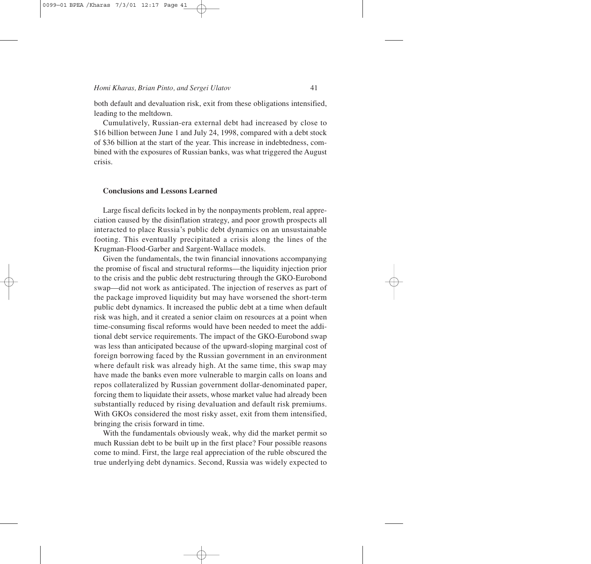both default and devaluation risk, exit from these obligations intensified, leading to the meltdown.

Cumulatively, Russian-era external debt had increased by close to \$16 billion between June 1 and July 24, 1998, compared with a debt stock of \$36 billion at the start of the year. This increase in indebtedness, combined with the exposures of Russian banks, was what triggered the August crisis.

## **Conclusions and Lessons Learned**

Large fiscal deficits locked in by the nonpayments problem, real appreciation caused by the disinflation strategy, and poor growth prospects all interacted to place Russia's public debt dynamics on an unsustainable footing. This eventually precipitated a crisis along the lines of the Krugman-Flood-Garber and Sargent-Wallace models.

Given the fundamentals, the twin financial innovations accompanying the promise of fiscal and structural reforms—the liquidity injection prior to the crisis and the public debt restructuring through the GKO-Eurobond swap—did not work as anticipated. The injection of reserves as part of the package improved liquidity but may have worsened the short-term public debt dynamics. It increased the public debt at a time when default risk was high, and it created a senior claim on resources at a point when time-consuming fiscal reforms would have been needed to meet the additional debt service requirements. The impact of the GKO-Eurobond swap was less than anticipated because of the upward-sloping marginal cost of foreign borrowing faced by the Russian government in an environment where default risk was already high. At the same time, this swap may have made the banks even more vulnerable to margin calls on loans and repos collateralized by Russian government dollar-denominated paper, forcing them to liquidate their assets, whose market value had already been substantially reduced by rising devaluation and default risk premiums. With GKOs considered the most risky asset, exit from them intensified, bringing the crisis forward in time.

With the fundamentals obviously weak, why did the market permit so much Russian debt to be built up in the first place? Four possible reasons come to mind. First, the large real appreciation of the ruble obscured the true underlying debt dynamics. Second, Russia was widely expected to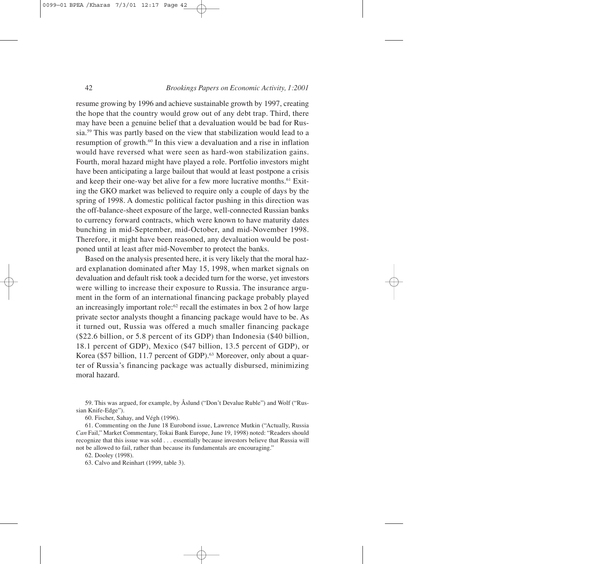resume growing by 1996 and achieve sustainable growth by 1997, creating the hope that the country would grow out of any debt trap. Third, there may have been a genuine belief that a devaluation would be bad for Russia.59 This was partly based on the view that stabilization would lead to a resumption of growth.60 In this view a devaluation and a rise in inflation would have reversed what were seen as hard-won stabilization gains. Fourth, moral hazard might have played a role. Portfolio investors might have been anticipating a large bailout that would at least postpone a crisis and keep their one-way bet alive for a few more lucrative months.61 Exiting the GKO market was believed to require only a couple of days by the spring of 1998. A domestic political factor pushing in this direction was the off-balance-sheet exposure of the large, well-connected Russian banks to currency forward contracts, which were known to have maturity dates bunching in mid-September, mid-October, and mid-November 1998. Therefore, it might have been reasoned, any devaluation would be postponed until at least after mid-November to protect the banks.

Based on the analysis presented here, it is very likely that the moral hazard explanation dominated after May 15, 1998, when market signals on devaluation and default risk took a decided turn for the worse, yet investors were willing to increase their exposure to Russia. The insurance argument in the form of an international financing package probably played an increasingly important role:<sup>62</sup> recall the estimates in box 2 of how large private sector analysts thought a financing package would have to be. As it turned out, Russia was offered a much smaller financing package (\$22.6 billion, or 5.8 percent of its GDP) than Indonesia (\$40 billion, 18.1 percent of GDP), Mexico (\$47 billion, 13.5 percent of GDP), or Korea (\$57 billion, 11.7 percent of GDP).<sup>63</sup> Moreover, only about a quarter of Russia's financing package was actually disbursed, minimizing moral hazard.

59. This was argued, for example, by Åslund ("Don't Devalue Ruble") and Wolf ("Russian Knife-Edge").

60. Fischer, Sahay, and Végh (1996).

61. Commenting on the June 18 Eurobond issue, Lawrence Mutkin ("Actually, Russia *Can* Fail," Market Commentary, Tokai Bank Europe, June 19, 1998) noted: "Readers should recognize that this issue was sold . . . essentially because investors believe that Russia will not be allowed to fail, rather than because its fundamentals are encouraging."

62. Dooley (1998).

63. Calvo and Reinhart (1999, table 3).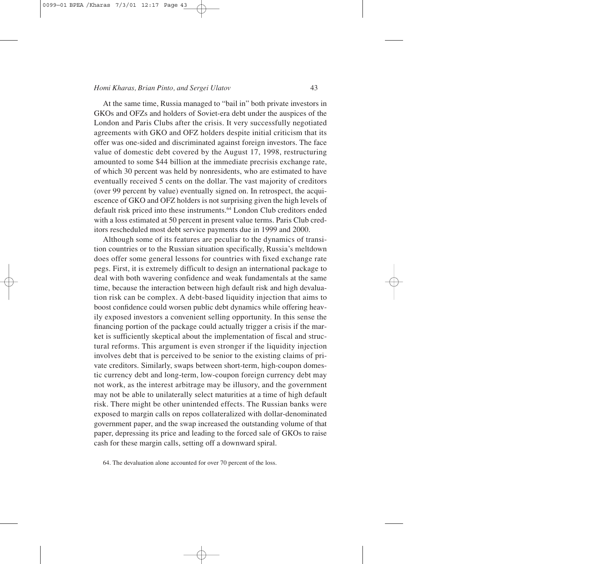At the same time, Russia managed to "bail in" both private investors in GKOs and OFZs and holders of Soviet-era debt under the auspices of the London and Paris Clubs after the crisis. It very successfully negotiated agreements with GKO and OFZ holders despite initial criticism that its offer was one-sided and discriminated against foreign investors. The face value of domestic debt covered by the August 17, 1998, restructuring amounted to some \$44 billion at the immediate precrisis exchange rate, of which 30 percent was held by nonresidents, who are estimated to have eventually received 5 cents on the dollar. The vast majority of creditors (over 99 percent by value) eventually signed on. In retrospect, the acquiescence of GKO and OFZ holders is not surprising given the high levels of default risk priced into these instruments.<sup>64</sup> London Club creditors ended with a loss estimated at 50 percent in present value terms. Paris Club creditors rescheduled most debt service payments due in 1999 and 2000.

Although some of its features are peculiar to the dynamics of transition countries or to the Russian situation specifically, Russia's meltdown does offer some general lessons for countries with fixed exchange rate pegs. First, it is extremely difficult to design an international package to deal with both wavering confidence and weak fundamentals at the same time, because the interaction between high default risk and high devaluation risk can be complex. A debt-based liquidity injection that aims to boost confidence could worsen public debt dynamics while offering heavily exposed investors a convenient selling opportunity. In this sense the financing portion of the package could actually trigger a crisis if the market is sufficiently skeptical about the implementation of fiscal and structural reforms. This argument is even stronger if the liquidity injection involves debt that is perceived to be senior to the existing claims of private creditors. Similarly, swaps between short-term, high-coupon domestic currency debt and long-term, low-coupon foreign currency debt may not work, as the interest arbitrage may be illusory, and the government may not be able to unilaterally select maturities at a time of high default risk. There might be other unintended effects. The Russian banks were exposed to margin calls on repos collateralized with dollar-denominated government paper, and the swap increased the outstanding volume of that paper, depressing its price and leading to the forced sale of GKOs to raise cash for these margin calls, setting off a downward spiral.

<sup>64.</sup> The devaluation alone accounted for over 70 percent of the loss.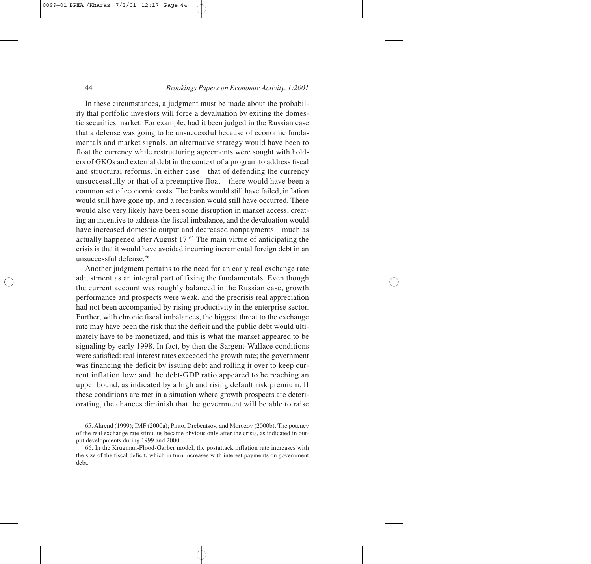In these circumstances, a judgment must be made about the probability that portfolio investors will force a devaluation by exiting the domestic securities market. For example, had it been judged in the Russian case that a defense was going to be unsuccessful because of economic fundamentals and market signals, an alternative strategy would have been to float the currency while restructuring agreements were sought with holders of GKOs and external debt in the context of a program to address fiscal and structural reforms. In either case—that of defending the currency unsuccessfully or that of a preemptive float—there would have been a common set of economic costs. The banks would still have failed, inflation would still have gone up, and a recession would still have occurred. There would also very likely have been some disruption in market access, creating an incentive to address the fiscal imbalance, and the devaluation would have increased domestic output and decreased nonpayments—much as actually happened after August 17.65 The main virtue of anticipating the crisis is that it would have avoided incurring incremental foreign debt in an unsuccessful defense.<sup>66</sup>

Another judgment pertains to the need for an early real exchange rate adjustment as an integral part of fixing the fundamentals. Even though the current account was roughly balanced in the Russian case, growth performance and prospects were weak, and the precrisis real appreciation had not been accompanied by rising productivity in the enterprise sector. Further, with chronic fiscal imbalances, the biggest threat to the exchange rate may have been the risk that the deficit and the public debt would ultimately have to be monetized, and this is what the market appeared to be signaling by early 1998. In fact, by then the Sargent-Wallace conditions were satisfied: real interest rates exceeded the growth rate; the government was financing the deficit by issuing debt and rolling it over to keep current inflation low; and the debt-GDP ratio appeared to be reaching an upper bound, as indicated by a high and rising default risk premium. If these conditions are met in a situation where growth prospects are deteriorating, the chances diminish that the government will be able to raise

<sup>65.</sup> Ahrend (1999); IMF (2000a); Pinto, Drebentsov, and Morozov (2000b). The potency of the real exchange rate stimulus became obvious only after the crisis, as indicated in output developments during 1999 and 2000.

<sup>66.</sup> In the Krugman-Flood-Garber model, the postattack inflation rate increases with the size of the fiscal deficit, which in turn increases with interest payments on government debt.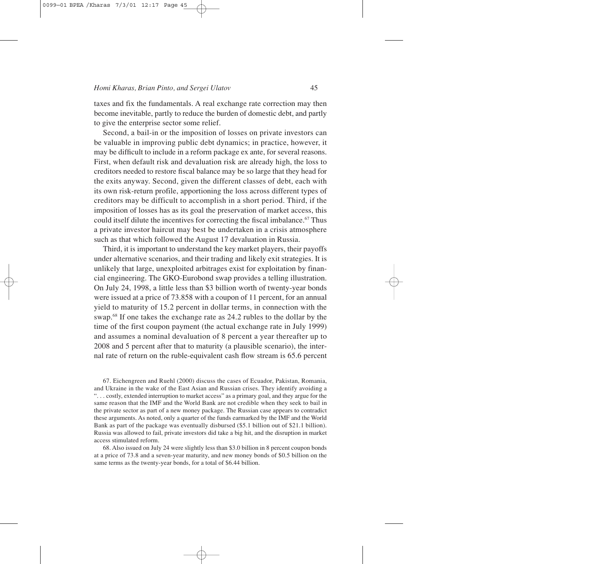taxes and fix the fundamentals. A real exchange rate correction may then become inevitable, partly to reduce the burden of domestic debt, and partly to give the enterprise sector some relief.

Second, a bail-in or the imposition of losses on private investors can be valuable in improving public debt dynamics; in practice, however, it may be difficult to include in a reform package ex ante, for several reasons. First, when default risk and devaluation risk are already high, the loss to creditors needed to restore fiscal balance may be so large that they head for the exits anyway. Second, given the different classes of debt, each with its own risk-return profile, apportioning the loss across different types of creditors may be difficult to accomplish in a short period. Third, if the imposition of losses has as its goal the preservation of market access, this could itself dilute the incentives for correcting the fiscal imbalance.<sup>67</sup> Thus a private investor haircut may best be undertaken in a crisis atmosphere such as that which followed the August 17 devaluation in Russia.

Third, it is important to understand the key market players, their payoffs under alternative scenarios, and their trading and likely exit strategies. It is unlikely that large, unexploited arbitrages exist for exploitation by financial engineering. The GKO-Eurobond swap provides a telling illustration. On July 24, 1998, a little less than \$3 billion worth of twenty-year bonds were issued at a price of 73.858 with a coupon of 11 percent, for an annual yield to maturity of 15.2 percent in dollar terms, in connection with the swap.68 If one takes the exchange rate as 24.2 rubles to the dollar by the time of the first coupon payment (the actual exchange rate in July 1999) and assumes a nominal devaluation of 8 percent a year thereafter up to 2008 and 5 percent after that to maturity (a plausible scenario), the internal rate of return on the ruble-equivalent cash flow stream is 65.6 percent

67. Eichengreen and Ruehl (2000) discuss the cases of Ecuador, Pakistan, Romania, and Ukraine in the wake of the East Asian and Russian crises. They identify avoiding a ". . . costly, extended interruption to market access" as a primary goal, and they argue for the same reason that the IMF and the World Bank are not credible when they seek to bail in the private sector as part of a new money package. The Russian case appears to contradict these arguments. As noted, only a quarter of the funds earmarked by the IMF and the World Bank as part of the package was eventually disbursed (\$5.1 billion out of \$21.1 billion). Russia was allowed to fail, private investors did take a big hit, and the disruption in market access stimulated reform.

68. Also issued on July 24 were slightly less than \$3.0 billion in 8 percent coupon bonds at a price of 73.8 and a seven-year maturity, and new money bonds of \$0.5 billion on the same terms as the twenty-year bonds, for a total of \$6.44 billion.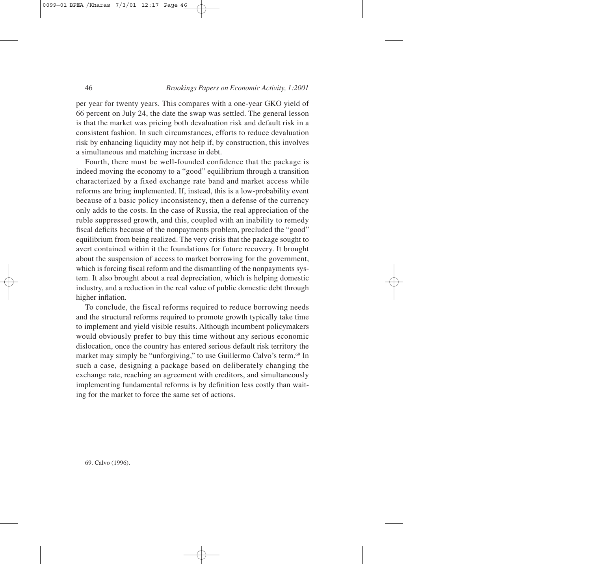per year for twenty years. This compares with a one-year GKO yield of 66 percent on July 24, the date the swap was settled. The general lesson is that the market was pricing both devaluation risk and default risk in a consistent fashion. In such circumstances, efforts to reduce devaluation risk by enhancing liquidity may not help if, by construction, this involves a simultaneous and matching increase in debt.

Fourth, there must be well-founded confidence that the package is indeed moving the economy to a "good" equilibrium through a transition characterized by a fixed exchange rate band and market access while reforms are bring implemented. If, instead, this is a low-probability event because of a basic policy inconsistency, then a defense of the currency only adds to the costs. In the case of Russia, the real appreciation of the ruble suppressed growth, and this, coupled with an inability to remedy fiscal deficits because of the nonpayments problem, precluded the "good" equilibrium from being realized. The very crisis that the package sought to avert contained within it the foundations for future recovery. It brought about the suspension of access to market borrowing for the government, which is forcing fiscal reform and the dismantling of the nonpayments system. It also brought about a real depreciation, which is helping domestic industry, and a reduction in the real value of public domestic debt through higher inflation.

To conclude, the fiscal reforms required to reduce borrowing needs and the structural reforms required to promote growth typically take time to implement and yield visible results. Although incumbent policymakers would obviously prefer to buy this time without any serious economic dislocation, once the country has entered serious default risk territory the market may simply be "unforgiving," to use Guillermo Calvo's term.<sup>69</sup> In such a case, designing a package based on deliberately changing the exchange rate, reaching an agreement with creditors, and simultaneously implementing fundamental reforms is by definition less costly than waiting for the market to force the same set of actions.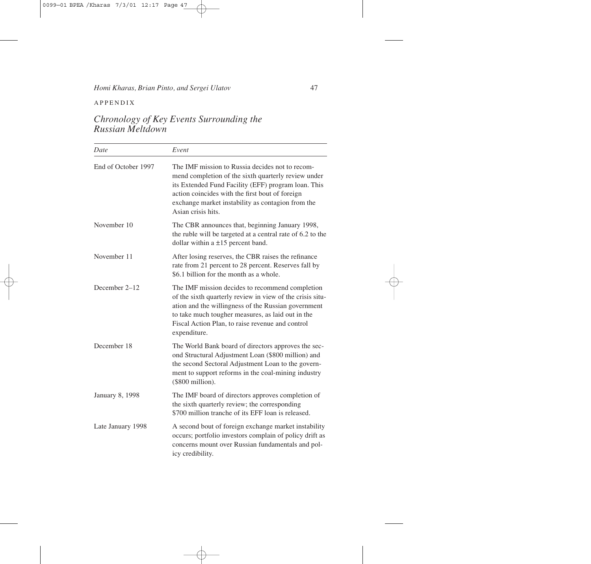## APPENDIX

## *Chronology of Key Events Surrounding the Russian Meltdown*

| Date                | Event                                                                                                                                                                                                                                                                                        |
|---------------------|----------------------------------------------------------------------------------------------------------------------------------------------------------------------------------------------------------------------------------------------------------------------------------------------|
| End of October 1997 | The IMF mission to Russia decides not to recom-<br>mend completion of the sixth quarterly review under<br>its Extended Fund Facility (EFF) program loan. This<br>action coincides with the first bout of foreign<br>exchange market instability as contagion from the<br>Asian crisis hits.  |
| November 10         | The CBR announces that, beginning January 1998,<br>the ruble will be targeted at a central rate of 6.2 to the<br>dollar within a $\pm 15$ percent band.                                                                                                                                      |
| November 11         | After losing reserves, the CBR raises the refinance<br>rate from 21 percent to 28 percent. Reserves fall by<br>\$6.1 billion for the month as a whole.                                                                                                                                       |
| December 2-12       | The IMF mission decides to recommend completion<br>of the sixth quarterly review in view of the crisis situ-<br>ation and the willingness of the Russian government<br>to take much tougher measures, as laid out in the<br>Fiscal Action Plan, to raise revenue and control<br>expenditure. |
| December 18         | The World Bank board of directors approves the sec-<br>ond Structural Adjustment Loan (\$800 million) and<br>the second Sectoral Adjustment Loan to the govern-<br>ment to support reforms in the coal-mining industry<br>(\$800 million).                                                   |
| January 8, 1998     | The IMF board of directors approves completion of<br>the sixth quarterly review; the corresponding<br>\$700 million tranche of its EFF loan is released.                                                                                                                                     |
| Late January 1998   | A second bout of foreign exchange market instability<br>occurs; portfolio investors complain of policy drift as<br>concerns mount over Russian fundamentals and pol-<br>icy credibility.                                                                                                     |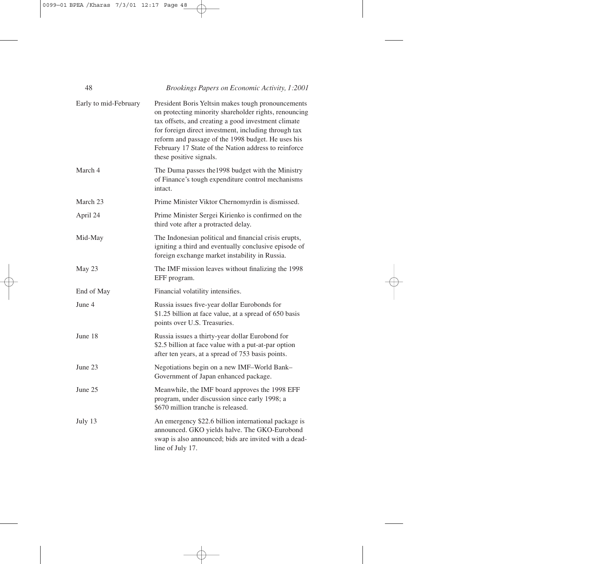| Early to mid-February | President Boris Yeltsin makes tough pronouncements<br>on protecting minority shareholder rights, renouncing<br>tax offsets, and creating a good investment climate<br>for foreign direct investment, including through tax<br>reform and passage of the 1998 budget. He uses his<br>February 17 State of the Nation address to reinforce<br>these positive signals. |
|-----------------------|---------------------------------------------------------------------------------------------------------------------------------------------------------------------------------------------------------------------------------------------------------------------------------------------------------------------------------------------------------------------|
| March 4               | The Duma passes the 1998 budget with the Ministry<br>of Finance's tough expenditure control mechanisms<br>intact.                                                                                                                                                                                                                                                   |
| March 23              | Prime Minister Viktor Chernomyrdin is dismissed.                                                                                                                                                                                                                                                                                                                    |
| April 24              | Prime Minister Sergei Kirienko is confirmed on the<br>third vote after a protracted delay.                                                                                                                                                                                                                                                                          |
| Mid-May               | The Indonesian political and financial crisis erupts,<br>igniting a third and eventually conclusive episode of<br>foreign exchange market instability in Russia.                                                                                                                                                                                                    |
| May 23                | The IMF mission leaves without finalizing the 1998<br>EFF program.                                                                                                                                                                                                                                                                                                  |
| End of May            | Financial volatility intensifies.                                                                                                                                                                                                                                                                                                                                   |
| June 4                | Russia issues five-year dollar Eurobonds for<br>\$1.25 billion at face value, at a spread of 650 basis<br>points over U.S. Treasuries.                                                                                                                                                                                                                              |
| June 18               | Russia issues a thirty-year dollar Eurobond for<br>\$2.5 billion at face value with a put-at-par option<br>after ten years, at a spread of 753 basis points.                                                                                                                                                                                                        |
| June 23               | Negotiations begin on a new IMF-World Bank-<br>Government of Japan enhanced package.                                                                                                                                                                                                                                                                                |
| June 25               | Meanwhile, the IMF board approves the 1998 EFF<br>program, under discussion since early 1998; a<br>\$670 million tranche is released.                                                                                                                                                                                                                               |
| July 13               | An emergency \$22.6 billion international package is<br>announced. GKO yields halve. The GKO-Eurobond<br>swap is also announced; bids are invited with a dead-<br>line of July 17.                                                                                                                                                                                  |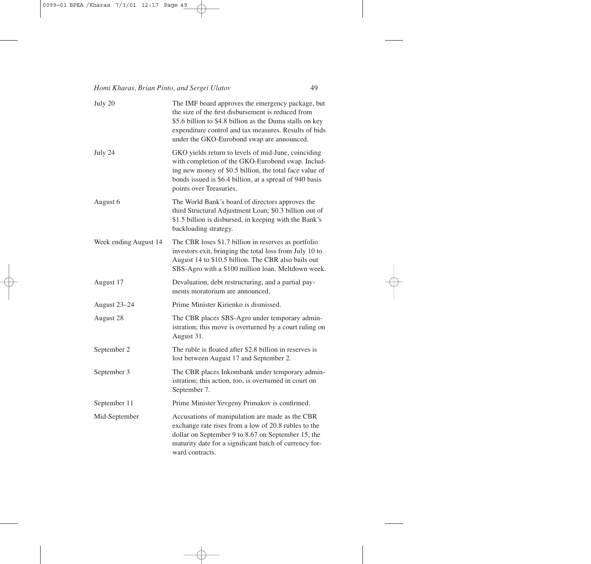| July 20               | The IMF board approves the emergency package, but<br>the size of the first disbursement is reduced from<br>\$5.6 billion to \$4.8 billion as the Duma stalls on key<br>expenditure control and tax measures. Results of bids<br>under the GKO-Eurobond swap are announced. |
|-----------------------|----------------------------------------------------------------------------------------------------------------------------------------------------------------------------------------------------------------------------------------------------------------------------|
| July 24               | GKO yields return to levels of mid-June, coinciding<br>with completion of the GKO-Eurobond swap. Includ-<br>ing new money of \$0.5 billion, the total face value of<br>bonds issued is \$6.4 billion, at a spread of 940 basis<br>points over Treasuries.                  |
| August 6              | The World Bank's board of directors approves the<br>third Structural Adjustment Loan; \$0.3 billion out of<br>\$1.5 billion is disbursed, in keeping with the Bank's<br>backloading strategy.                                                                              |
| Week ending August 14 | The CBR loses \$1.7 billion in reserves as portfolio<br>investors exit, bringing the total loss from July 10 to<br>August 14 to \$10.5 billion. The CBR also bails out<br>SBS-Agro with a \$100 million loan. Meltdown week.                                               |
| August 17             | Devaluation, debt restructuring, and a partial pay-<br>ments moratorium are announced.                                                                                                                                                                                     |
| August 23-24          | Prime Minister Kirienko is dismissed.                                                                                                                                                                                                                                      |
| August 28             | The CBR places SBS-Agro under temporary admin-<br>istration; this move is overturned by a court ruling on<br>August 31.                                                                                                                                                    |
| September 2           | The ruble is floated after \$2.8 billion in reserves is<br>lost between August 17 and September 2.                                                                                                                                                                         |
| September 3           | The CBR places Inkombank under temporary admin-<br>istration; this action, too, is overturned in court on<br>September 7.                                                                                                                                                  |
| September 11          | Prime Minister Yevgeny Primakov is confirmed.                                                                                                                                                                                                                              |
| Mid-September         | Accusations of manipulation are made as the CBR<br>exchange rate rises from a low of 20.8 rubles to the<br>dollar on September 9 to 8.67 on September 15, the<br>maturity date for a significant batch of currency for-<br>ward contracts.                                 |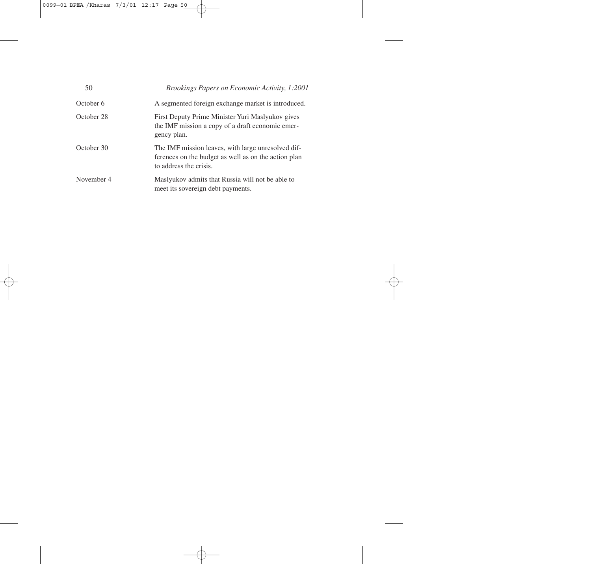| 50         | <i>Brookings Papers on Economic Activity, 1:2001</i>                                                                                 |
|------------|--------------------------------------------------------------------------------------------------------------------------------------|
| October 6  | A segmented foreign exchange market is introduced.                                                                                   |
| October 28 | First Deputy Prime Minister Yuri Maslyukov gives<br>the IMF mission a copy of a draft economic emer-<br>gency plan.                  |
| October 30 | The IMF mission leaves, with large unresolved dif-<br>ferences on the budget as well as on the action plan<br>to address the crisis. |
| November 4 | Maslyukov admits that Russia will not be able to<br>meet its sovereign debt payments.                                                |
|            |                                                                                                                                      |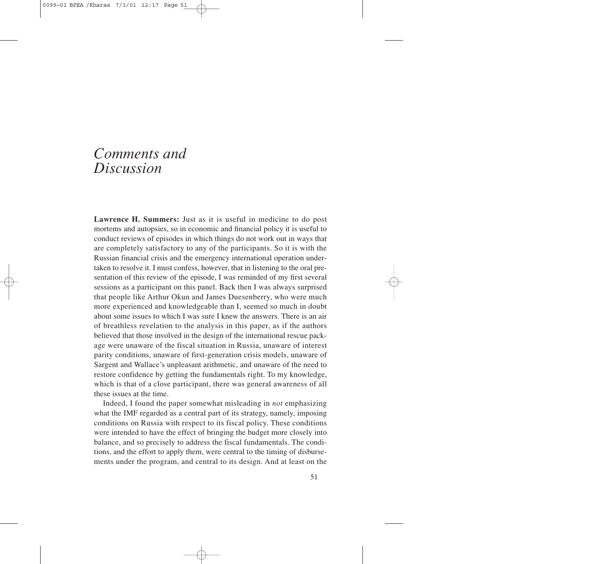## *Comments and Discussion*

**Lawrence H. Summers:** Just as it is useful in medicine to do post mortems and autopsies, so in economic and financial policy it is useful to conduct reviews of episodes in which things do not work out in ways that are completely satisfactory to any of the participants. So it is with the Russian financial crisis and the emergency international operation undertaken to resolve it. I must confess, however, that in listening to the oral presentation of this review of the episode, I was reminded of my first several sessions as a participant on this panel. Back then I was always surprised that people like Arthur Okun and James Duesenberry, who were much more experienced and knowledgeable than I, seemed so much in doubt about some issues to which I was sure I knew the answers. There is an air of breathless revelation to the analysis in this paper, as if the authors believed that those involved in the design of the international rescue package were unaware of the fiscal situation in Russia, unaware of interest parity conditions, unaware of first-generation crisis models, unaware of Sargent and Wallace's unpleasant arithmetic, and unaware of the need to restore confidence by getting the fundamentals right. To my knowledge, which is that of a close participant, there was general awareness of all these issues at the time.

Indeed, I found the paper somewhat misleading in *not* emphasizing what the IMF regarded as a central part of its strategy, namely, imposing conditions on Russia with respect to its fiscal policy. These conditions were intended to have the effect of bringing the budget more closely into balance, and so precisely to address the fiscal fundamentals. The conditions, and the effort to apply them, were central to the timing of disbursements under the program, and central to its design. And at least on the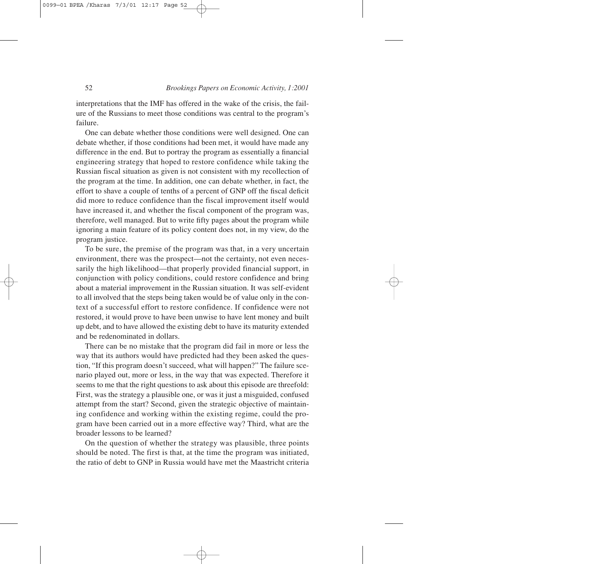interpretations that the IMF has offered in the wake of the crisis, the failure of the Russians to meet those conditions was central to the program's failure.

One can debate whether those conditions were well designed. One can debate whether, if those conditions had been met, it would have made any difference in the end. But to portray the program as essentially a financial engineering strategy that hoped to restore confidence while taking the Russian fiscal situation as given is not consistent with my recollection of the program at the time. In addition, one can debate whether, in fact, the effort to shave a couple of tenths of a percent of GNP off the fiscal deficit did more to reduce confidence than the fiscal improvement itself would have increased it, and whether the fiscal component of the program was, therefore, well managed. But to write fifty pages about the program while ignoring a main feature of its policy content does not, in my view, do the program justice.

To be sure, the premise of the program was that, in a very uncertain environment, there was the prospect—not the certainty, not even necessarily the high likelihood—that properly provided financial support, in conjunction with policy conditions, could restore confidence and bring about a material improvement in the Russian situation. It was self-evident to all involved that the steps being taken would be of value only in the context of a successful effort to restore confidence. If confidence were not restored, it would prove to have been unwise to have lent money and built up debt, and to have allowed the existing debt to have its maturity extended and be redenominated in dollars.

There can be no mistake that the program did fail in more or less the way that its authors would have predicted had they been asked the question, "If this program doesn't succeed, what will happen?" The failure scenario played out, more or less, in the way that was expected. Therefore it seems to me that the right questions to ask about this episode are threefold: First, was the strategy a plausible one, or was it just a misguided, confused attempt from the start? Second, given the strategic objective of maintaining confidence and working within the existing regime, could the program have been carried out in a more effective way? Third, what are the broader lessons to be learned?

On the question of whether the strategy was plausible, three points should be noted. The first is that, at the time the program was initiated, the ratio of debt to GNP in Russia would have met the Maastricht criteria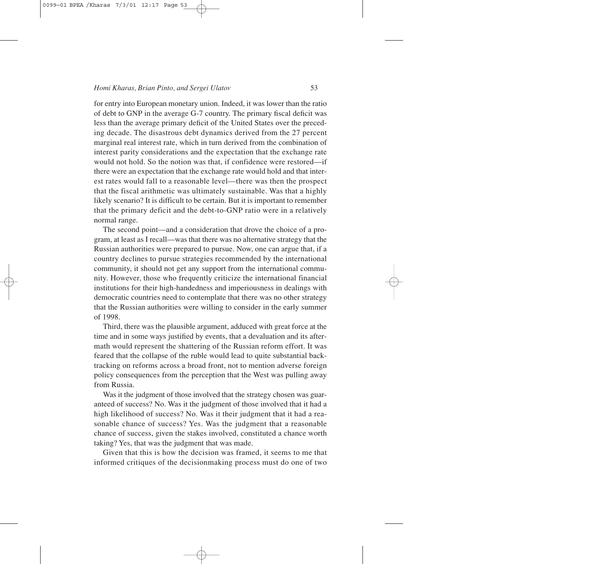for entry into European monetary union. Indeed, it was lower than the ratio of debt to GNP in the average G-7 country. The primary fiscal deficit was less than the average primary deficit of the United States over the preceding decade. The disastrous debt dynamics derived from the 27 percent marginal real interest rate, which in turn derived from the combination of interest parity considerations and the expectation that the exchange rate would not hold. So the notion was that, if confidence were restored—if there were an expectation that the exchange rate would hold and that interest rates would fall to a reasonable level—there was then the prospect that the fiscal arithmetic was ultimately sustainable. Was that a highly likely scenario? It is difficult to be certain. But it is important to remember that the primary deficit and the debt-to-GNP ratio were in a relatively normal range.

The second point—and a consideration that drove the choice of a program, at least as I recall—was that there was no alternative strategy that the Russian authorities were prepared to pursue. Now, one can argue that, if a country declines to pursue strategies recommended by the international community, it should not get any support from the international community. However, those who frequently criticize the international financial institutions for their high-handedness and imperiousness in dealings with democratic countries need to contemplate that there was no other strategy that the Russian authorities were willing to consider in the early summer of 1998.

Third, there was the plausible argument, adduced with great force at the time and in some ways justified by events, that a devaluation and its aftermath would represent the shattering of the Russian reform effort. It was feared that the collapse of the ruble would lead to quite substantial backtracking on reforms across a broad front, not to mention adverse foreign policy consequences from the perception that the West was pulling away from Russia.

Was it the judgment of those involved that the strategy chosen was guaranteed of success? No. Was it the judgment of those involved that it had a high likelihood of success? No. Was it their judgment that it had a reasonable chance of success? Yes. Was the judgment that a reasonable chance of success, given the stakes involved, constituted a chance worth taking? Yes, that was the judgment that was made.

Given that this is how the decision was framed, it seems to me that informed critiques of the decisionmaking process must do one of two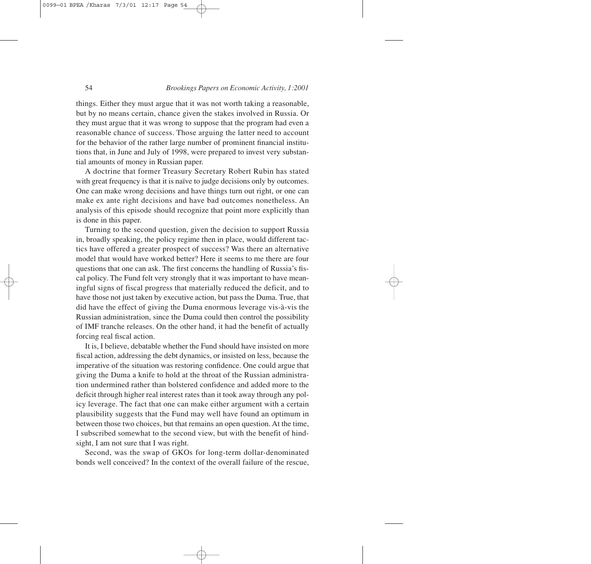things. Either they must argue that it was not worth taking a reasonable, but by no means certain, chance given the stakes involved in Russia. Or they must argue that it was wrong to suppose that the program had even a reasonable chance of success. Those arguing the latter need to account for the behavior of the rather large number of prominent financial institutions that, in June and July of 1998, were prepared to invest very substantial amounts of money in Russian paper.

A doctrine that former Treasury Secretary Robert Rubin has stated with great frequency is that it is naïve to judge decisions only by outcomes. One can make wrong decisions and have things turn out right, or one can make ex ante right decisions and have bad outcomes nonetheless. An analysis of this episode should recognize that point more explicitly than is done in this paper.

Turning to the second question, given the decision to support Russia in, broadly speaking, the policy regime then in place, would different tactics have offered a greater prospect of success? Was there an alternative model that would have worked better? Here it seems to me there are four questions that one can ask. The first concerns the handling of Russia's fiscal policy. The Fund felt very strongly that it was important to have meaningful signs of fiscal progress that materially reduced the deficit, and to have those not just taken by executive action, but pass the Duma. True, that did have the effect of giving the Duma enormous leverage vis-à-vis the Russian administration, since the Duma could then control the possibility of IMF tranche releases. On the other hand, it had the benefit of actually forcing real fiscal action.

It is, I believe, debatable whether the Fund should have insisted on more fiscal action, addressing the debt dynamics, or insisted on less, because the imperative of the situation was restoring confidence. One could argue that giving the Duma a knife to hold at the throat of the Russian administration undermined rather than bolstered confidence and added more to the deficit through higher real interest rates than it took away through any policy leverage. The fact that one can make either argument with a certain plausibility suggests that the Fund may well have found an optimum in between those two choices, but that remains an open question. At the time, I subscribed somewhat to the second view, but with the benefit of hindsight, I am not sure that I was right.

Second, was the swap of GKOs for long-term dollar-denominated bonds well conceived? In the context of the overall failure of the rescue,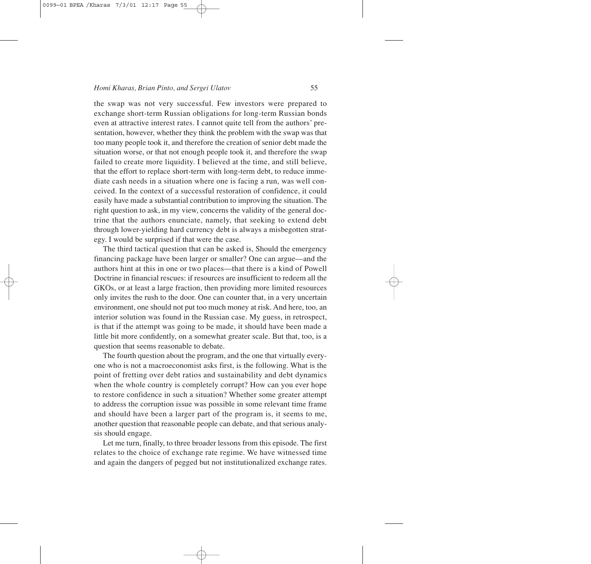the swap was not very successful. Few investors were prepared to exchange short-term Russian obligations for long-term Russian bonds even at attractive interest rates. I cannot quite tell from the authors' presentation, however, whether they think the problem with the swap was that too many people took it, and therefore the creation of senior debt made the situation worse, or that not enough people took it, and therefore the swap failed to create more liquidity. I believed at the time, and still believe, that the effort to replace short-term with long-term debt, to reduce immediate cash needs in a situation where one is facing a run, was well conceived. In the context of a successful restoration of confidence, it could easily have made a substantial contribution to improving the situation. The right question to ask, in my view, concerns the validity of the general doctrine that the authors enunciate, namely, that seeking to extend debt through lower-yielding hard currency debt is always a misbegotten strategy. I would be surprised if that were the case.

The third tactical question that can be asked is, Should the emergency financing package have been larger or smaller? One can argue—and the authors hint at this in one or two places—that there is a kind of Powell Doctrine in financial rescues: if resources are insufficient to redeem all the GKOs, or at least a large fraction, then providing more limited resources only invites the rush to the door. One can counter that, in a very uncertain environment, one should not put too much money at risk. And here, too, an interior solution was found in the Russian case. My guess, in retrospect, is that if the attempt was going to be made, it should have been made a little bit more confidently, on a somewhat greater scale. But that, too, is a question that seems reasonable to debate.

The fourth question about the program, and the one that virtually everyone who is not a macroeconomist asks first, is the following. What is the point of fretting over debt ratios and sustainability and debt dynamics when the whole country is completely corrupt? How can you ever hope to restore confidence in such a situation? Whether some greater attempt to address the corruption issue was possible in some relevant time frame and should have been a larger part of the program is, it seems to me, another question that reasonable people can debate, and that serious analysis should engage.

Let me turn, finally, to three broader lessons from this episode. The first relates to the choice of exchange rate regime. We have witnessed time and again the dangers of pegged but not institutionalized exchange rates.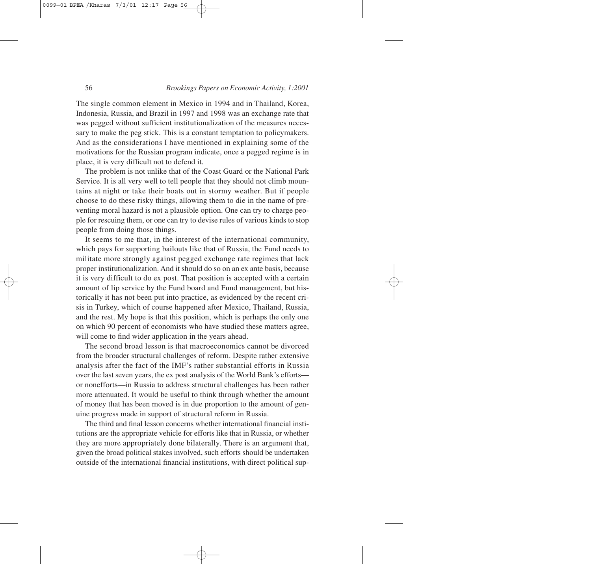The single common element in Mexico in 1994 and in Thailand, Korea, Indonesia, Russia, and Brazil in 1997 and 1998 was an exchange rate that was pegged without sufficient institutionalization of the measures necessary to make the peg stick. This is a constant temptation to policymakers. And as the considerations I have mentioned in explaining some of the motivations for the Russian program indicate, once a pegged regime is in place, it is very difficult not to defend it.

The problem is not unlike that of the Coast Guard or the National Park Service. It is all very well to tell people that they should not climb mountains at night or take their boats out in stormy weather. But if people choose to do these risky things, allowing them to die in the name of preventing moral hazard is not a plausible option. One can try to charge people for rescuing them, or one can try to devise rules of various kinds to stop people from doing those things.

It seems to me that, in the interest of the international community, which pays for supporting bailouts like that of Russia, the Fund needs to militate more strongly against pegged exchange rate regimes that lack proper institutionalization. And it should do so on an ex ante basis, because it is very difficult to do ex post. That position is accepted with a certain amount of lip service by the Fund board and Fund management, but historically it has not been put into practice, as evidenced by the recent crisis in Turkey, which of course happened after Mexico, Thailand, Russia, and the rest. My hope is that this position, which is perhaps the only one on which 90 percent of economists who have studied these matters agree, will come to find wider application in the years ahead.

The second broad lesson is that macroeconomics cannot be divorced from the broader structural challenges of reform. Despite rather extensive analysis after the fact of the IMF's rather substantial efforts in Russia over the last seven years, the ex post analysis of the World Bank's efforts or nonefforts—in Russia to address structural challenges has been rather more attenuated. It would be useful to think through whether the amount of money that has been moved is in due proportion to the amount of genuine progress made in support of structural reform in Russia.

The third and final lesson concerns whether international financial institutions are the appropriate vehicle for efforts like that in Russia, or whether they are more appropriately done bilaterally. There is an argument that, given the broad political stakes involved, such efforts should be undertaken outside of the international financial institutions, with direct political sup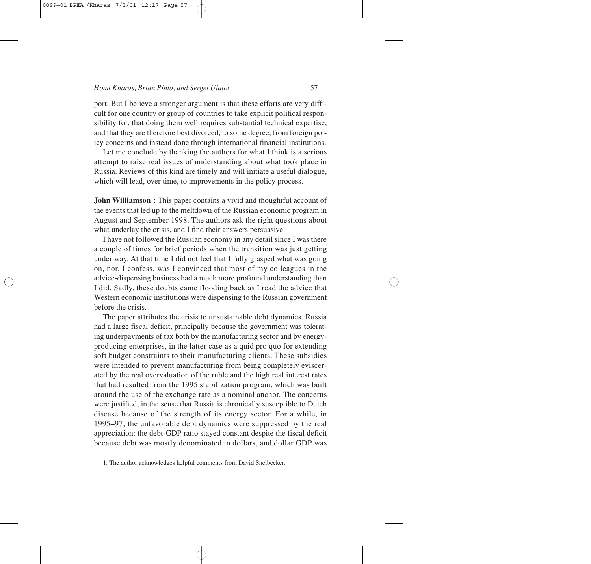port. But I believe a stronger argument is that these efforts are very difficult for one country or group of countries to take explicit political responsibility for, that doing them well requires substantial technical expertise, and that they are therefore best divorced, to some degree, from foreign policy concerns and instead done through international financial institutions.

Let me conclude by thanking the authors for what I think is a serious attempt to raise real issues of understanding about what took place in Russia. Reviews of this kind are timely and will initiate a useful dialogue, which will lead, over time, to improvements in the policy process.

John Williamson<sup>1</sup>: This paper contains a vivid and thoughtful account of the events that led up to the meltdown of the Russian economic program in August and September 1998. The authors ask the right questions about what underlay the crisis, and I find their answers persuasive.

I have not followed the Russian economy in any detail since I was there a couple of times for brief periods when the transition was just getting under way. At that time I did not feel that I fully grasped what was going on, nor, I confess, was I convinced that most of my colleagues in the advice-dispensing business had a much more profound understanding than I did. Sadly, these doubts came flooding back as I read the advice that Western economic institutions were dispensing to the Russian government before the crisis.

The paper attributes the crisis to unsustainable debt dynamics. Russia had a large fiscal deficit, principally because the government was tolerating underpayments of tax both by the manufacturing sector and by energyproducing enterprises, in the latter case as a quid pro quo for extending soft budget constraints to their manufacturing clients. These subsidies were intended to prevent manufacturing from being completely eviscerated by the real overvaluation of the ruble and the high real interest rates that had resulted from the 1995 stabilization program, which was built around the use of the exchange rate as a nominal anchor. The concerns were justified, in the sense that Russia is chronically susceptible to Dutch disease because of the strength of its energy sector. For a while, in 1995–97, the unfavorable debt dynamics were suppressed by the real appreciation: the debt-GDP ratio stayed constant despite the fiscal deficit because debt was mostly denominated in dollars, and dollar GDP was

<sup>1.</sup> The author acknowledges helpful comments from David Snelbecker.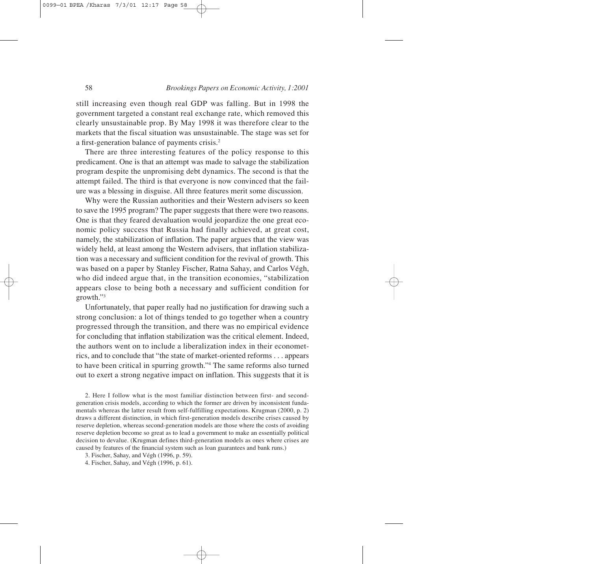still increasing even though real GDP was falling. But in 1998 the government targeted a constant real exchange rate, which removed this clearly unsustainable prop. By May 1998 it was therefore clear to the markets that the fiscal situation was unsustainable. The stage was set for a first-generation balance of payments crisis.2

There are three interesting features of the policy response to this predicament. One is that an attempt was made to salvage the stabilization program despite the unpromising debt dynamics. The second is that the attempt failed. The third is that everyone is now convinced that the failure was a blessing in disguise. All three features merit some discussion.

Why were the Russian authorities and their Western advisers so keen to save the 1995 program? The paper suggests that there were two reasons. One is that they feared devaluation would jeopardize the one great economic policy success that Russia had finally achieved, at great cost, namely, the stabilization of inflation. The paper argues that the view was widely held, at least among the Western advisers, that inflation stabilization was a necessary and sufficient condition for the revival of growth. This was based on a paper by Stanley Fischer, Ratna Sahay, and Carlos Végh, who did indeed argue that, in the transition economies, "stabilization appears close to being both a necessary and sufficient condition for growth."3

Unfortunately, that paper really had no justification for drawing such a strong conclusion: a lot of things tended to go together when a country progressed through the transition, and there was no empirical evidence for concluding that inflation stabilization was the critical element. Indeed, the authors went on to include a liberalization index in their econometrics, and to conclude that "the state of market-oriented reforms . . . appears to have been critical in spurring growth."4 The same reforms also turned out to exert a strong negative impact on inflation. This suggests that it is

2. Here I follow what is the most familiar distinction between first- and secondgeneration crisis models, according to which the former are driven by inconsistent fundamentals whereas the latter result from self-fulfilling expectations. Krugman (2000, p. 2) draws a different distinction, in which first-generation models describe crises caused by reserve depletion, whereas second-generation models are those where the costs of avoiding reserve depletion become so great as to lead a government to make an essentially political decision to devalue. (Krugman defines third-generation models as ones where crises are caused by features of the financial system such as loan guarantees and bank runs.)

3. Fischer, Sahay, and Végh (1996, p. 59).

4. Fischer, Sahay, and Végh (1996, p. 61).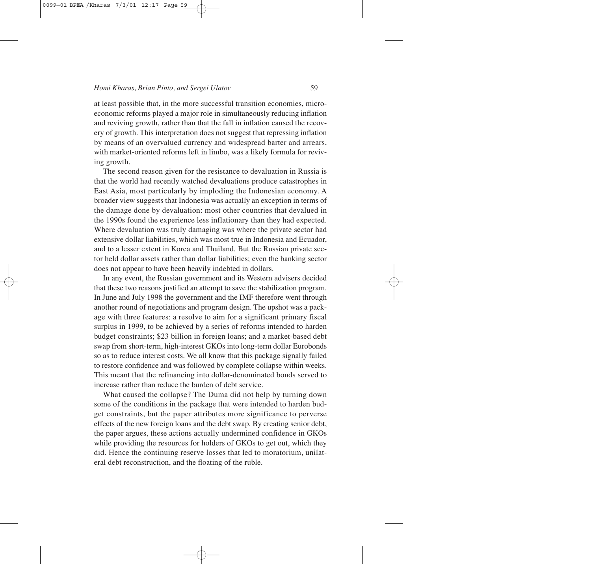at least possible that, in the more successful transition economies, microeconomic reforms played a major role in simultaneously reducing inflation and reviving growth, rather than that the fall in inflation caused the recovery of growth. This interpretation does not suggest that repressing inflation by means of an overvalued currency and widespread barter and arrears, with market-oriented reforms left in limbo, was a likely formula for reviving growth.

The second reason given for the resistance to devaluation in Russia is that the world had recently watched devaluations produce catastrophes in East Asia, most particularly by imploding the Indonesian economy. A broader view suggests that Indonesia was actually an exception in terms of the damage done by devaluation: most other countries that devalued in the 1990s found the experience less inflationary than they had expected. Where devaluation was truly damaging was where the private sector had extensive dollar liabilities, which was most true in Indonesia and Ecuador, and to a lesser extent in Korea and Thailand. But the Russian private sector held dollar assets rather than dollar liabilities; even the banking sector does not appear to have been heavily indebted in dollars.

In any event, the Russian government and its Western advisers decided that these two reasons justified an attempt to save the stabilization program. In June and July 1998 the government and the IMF therefore went through another round of negotiations and program design. The upshot was a package with three features: a resolve to aim for a significant primary fiscal surplus in 1999, to be achieved by a series of reforms intended to harden budget constraints; \$23 billion in foreign loans; and a market-based debt swap from short-term, high-interest GKOs into long-term dollar Eurobonds so as to reduce interest costs. We all know that this package signally failed to restore confidence and was followed by complete collapse within weeks. This meant that the refinancing into dollar-denominated bonds served to increase rather than reduce the burden of debt service.

What caused the collapse? The Duma did not help by turning down some of the conditions in the package that were intended to harden budget constraints, but the paper attributes more significance to perverse effects of the new foreign loans and the debt swap. By creating senior debt, the paper argues, these actions actually undermined confidence in GKOs while providing the resources for holders of GKOs to get out, which they did. Hence the continuing reserve losses that led to moratorium, unilateral debt reconstruction, and the floating of the ruble.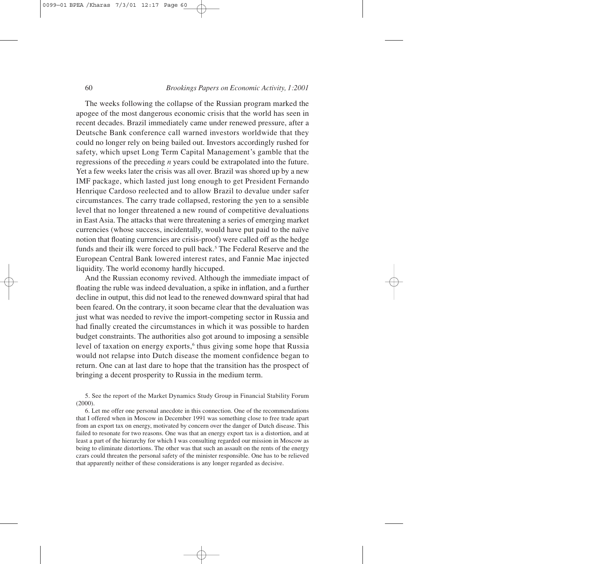The weeks following the collapse of the Russian program marked the apogee of the most dangerous economic crisis that the world has seen in recent decades. Brazil immediately came under renewed pressure, after a Deutsche Bank conference call warned investors worldwide that they could no longer rely on being bailed out. Investors accordingly rushed for safety, which upset Long Term Capital Management's gamble that the regressions of the preceding *n* years could be extrapolated into the future. Yet a few weeks later the crisis was all over. Brazil was shored up by a new IMF package, which lasted just long enough to get President Fernando Henrique Cardoso reelected and to allow Brazil to devalue under safer circumstances. The carry trade collapsed, restoring the yen to a sensible level that no longer threatened a new round of competitive devaluations in East Asia. The attacks that were threatening a series of emerging market currencies (whose success, incidentally, would have put paid to the naïve notion that floating currencies are crisis-proof) were called off as the hedge funds and their ilk were forced to pull back.<sup>5</sup> The Federal Reserve and the European Central Bank lowered interest rates, and Fannie Mae injected liquidity. The world economy hardly hiccuped.

And the Russian economy revived. Although the immediate impact of floating the ruble was indeed devaluation, a spike in inflation, and a further decline in output, this did not lead to the renewed downward spiral that had been feared. On the contrary, it soon became clear that the devaluation was just what was needed to revive the import-competing sector in Russia and had finally created the circumstances in which it was possible to harden budget constraints. The authorities also got around to imposing a sensible level of taxation on energy exports,<sup>6</sup> thus giving some hope that Russia would not relapse into Dutch disease the moment confidence began to return. One can at last dare to hope that the transition has the prospect of bringing a decent prosperity to Russia in the medium term.

5. See the report of the Market Dynamics Study Group in Financial Stability Forum (2000).

6. Let me offer one personal anecdote in this connection. One of the recommendations that I offered when in Moscow in December 1991 was something close to free trade apart from an export tax on energy, motivated by concern over the danger of Dutch disease. This failed to resonate for two reasons. One was that an energy export tax is a distortion, and at least a part of the hierarchy for which I was consulting regarded our mission in Moscow as being to eliminate distortions. The other was that such an assault on the rents of the energy czars could threaten the personal safety of the minister responsible. One has to be relieved that apparently neither of these considerations is any longer regarded as decisive.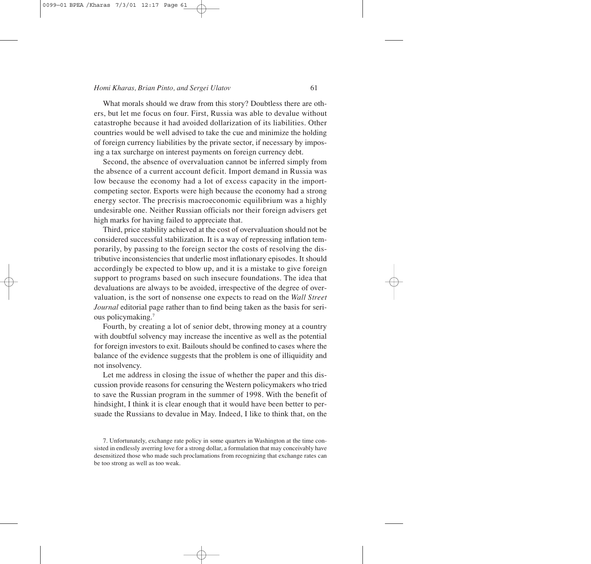What morals should we draw from this story? Doubtless there are others, but let me focus on four. First, Russia was able to devalue without catastrophe because it had avoided dollarization of its liabilities. Other countries would be well advised to take the cue and minimize the holding of foreign currency liabilities by the private sector, if necessary by imposing a tax surcharge on interest payments on foreign currency debt.

Second, the absence of overvaluation cannot be inferred simply from the absence of a current account deficit. Import demand in Russia was low because the economy had a lot of excess capacity in the importcompeting sector. Exports were high because the economy had a strong energy sector. The precrisis macroeconomic equilibrium was a highly undesirable one. Neither Russian officials nor their foreign advisers get high marks for having failed to appreciate that.

Third, price stability achieved at the cost of overvaluation should not be considered successful stabilization. It is a way of repressing inflation temporarily, by passing to the foreign sector the costs of resolving the distributive inconsistencies that underlie most inflationary episodes. It should accordingly be expected to blow up, and it is a mistake to give foreign support to programs based on such insecure foundations. The idea that devaluations are always to be avoided, irrespective of the degree of overvaluation, is the sort of nonsense one expects to read on the *Wall Street Journal* editorial page rather than to find being taken as the basis for serious policymaking.7

Fourth, by creating a lot of senior debt, throwing money at a country with doubtful solvency may increase the incentive as well as the potential for foreign investors to exit. Bailouts should be confined to cases where the balance of the evidence suggests that the problem is one of illiquidity and not insolvency.

Let me address in closing the issue of whether the paper and this discussion provide reasons for censuring the Western policymakers who tried to save the Russian program in the summer of 1998. With the benefit of hindsight, I think it is clear enough that it would have been better to persuade the Russians to devalue in May. Indeed, I like to think that, on the

<sup>7.</sup> Unfortunately, exchange rate policy in some quarters in Washington at the time consisted in endlessly averring love for a strong dollar, a formulation that may conceivably have desensitized those who made such proclamations from recognizing that exchange rates can be too strong as well as too weak.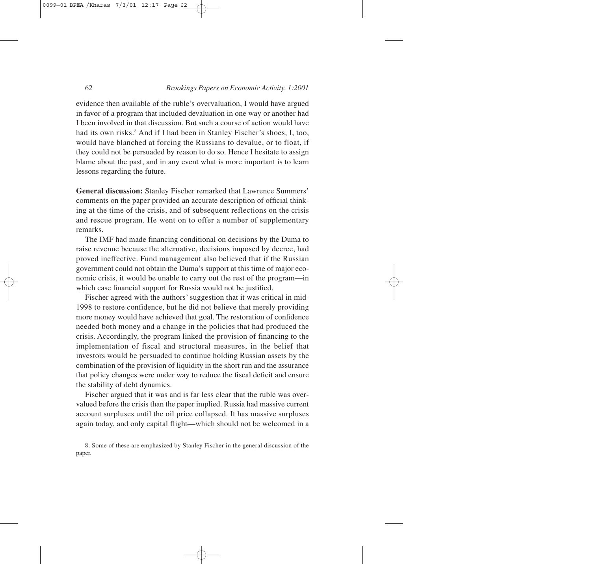evidence then available of the ruble's overvaluation, I would have argued in favor of a program that included devaluation in one way or another had I been involved in that discussion. But such a course of action would have had its own risks.<sup>8</sup> And if I had been in Stanley Fischer's shoes, I, too, would have blanched at forcing the Russians to devalue, or to float, if they could not be persuaded by reason to do so. Hence I hesitate to assign blame about the past, and in any event what is more important is to learn lessons regarding the future.

**General discussion:** Stanley Fischer remarked that Lawrence Summers' comments on the paper provided an accurate description of official thinking at the time of the crisis, and of subsequent reflections on the crisis and rescue program. He went on to offer a number of supplementary remarks.

The IMF had made financing conditional on decisions by the Duma to raise revenue because the alternative, decisions imposed by decree, had proved ineffective. Fund management also believed that if the Russian government could not obtain the Duma's support at this time of major economic crisis, it would be unable to carry out the rest of the program—in which case financial support for Russia would not be justified.

Fischer agreed with the authors' suggestion that it was critical in mid-1998 to restore confidence, but he did not believe that merely providing more money would have achieved that goal. The restoration of confidence needed both money and a change in the policies that had produced the crisis. Accordingly, the program linked the provision of financing to the implementation of fiscal and structural measures, in the belief that investors would be persuaded to continue holding Russian assets by the combination of the provision of liquidity in the short run and the assurance that policy changes were under way to reduce the fiscal deficit and ensure the stability of debt dynamics.

Fischer argued that it was and is far less clear that the ruble was overvalued before the crisis than the paper implied. Russia had massive current account surpluses until the oil price collapsed. It has massive surpluses again today, and only capital flight—which should not be welcomed in a

8. Some of these are emphasized by Stanley Fischer in the general discussion of the paper.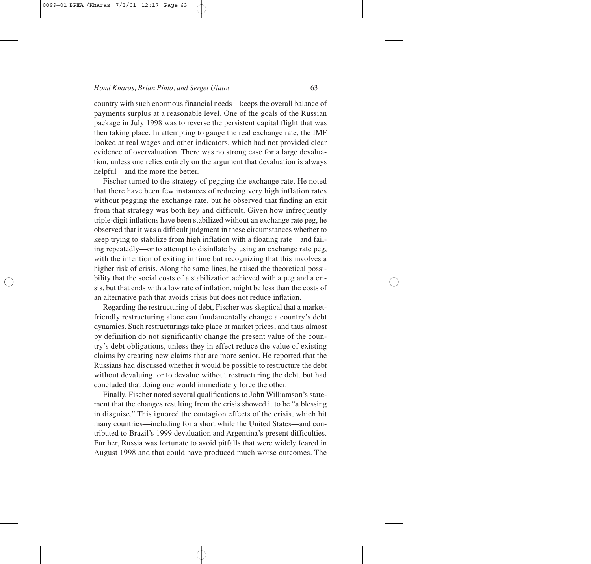country with such enormous financial needs—keeps the overall balance of payments surplus at a reasonable level. One of the goals of the Russian package in July 1998 was to reverse the persistent capital flight that was then taking place. In attempting to gauge the real exchange rate, the IMF looked at real wages and other indicators, which had not provided clear evidence of overvaluation. There was no strong case for a large devaluation, unless one relies entirely on the argument that devaluation is always helpful—and the more the better.

Fischer turned to the strategy of pegging the exchange rate. He noted that there have been few instances of reducing very high inflation rates without pegging the exchange rate, but he observed that finding an exit from that strategy was both key and difficult. Given how infrequently triple-digit inflations have been stabilized without an exchange rate peg, he observed that it was a difficult judgment in these circumstances whether to keep trying to stabilize from high inflation with a floating rate—and failing repeatedly—or to attempt to disinflate by using an exchange rate peg, with the intention of exiting in time but recognizing that this involves a higher risk of crisis. Along the same lines, he raised the theoretical possibility that the social costs of a stabilization achieved with a peg and a crisis, but that ends with a low rate of inflation, might be less than the costs of an alternative path that avoids crisis but does not reduce inflation.

Regarding the restructuring of debt, Fischer was skeptical that a marketfriendly restructuring alone can fundamentally change a country's debt dynamics. Such restructurings take place at market prices, and thus almost by definition do not significantly change the present value of the country's debt obligations, unless they in effect reduce the value of existing claims by creating new claims that are more senior. He reported that the Russians had discussed whether it would be possible to restructure the debt without devaluing, or to devalue without restructuring the debt, but had concluded that doing one would immediately force the other.

Finally, Fischer noted several qualifications to John Williamson's statement that the changes resulting from the crisis showed it to be "a blessing in disguise." This ignored the contagion effects of the crisis, which hit many countries—including for a short while the United States—and contributed to Brazil's 1999 devaluation and Argentina's present difficulties. Further, Russia was fortunate to avoid pitfalls that were widely feared in August 1998 and that could have produced much worse outcomes. The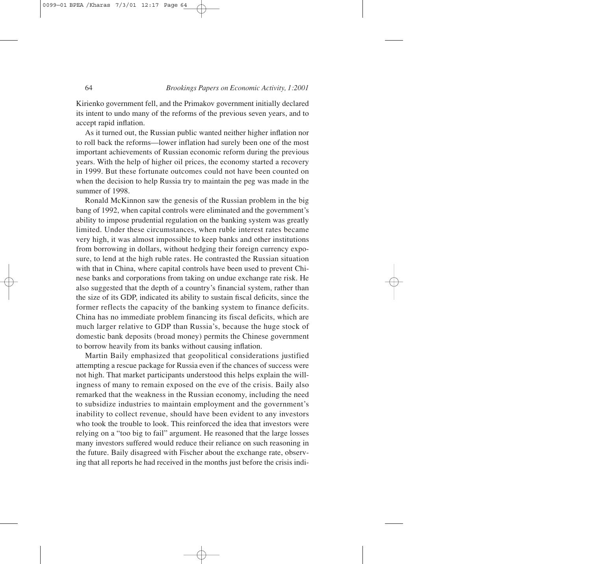Kirienko government fell, and the Primakov government initially declared its intent to undo many of the reforms of the previous seven years, and to accept rapid inflation.

As it turned out, the Russian public wanted neither higher inflation nor to roll back the reforms—lower inflation had surely been one of the most important achievements of Russian economic reform during the previous years. With the help of higher oil prices, the economy started a recovery in 1999. But these fortunate outcomes could not have been counted on when the decision to help Russia try to maintain the peg was made in the summer of 1998.

Ronald McKinnon saw the genesis of the Russian problem in the big bang of 1992, when capital controls were eliminated and the government's ability to impose prudential regulation on the banking system was greatly limited. Under these circumstances, when ruble interest rates became very high, it was almost impossible to keep banks and other institutions from borrowing in dollars, without hedging their foreign currency exposure, to lend at the high ruble rates. He contrasted the Russian situation with that in China, where capital controls have been used to prevent Chinese banks and corporations from taking on undue exchange rate risk. He also suggested that the depth of a country's financial system, rather than the size of its GDP, indicated its ability to sustain fiscal deficits, since the former reflects the capacity of the banking system to finance deficits. China has no immediate problem financing its fiscal deficits, which are much larger relative to GDP than Russia's, because the huge stock of domestic bank deposits (broad money) permits the Chinese government to borrow heavily from its banks without causing inflation.

Martin Baily emphasized that geopolitical considerations justified attempting a rescue package for Russia even if the chances of success were not high. That market participants understood this helps explain the willingness of many to remain exposed on the eve of the crisis. Baily also remarked that the weakness in the Russian economy, including the need to subsidize industries to maintain employment and the government's inability to collect revenue, should have been evident to any investors who took the trouble to look. This reinforced the idea that investors were relying on a "too big to fail" argument. He reasoned that the large losses many investors suffered would reduce their reliance on such reasoning in the future. Baily disagreed with Fischer about the exchange rate, observing that all reports he had received in the months just before the crisis indi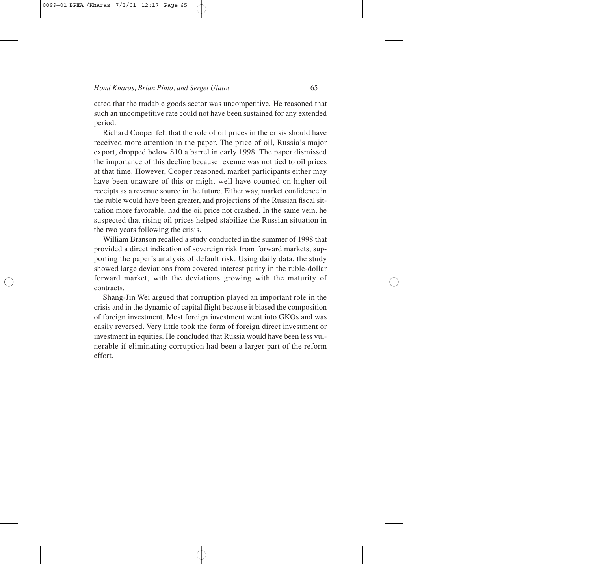cated that the tradable goods sector was uncompetitive. He reasoned that such an uncompetitive rate could not have been sustained for any extended period.

Richard Cooper felt that the role of oil prices in the crisis should have received more attention in the paper. The price of oil, Russia's major export, dropped below \$10 a barrel in early 1998. The paper dismissed the importance of this decline because revenue was not tied to oil prices at that time. However, Cooper reasoned, market participants either may have been unaware of this or might well have counted on higher oil receipts as a revenue source in the future. Either way, market confidence in the ruble would have been greater, and projections of the Russian fiscal situation more favorable, had the oil price not crashed. In the same vein, he suspected that rising oil prices helped stabilize the Russian situation in the two years following the crisis.

William Branson recalled a study conducted in the summer of 1998 that provided a direct indication of sovereign risk from forward markets, supporting the paper's analysis of default risk. Using daily data, the study showed large deviations from covered interest parity in the ruble-dollar forward market, with the deviations growing with the maturity of contracts.

Shang-Jin Wei argued that corruption played an important role in the crisis and in the dynamic of capital flight because it biased the composition of foreign investment. Most foreign investment went into GKOs and was easily reversed. Very little took the form of foreign direct investment or investment in equities. He concluded that Russia would have been less vulnerable if eliminating corruption had been a larger part of the reform effort.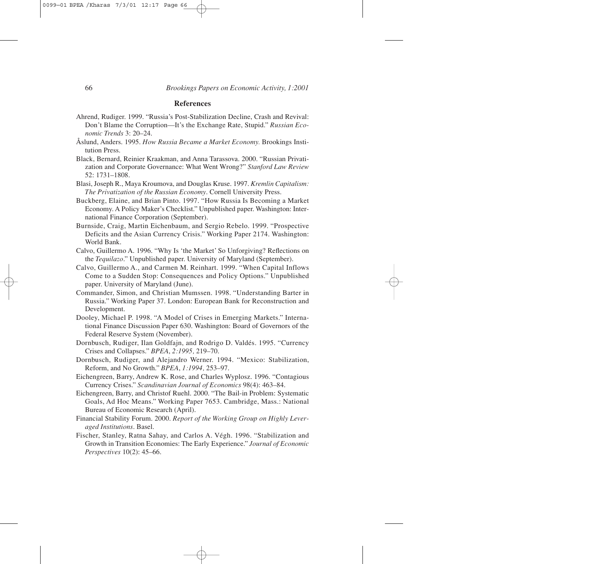#### **References**

- Ahrend, Rudiger. 1999. "Russia's Post-Stabilization Decline, Crash and Revival: Don't Blame the Corruption—It's the Exchange Rate, Stupid." *Russian Economic Trends* 3: 20–24.
- Åslund, Anders. 1995. *How Russia Became a Market Economy.* Brookings Institution Press.
- Black, Bernard, Reinier Kraakman, and Anna Tarassova. 2000. "Russian Privatization and Corporate Governance: What Went Wrong?" *Stanford Law Review* 52: 1731–1808.
- Blasi, Joseph R., Maya Kroumova, and Douglas Kruse. 1997. *Kremlin Capitalism: The Privatization of the Russian Economy*. Cornell University Press.
- Buckberg, Elaine, and Brian Pinto. 1997. "How Russia Is Becoming a Market Economy. A Policy Maker's Checklist." Unpublished paper. Washington: International Finance Corporation (September).
- Burnside, Craig, Martin Eichenbaum, and Sergio Rebelo. 1999. "Prospective Deficits and the Asian Currency Crisis." Working Paper 2174. Washington: World Bank.
- Calvo, Guillermo A. 1996. "Why Is 'the Market' So Unforgiving? Reflections on the *Tequilazo*." Unpublished paper. University of Maryland (September).
- Calvo, Guillermo A., and Carmen M. Reinhart. 1999. "When Capital Inflows Come to a Sudden Stop: Consequences and Policy Options." Unpublished paper. University of Maryland (June).
- Commander, Simon, and Christian Mumssen. 1998. "Understanding Barter in Russia." Working Paper 37. London: European Bank for Reconstruction and Development.
- Dooley, Michael P. 1998. "A Model of Crises in Emerging Markets." International Finance Discussion Paper 630. Washington: Board of Governors of the Federal Reserve System (November).
- Dornbusch, Rudiger, Ilan Goldfajn, and Rodrigo D. Valdés. 1995. "Currency Crises and Collapses." *BPEA*, *2:1995,* 219–70.
- Dornbusch, Rudiger, and Alejandro Werner. 1994. "Mexico: Stabilization, Reform, and No Growth." *BPEA*, *1:1994,* 253–97.
- Eichengreen, Barry, Andrew K. Rose, and Charles Wyplosz. 1996. "Contagious Currency Crises." *Scandinavian Journal of Economics* 98(4): 463–84.
- Eichengreen, Barry, and Christof Ruehl. 2000. "The Bail-in Problem: Systematic Goals, Ad Hoc Means." Working Paper 7653. Cambridge, Mass.: National Bureau of Economic Research (April).
- Financial Stability Forum. 2000. *Report of the Working Group on Highly Leveraged Institutions*. Basel.
- Fischer, Stanley, Ratna Sahay, and Carlos A. Végh. 1996. "Stabilization and Growth in Transition Economies: The Early Experience." *Journal of Economic Perspectives* 10(2): 45–66.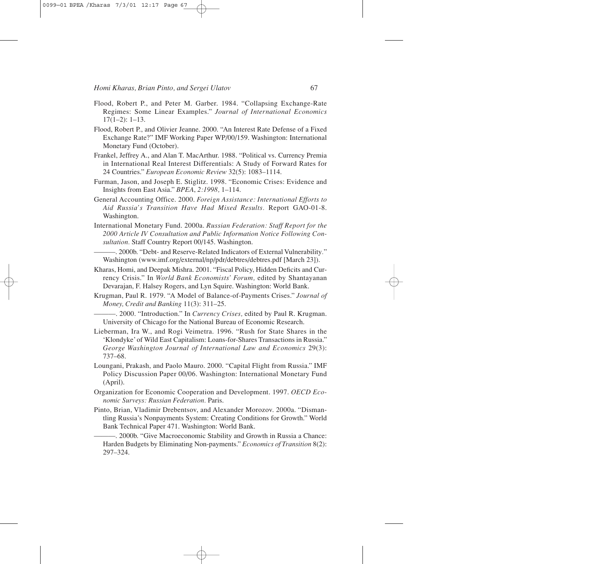- Flood, Robert P., and Peter M. Garber. 1984. "Collapsing Exchange-Rate Regimes: Some Linear Examples." *Journal of International Economics*  $17(1-2): 1-13.$
- Flood, Robert P., and Olivier Jeanne. 2000. "An Interest Rate Defense of a Fixed Exchange Rate?" IMF Working Paper WP/00/159. Washington: International Monetary Fund (October).
- Frankel, Jeffrey A., and Alan T. MacArthur. 1988. "Political vs. Currency Premia in International Real Interest Differentials: A Study of Forward Rates for 24 Countries." *European Economic Review* 32(5): 1083–1114.
- Furman, Jason, and Joseph E. Stiglitz. 1998. "Economic Crises: Evidence and Insights from East Asia." *BPEA*, *2:1998,* 1–114.
- General Accounting Office. 2000. *Foreign Assistance: International Efforts to Aid Russia's Transition Have Had Mixed Results.* Report GAO-01-8. Washington.
- International Monetary Fund. 2000a. *Russian Federation: Staff Report for the 2000 Article IV Consultation and Public Information Notice Following Consultation.* Staff Country Report 00/145. Washington.

———. 2000b. "Debt- and Reserve-Related Indicators of External Vulnerability*.*" Washington (www.imf.org/external/np/pdr/debtres/debtres.pdf [March 23]).

- Kharas, Homi, and Deepak Mishra. 2001. "Fiscal Policy, Hidden Deficits and Currency Crisis." In *World Bank Economists' Forum,* edited by Shantayanan Devarajan, F. Halsey Rogers, and Lyn Squire. Washington: World Bank.
- Krugman, Paul R. 1979. "A Model of Balance-of-Payments Crises." *Journal of Money, Credit and Banking* 11(3): 311–25.
	- ———. 2000. "Introduction." In *Currency Crises,* edited by Paul R. Krugman. University of Chicago for the National Bureau of Economic Research.
- Lieberman, Ira W., and Rogi Veimetra. 1996. "Rush for State Shares in the 'Klondyke' of Wild East Capitalism: Loans-for-Shares Transactions in Russia." *George Washington Journal of International Law and Economics* 29(3): 737–68.
- Loungani, Prakash, and Paolo Mauro. 2000. "Capital Flight from Russia." IMF Policy Discussion Paper 00/06. Washington: International Monetary Fund (April).
- Organization for Economic Cooperation and Development. 1997. *OECD Economic Surveys: Russian Federation.* Paris.
- Pinto, Brian, Vladimir Drebentsov, and Alexander Morozov. 2000a. "Dismantling Russia's Nonpayments System: Creating Conditions for Growth." World Bank Technical Paper 471. Washington: World Bank.

———. 2000b. "Give Macroeconomic Stability and Growth in Russia a Chance: Harden Budgets by Eliminating Non-payments." *Economics of Transition* 8(2): 297–324.